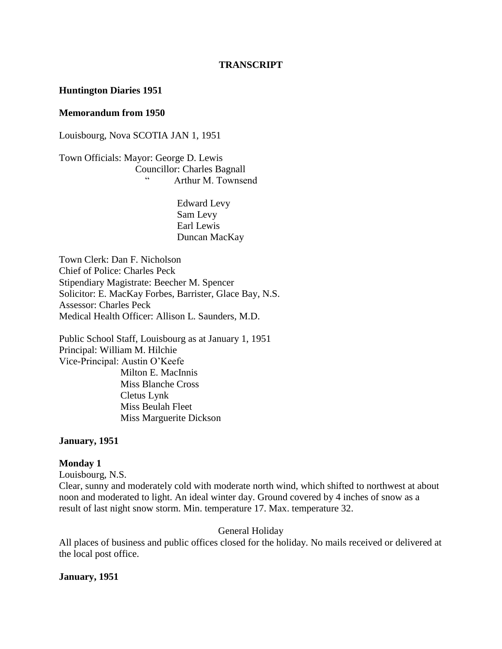#### **TRANSCRIPT**

#### **Huntington Diaries 1951**

#### **Memorandum from 1950**

Louisbourg, Nova SCOTIA JAN 1, 1951

Town Officials: Mayor: George D. Lewis Councillor: Charles Bagnall Arthur M. Townsend

> Edward Levy Sam Levy Earl Lewis Duncan MacKay

Town Clerk: Dan F. Nicholson Chief of Police: Charles Peck Stipendiary Magistrate: Beecher M. Spencer Solicitor: E. MacKay Forbes, Barrister, Glace Bay, N.S. Assessor: Charles Peck Medical Health Officer: Allison L. Saunders, M.D.

Public School Staff, Louisbourg as at January 1, 1951 Principal: William M. Hilchie Vice-Principal: Austin O'Keefe Milton E. MacInnis Miss Blanche Cross Cletus Lynk Miss Beulah Fleet Miss Marguerite Dickson

#### **January, 1951**

#### **Monday 1**

Louisbourg, N.S.

Clear, sunny and moderately cold with moderate north wind, which shifted to northwest at about noon and moderated to light. An ideal winter day. Ground covered by 4 inches of snow as a result of last night snow storm. Min. temperature 17. Max. temperature 32.

General Holiday

All places of business and public offices closed for the holiday. No mails received or delivered at the local post office.

#### **January, 1951**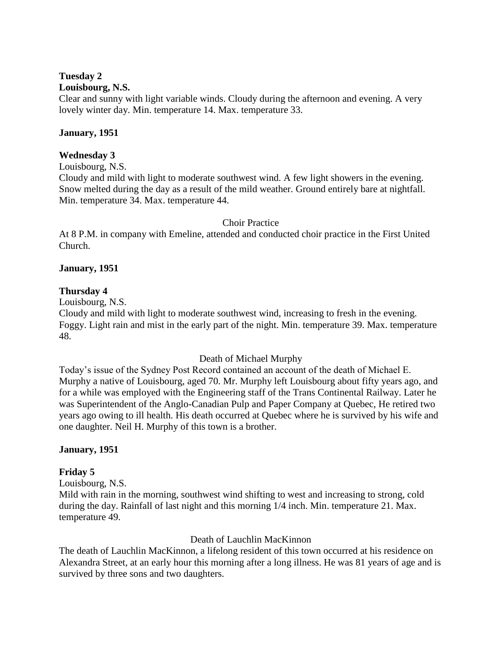## **Tuesday 2**

### **Louisbourg, N.S.**

Clear and sunny with light variable winds. Cloudy during the afternoon and evening. A very lovely winter day. Min. temperature 14. Max. temperature 33.

#### **January, 1951**

## **Wednesday 3**

Louisbourg, N.S.

Cloudy and mild with light to moderate southwest wind. A few light showers in the evening. Snow melted during the day as a result of the mild weather. Ground entirely bare at nightfall. Min. temperature 34. Max. temperature 44.

## Choir Practice

At 8 P.M. in company with Emeline, attended and conducted choir practice in the First United Church.

## **January, 1951**

## **Thursday 4**

Louisbourg, N.S.

Cloudy and mild with light to moderate southwest wind, increasing to fresh in the evening. Foggy. Light rain and mist in the early part of the night. Min. temperature 39. Max. temperature 48.

## Death of Michael Murphy

Today's issue of the Sydney Post Record contained an account of the death of Michael E. Murphy a native of Louisbourg, aged 70. Mr. Murphy left Louisbourg about fifty years ago, and for a while was employed with the Engineering staff of the Trans Continental Railway. Later he was Superintendent of the Anglo-Canadian Pulp and Paper Company at Quebec, He retired two years ago owing to ill health. His death occurred at Quebec where he is survived by his wife and one daughter. Neil H. Murphy of this town is a brother.

## **January, 1951**

#### **Friday 5**

Louisbourg, N.S.

Mild with rain in the morning, southwest wind shifting to west and increasing to strong, cold during the day. Rainfall of last night and this morning 1/4 inch. Min. temperature 21. Max. temperature 49.

## Death of Lauchlin MacKinnon

The death of Lauchlin MacKinnon, a lifelong resident of this town occurred at his residence on Alexandra Street, at an early hour this morning after a long illness. He was 81 years of age and is survived by three sons and two daughters.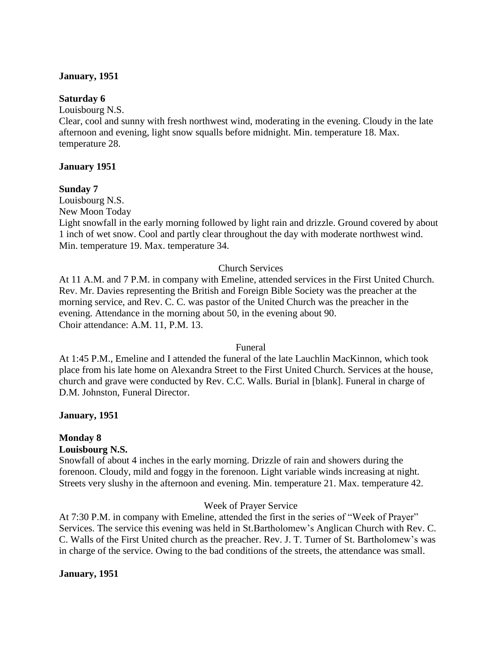#### **January, 1951**

#### **Saturday 6**

Louisbourg N.S.

Clear, cool and sunny with fresh northwest wind, moderating in the evening. Cloudy in the late afternoon and evening, light snow squalls before midnight. Min. temperature 18. Max. temperature 28.

#### **January 1951**

#### **Sunday 7**

Louisbourg N.S. New Moon Today

Light snowfall in the early morning followed by light rain and drizzle. Ground covered by about 1 inch of wet snow. Cool and partly clear throughout the day with moderate northwest wind. Min. temperature 19. Max. temperature 34.

#### Church Services

At 11 A.M. and 7 P.M. in company with Emeline, attended services in the First United Church. Rev. Mr. Davies representing the British and Foreign Bible Society was the preacher at the morning service, and Rev. C. C. was pastor of the United Church was the preacher in the evening. Attendance in the morning about 50, in the evening about 90. Choir attendance: A.M. 11, P.M. 13.

#### Funeral

At 1:45 P.M., Emeline and I attended the funeral of the late Lauchlin MacKinnon, which took place from his late home on Alexandra Street to the First United Church. Services at the house, church and grave were conducted by Rev. C.C. Walls. Burial in [blank]. Funeral in charge of D.M. Johnston, Funeral Director.

#### **January, 1951**

#### **Monday 8**

#### **Louisbourg N.S.**

Snowfall of about 4 inches in the early morning. Drizzle of rain and showers during the forenoon. Cloudy, mild and foggy in the forenoon. Light variable winds increasing at night. Streets very slushy in the afternoon and evening. Min. temperature 21. Max. temperature 42.

#### Week of Prayer Service

At 7:30 P.M. in company with Emeline, attended the first in the series of "Week of Prayer" Services. The service this evening was held in St.Bartholomew's Anglican Church with Rev. C. C. Walls of the First United church as the preacher. Rev. J. T. Turner of St. Bartholomew's was in charge of the service. Owing to the bad conditions of the streets, the attendance was small.

#### **January, 1951**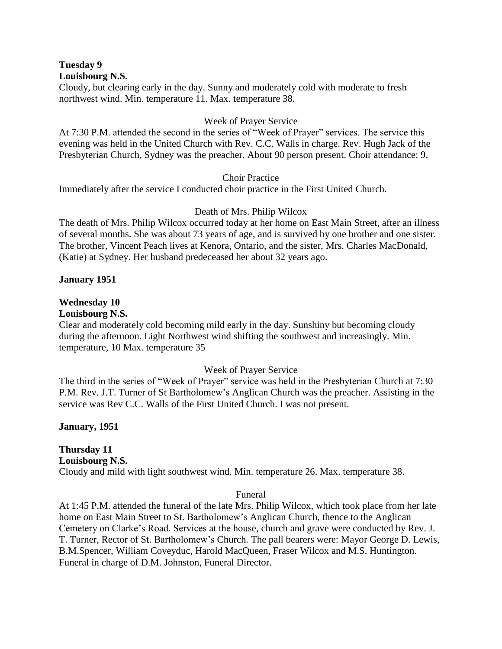**Tuesday 9 Louisbourg N.S.**

Cloudy, but clearing early in the day. Sunny and moderately cold with moderate to fresh northwest wind. Min. temperature 11. Max. temperature 38.

#### Week of Prayer Service

At 7:30 P.M. attended the second in the series of "Week of Prayer" services. The service this evening was held in the United Church with Rev. C.C. Walls in charge. Rev. Hugh Jack of the Presbyterian Church, Sydney was the preacher. About 90 person present. Choir attendance: 9.

## Choir Practice

Immediately after the service I conducted choir practice in the First United Church.

## Death of Mrs. Philip Wilcox

The death of Mrs. Philip Wilcox occurred today at her home on East Main Street, after an illness of several months. She was about 73 years of age, and is survived by one brother and one sister. The brother, Vincent Peach lives at Kenora, Ontario, and the sister, Mrs. Charles MacDonald, (Katie) at Sydney. Her husband predeceased her about 32 years ago.

#### **January 1951**

## **Wednesday 10**

#### **Louisbourg N.S.**

Clear and moderately cold becoming mild early in the day. Sunshiny but becoming cloudy during the afternoon. Light Northwest wind shifting the southwest and increasingly. Min. temperature, 10 Max. temperature 35

#### Week of Prayer Service

The third in the series of "Week of Prayer" service was held in the Presbyterian Church at 7:30 P.M. Rev. J.T. Turner of St Bartholomew's Anglican Church was the preacher. Assisting in the service was Rev C.C. Walls of the First United Church. I was not present.

**January, 1951**

## **Thursday 11**

## **Louisbourg N.S.**

Cloudy and mild with light southwest wind. Min. temperature 26. Max. temperature 38.

#### Funeral

At 1:45 P.M. attended the funeral of the late Mrs. Philip Wilcox, which took place from her late home on East Main Street to St. Bartholomew's Anglican Church, thence to the Anglican Cemetery on Clarke's Road. Services at the house, church and grave were conducted by Rev. J. T. Turner, Rector of St. Bartholomew's Church. The pall bearers were: Mayor George D. Lewis, B.M.Spencer, William Coveyduc, Harold MacQueen, Fraser Wilcox and M.S. Huntington. Funeral in charge of D.M. Johnston, Funeral Director.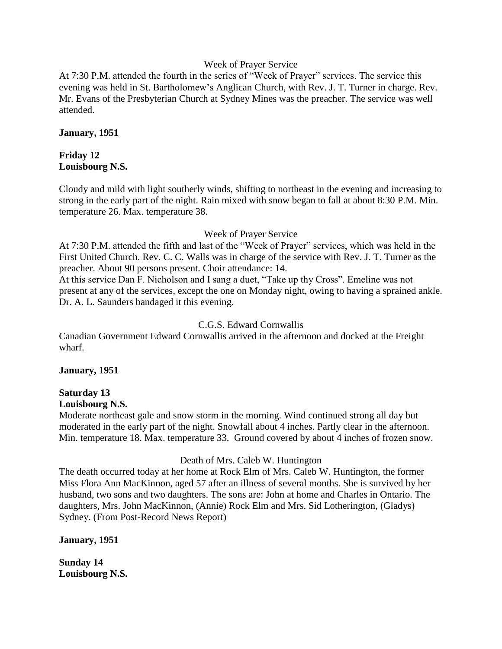#### Week of Prayer Service

At 7:30 P.M. attended the fourth in the series of "Week of Prayer" services. The service this evening was held in St. Bartholomew's Anglican Church, with Rev. J. T. Turner in charge. Rev. Mr. Evans of the Presbyterian Church at Sydney Mines was the preacher. The service was well attended.

#### **January, 1951**

## **Friday 12 Louisbourg N.S.**

Cloudy and mild with light southerly winds, shifting to northeast in the evening and increasing to strong in the early part of the night. Rain mixed with snow began to fall at about 8:30 P.M. Min. temperature 26. Max. temperature 38.

## Week of Prayer Service

At 7:30 P.M. attended the fifth and last of the "Week of Prayer" services, which was held in the First United Church. Rev. C. C. Walls was in charge of the service with Rev. J. T. Turner as the preacher. About 90 persons present. Choir attendance: 14.

At this service Dan F. Nicholson and I sang a duet, "Take up thy Cross". Emeline was not present at any of the services, except the one on Monday night, owing to having a sprained ankle. Dr. A. L. Saunders bandaged it this evening.

## C.G.S. Edward Cornwallis

Canadian Government Edward Cornwallis arrived in the afternoon and docked at the Freight wharf.

## **January, 1951**

# **Saturday 13**

## **Louisbourg N.S.**

Moderate northeast gale and snow storm in the morning. Wind continued strong all day but moderated in the early part of the night. Snowfall about 4 inches. Partly clear in the afternoon. Min. temperature 18. Max. temperature 33. Ground covered by about 4 inches of frozen snow.

#### Death of Mrs. Caleb W. Huntington

The death occurred today at her home at Rock Elm of Mrs. Caleb W. Huntington, the former Miss Flora Ann MacKinnon, aged 57 after an illness of several months. She is survived by her husband, two sons and two daughters. The sons are: John at home and Charles in Ontario. The daughters, Mrs. John MacKinnon, (Annie) Rock Elm and Mrs. Sid Lotherington, (Gladys) Sydney. (From Post-Record News Report)

## **January, 1951**

**Sunday 14 Louisbourg N.S.**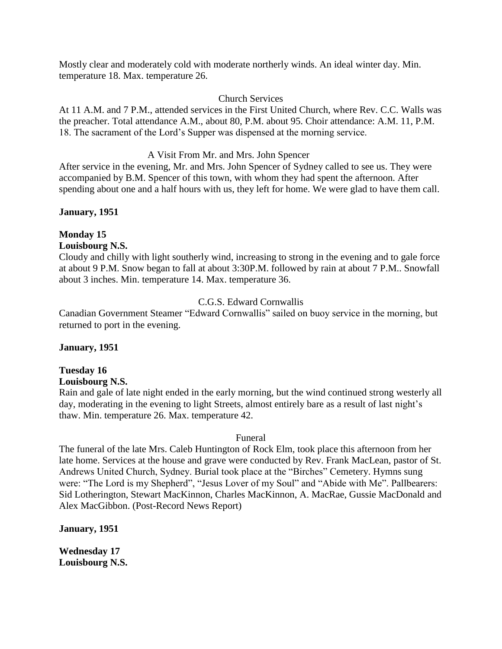Mostly clear and moderately cold with moderate northerly winds. An ideal winter day. Min. temperature 18. Max. temperature 26.

#### Church Services

At 11 A.M. and 7 P.M., attended services in the First United Church, where Rev. C.C. Walls was the preacher. Total attendance A.M., about 80, P.M. about 95. Choir attendance: A.M. 11, P.M. 18. The sacrament of the Lord's Supper was dispensed at the morning service.

## A Visit From Mr. and Mrs. John Spencer

After service in the evening, Mr. and Mrs. John Spencer of Sydney called to see us. They were accompanied by B.M. Spencer of this town, with whom they had spent the afternoon. After spending about one and a half hours with us, they left for home. We were glad to have them call.

## **January, 1951**

# **Monday 15**

## **Louisbourg N.S.**

Cloudy and chilly with light southerly wind, increasing to strong in the evening and to gale force at about 9 P.M. Snow began to fall at about 3:30P.M. followed by rain at about 7 P.M.. Snowfall about 3 inches. Min. temperature 14. Max. temperature 36.

## C.G.S. Edward Cornwallis

Canadian Government Steamer "Edward Cornwallis" sailed on buoy service in the morning, but returned to port in the evening.

## **January, 1951**

## **Tuesday 16**

#### **Louisbourg N.S.**

Rain and gale of late night ended in the early morning, but the wind continued strong westerly all day, moderating in the evening to light Streets, almost entirely bare as a result of last night's thaw. Min. temperature 26. Max. temperature 42.

#### Funeral

The funeral of the late Mrs. Caleb Huntington of Rock Elm, took place this afternoon from her late home. Services at the house and grave were conducted by Rev. Frank MacLean, pastor of St. Andrews United Church, Sydney. Burial took place at the "Birches" Cemetery. Hymns sung were: "The Lord is my Shepherd", "Jesus Lover of my Soul" and "Abide with Me". Pallbearers: Sid Lotherington, Stewart MacKinnon, Charles MacKinnon, A. MacRae, Gussie MacDonald and Alex MacGibbon. (Post-Record News Report)

## **January, 1951**

**Wednesday 17 Louisbourg N.S.**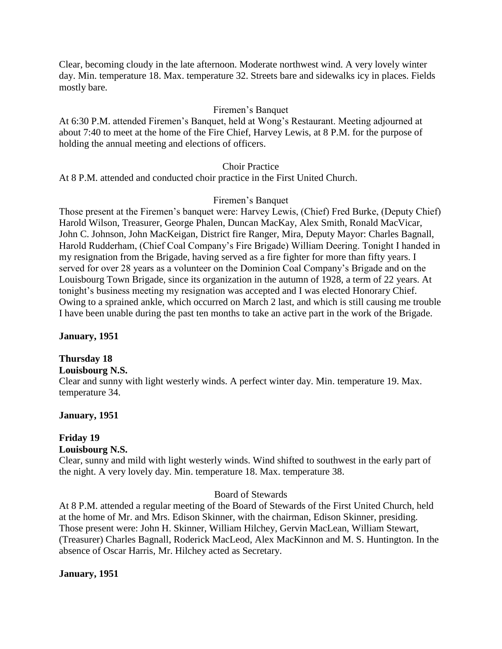Clear, becoming cloudy in the late afternoon. Moderate northwest wind. A very lovely winter day. Min. temperature 18. Max. temperature 32. Streets bare and sidewalks icy in places. Fields mostly bare.

#### Firemen's Banquet

At 6:30 P.M. attended Firemen's Banquet, held at Wong's Restaurant. Meeting adjourned at about 7:40 to meet at the home of the Fire Chief, Harvey Lewis, at 8 P.M. for the purpose of holding the annual meeting and elections of officers.

#### Choir Practice

At 8 P.M. attended and conducted choir practice in the First United Church.

#### Firemen's Banquet

Those present at the Firemen's banquet were: Harvey Lewis, (Chief) Fred Burke, (Deputy Chief) Harold Wilson, Treasurer, George Phalen, Duncan MacKay, Alex Smith, Ronald MacVicar, John C. Johnson, John MacKeigan, District fire Ranger, Mira, Deputy Mayor: Charles Bagnall, Harold Rudderham, (Chief Coal Company's Fire Brigade) William Deering. Tonight I handed in my resignation from the Brigade, having served as a fire fighter for more than fifty years. I served for over 28 years as a volunteer on the Dominion Coal Company's Brigade and on the Louisbourg Town Brigade, since its organization in the autumn of 1928, a term of 22 years. At tonight's business meeting my resignation was accepted and I was elected Honorary Chief. Owing to a sprained ankle, which occurred on March 2 last, and which is still causing me trouble I have been unable during the past ten months to take an active part in the work of the Brigade.

#### **January, 1951**

#### **Thursday 18**

#### **Louisbourg N.S.**

Clear and sunny with light westerly winds. A perfect winter day. Min. temperature 19. Max. temperature 34.

#### **January, 1951**

# **Friday 19**

## **Louisbourg N.S.**

Clear, sunny and mild with light westerly winds. Wind shifted to southwest in the early part of the night. A very lovely day. Min. temperature 18. Max. temperature 38.

#### Board of Stewards

At 8 P.M. attended a regular meeting of the Board of Stewards of the First United Church, held at the home of Mr. and Mrs. Edison Skinner, with the chairman, Edison Skinner, presiding. Those present were: John H. Skinner, William Hilchey, Gervin MacLean, William Stewart, (Treasurer) Charles Bagnall, Roderick MacLeod, Alex MacKinnon and M. S. Huntington. In the absence of Oscar Harris, Mr. Hilchey acted as Secretary.

#### **January, 1951**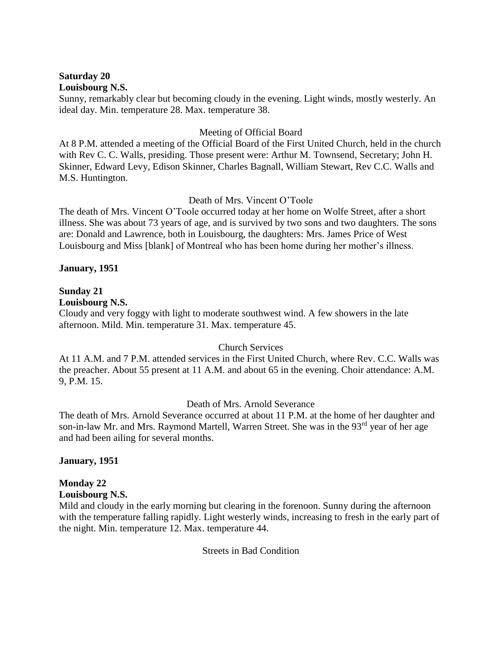#### **Saturday 20 Louisbourg N.S.**

Sunny, remarkably clear but becoming cloudy in the evening. Light winds, mostly westerly. An ideal day. Min. temperature 28. Max. temperature 38.

## Meeting of Official Board

At 8 P.M. attended a meeting of the Official Board of the First United Church, held in the church with Rev C. C. Walls, presiding. Those present were: Arthur M. Townsend, Secretary; John H. Skinner, Edward Levy, Edison Skinner, Charles Bagnall, William Stewart, Rev C.C. Walls and M.S. Huntington.

## Death of Mrs. Vincent O'Toole

The death of Mrs. Vincent O'Toole occurred today at her home on Wolfe Street, after a short illness. She was about 73 years of age, and is survived by two sons and two daughters. The sons are: Donald and Lawrence, both in Louisbourg, the daughters: Mrs. James Price of West Louisbourg and Miss [blank] of Montreal who has been home during her mother's illness.

## **January, 1951**

## **Sunday 21**

#### **Louisbourg N.S.**

Cloudy and very foggy with light to moderate southwest wind. A few showers in the late afternoon. Mild. Min. temperature 31. Max. temperature 45.

#### Church Services

At 11 A.M. and 7 P.M. attended services in the First United Church, where Rev. C.C. Walls was the preacher. About 55 present at 11 A.M. and about 65 in the evening. Choir attendance: A.M. 9, P.M. 15.

## Death of Mrs. Arnold Severance

The death of Mrs. Arnold Severance occurred at about 11 P.M. at the home of her daughter and son-in-law Mr. and Mrs. Raymond Martell, Warren Street. She was in the 93<sup>rd</sup> year of her age and had been ailing for several months.

#### **January, 1951**

## **Monday 22**

#### **Louisbourg N.S.**

Mild and cloudy in the early morning but clearing in the forenoon. Sunny during the afternoon with the temperature falling rapidly. Light westerly winds, increasing to fresh in the early part of the night. Min. temperature 12. Max. temperature 44.

Streets in Bad Condition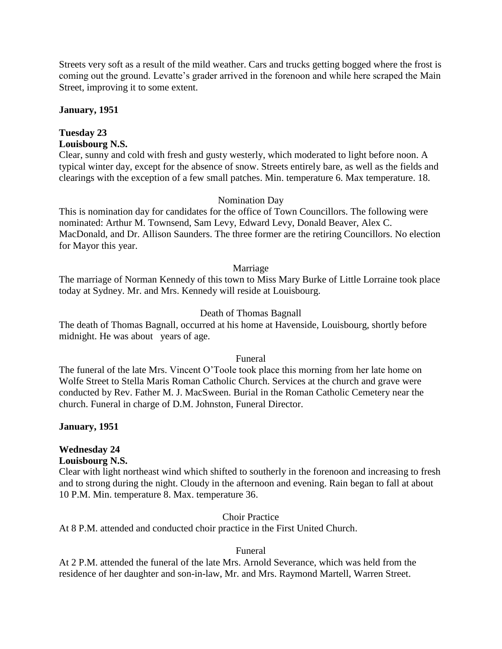Streets very soft as a result of the mild weather. Cars and trucks getting bogged where the frost is coming out the ground. Levatte's grader arrived in the forenoon and while here scraped the Main Street, improving it to some extent.

#### **January, 1951**

## **Tuesday 23**

## **Louisbourg N.S.**

Clear, sunny and cold with fresh and gusty westerly, which moderated to light before noon. A typical winter day, except for the absence of snow. Streets entirely bare, as well as the fields and clearings with the exception of a few small patches. Min. temperature 6. Max temperature. 18.

#### Nomination Day

This is nomination day for candidates for the office of Town Councillors. The following were nominated: Arthur M. Townsend, Sam Levy, Edward Levy, Donald Beaver, Alex C. MacDonald, and Dr. Allison Saunders. The three former are the retiring Councillors. No election for Mayor this year.

#### Marriage

The marriage of Norman Kennedy of this town to Miss Mary Burke of Little Lorraine took place today at Sydney. Mr. and Mrs. Kennedy will reside at Louisbourg.

## Death of Thomas Bagnall

The death of Thomas Bagnall, occurred at his home at Havenside, Louisbourg, shortly before midnight. He was about years of age.

#### Funeral

The funeral of the late Mrs. Vincent O'Toole took place this morning from her late home on Wolfe Street to Stella Maris Roman Catholic Church. Services at the church and grave were conducted by Rev. Father M. J. MacSween. Burial in the Roman Catholic Cemetery near the church. Funeral in charge of D.M. Johnston, Funeral Director.

#### **January, 1951**

## **Wednesday 24**

#### **Louisbourg N.S.**

Clear with light northeast wind which shifted to southerly in the forenoon and increasing to fresh and to strong during the night. Cloudy in the afternoon and evening. Rain began to fall at about 10 P.M. Min. temperature 8. Max. temperature 36.

#### Choir Practice

At 8 P.M. attended and conducted choir practice in the First United Church.

#### Funeral

At 2 P.M. attended the funeral of the late Mrs. Arnold Severance, which was held from the residence of her daughter and son-in-law, Mr. and Mrs. Raymond Martell, Warren Street.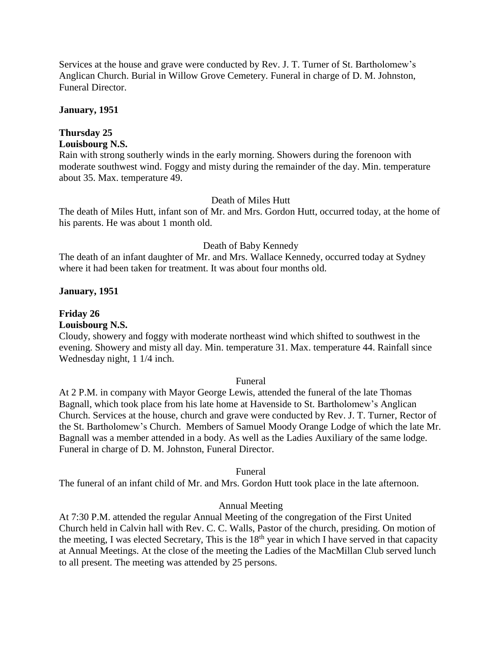Services at the house and grave were conducted by Rev. J. T. Turner of St. Bartholomew's Anglican Church. Burial in Willow Grove Cemetery. Funeral in charge of D. M. Johnston, Funeral Director.

#### **January, 1951**

## **Thursday 25**

## **Louisbourg N.S.**

Rain with strong southerly winds in the early morning. Showers during the forenoon with moderate southwest wind. Foggy and misty during the remainder of the day. Min. temperature about 35. Max. temperature 49.

#### Death of Miles Hutt

The death of Miles Hutt, infant son of Mr. and Mrs. Gordon Hutt, occurred today, at the home of his parents. He was about 1 month old.

#### Death of Baby Kennedy

The death of an infant daughter of Mr. and Mrs. Wallace Kennedy, occurred today at Sydney where it had been taken for treatment. It was about four months old.

#### **January, 1951**

## **Friday 26**

#### **Louisbourg N.S.**

Cloudy, showery and foggy with moderate northeast wind which shifted to southwest in the evening. Showery and misty all day. Min. temperature 31. Max. temperature 44. Rainfall since Wednesday night, 1 1/4 inch.

#### Funeral

At 2 P.M. in company with Mayor George Lewis, attended the funeral of the late Thomas Bagnall, which took place from his late home at Havenside to St. Bartholomew's Anglican Church. Services at the house, church and grave were conducted by Rev. J. T. Turner, Rector of the St. Bartholomew's Church. Members of Samuel Moody Orange Lodge of which the late Mr. Bagnall was a member attended in a body. As well as the Ladies Auxiliary of the same lodge. Funeral in charge of D. M. Johnston, Funeral Director.

#### Funeral

The funeral of an infant child of Mr. and Mrs. Gordon Hutt took place in the late afternoon.

#### Annual Meeting

At 7:30 P.M. attended the regular Annual Meeting of the congregation of the First United Church held in Calvin hall with Rev. C. C. Walls, Pastor of the church, presiding. On motion of the meeting, I was elected Secretary, This is the  $18<sup>th</sup>$  year in which I have served in that capacity at Annual Meetings. At the close of the meeting the Ladies of the MacMillan Club served lunch to all present. The meeting was attended by 25 persons.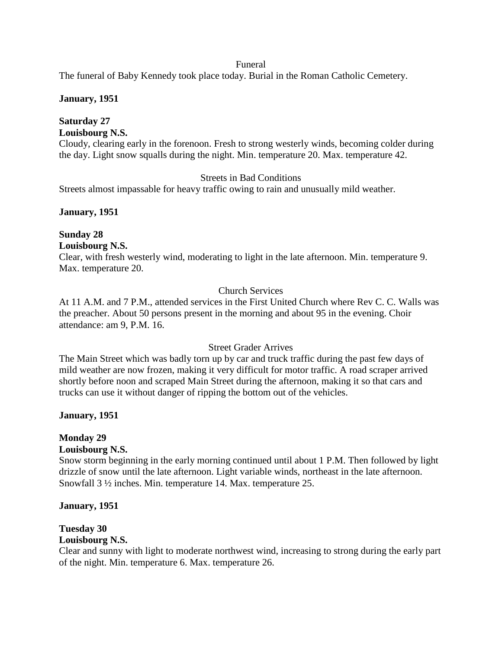#### Funeral

The funeral of Baby Kennedy took place today. Burial in the Roman Catholic Cemetery.

#### **January, 1951**

## **Saturday 27**

## **Louisbourg N.S.**

Cloudy, clearing early in the forenoon. Fresh to strong westerly winds, becoming colder during the day. Light snow squalls during the night. Min. temperature 20. Max. temperature 42.

## Streets in Bad Conditions

Streets almost impassable for heavy traffic owing to rain and unusually mild weather.

## **January, 1951**

# **Sunday 28**

## **Louisbourg N.S.**

Clear, with fresh westerly wind, moderating to light in the late afternoon. Min. temperature 9. Max. temperature 20.

## Church Services

At 11 A.M. and 7 P.M., attended services in the First United Church where Rev C. C. Walls was the preacher. About 50 persons present in the morning and about 95 in the evening. Choir attendance: am 9, P.M. 16.

#### Street Grader Arrives

The Main Street which was badly torn up by car and truck traffic during the past few days of mild weather are now frozen, making it very difficult for motor traffic. A road scraper arrived shortly before noon and scraped Main Street during the afternoon, making it so that cars and trucks can use it without danger of ripping the bottom out of the vehicles.

#### **January, 1951**

## **Monday 29**

#### **Louisbourg N.S.**

Snow storm beginning in the early morning continued until about 1 P.M. Then followed by light drizzle of snow until the late afternoon. Light variable winds, northeast in the late afternoon. Snowfall 3 ½ inches. Min. temperature 14. Max. temperature 25.

#### **January, 1951**

# **Tuesday 30**

## **Louisbourg N.S.**

Clear and sunny with light to moderate northwest wind, increasing to strong during the early part of the night. Min. temperature 6. Max. temperature 26.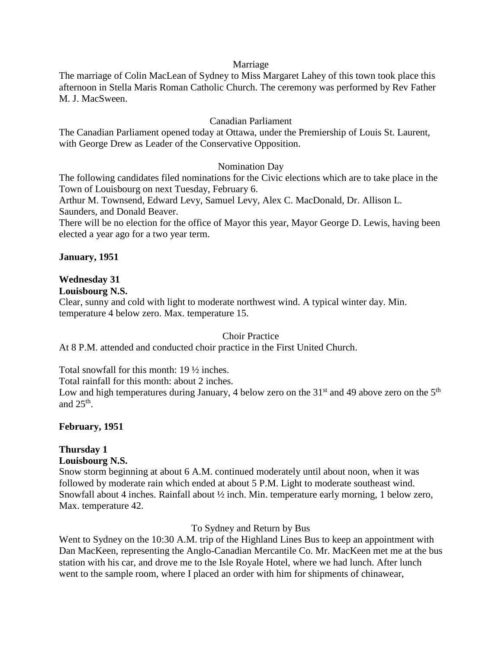#### Marriage

The marriage of Colin MacLean of Sydney to Miss Margaret Lahey of this town took place this afternoon in Stella Maris Roman Catholic Church. The ceremony was performed by Rev Father M. J. MacSween.

#### Canadian Parliament

The Canadian Parliament opened today at Ottawa, under the Premiership of Louis St. Laurent, with George Drew as Leader of the Conservative Opposition.

#### Nomination Day

The following candidates filed nominations for the Civic elections which are to take place in the Town of Louisbourg on next Tuesday, February 6.

Arthur M. Townsend, Edward Levy, Samuel Levy, Alex C. MacDonald, Dr. Allison L. Saunders, and Donald Beaver.

There will be no election for the office of Mayor this year, Mayor George D. Lewis, having been elected a year ago for a two year term.

#### **January, 1951**

#### **Wednesday 31**

#### **Louisbourg N.S.**

Clear, sunny and cold with light to moderate northwest wind. A typical winter day. Min. temperature 4 below zero. Max. temperature 15.

#### Choir Practice

At 8 P.M. attended and conducted choir practice in the First United Church.

Total snowfall for this month: 19 ½ inches.

Total rainfall for this month: about 2 inches.

Low and high temperatures during January, 4 below zero on the  $31<sup>st</sup>$  and 49 above zero on the  $5<sup>th</sup>$ and  $25<sup>th</sup>$ .

#### **February, 1951**

## **Thursday 1**

## **Louisbourg N.S.**

Snow storm beginning at about 6 A.M. continued moderately until about noon, when it was followed by moderate rain which ended at about 5 P.M. Light to moderate southeast wind. Snowfall about 4 inches. Rainfall about ½ inch. Min. temperature early morning, 1 below zero, Max. temperature 42.

To Sydney and Return by Bus

Went to Sydney on the 10:30 A.M. trip of the Highland Lines Bus to keep an appointment with Dan MacKeen, representing the Anglo-Canadian Mercantile Co. Mr. MacKeen met me at the bus station with his car, and drove me to the Isle Royale Hotel, where we had lunch. After lunch went to the sample room, where I placed an order with him for shipments of chinawear,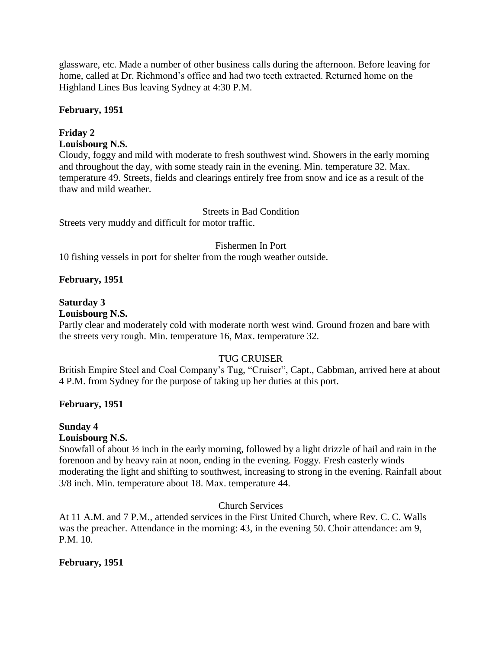glassware, etc. Made a number of other business calls during the afternoon. Before leaving for home, called at Dr. Richmond's office and had two teeth extracted. Returned home on the Highland Lines Bus leaving Sydney at 4:30 P.M.

## **February, 1951**

## **Friday 2**

## **Louisbourg N.S.**

Cloudy, foggy and mild with moderate to fresh southwest wind. Showers in the early morning and throughout the day, with some steady rain in the evening. Min. temperature 32. Max. temperature 49. Streets, fields and clearings entirely free from snow and ice as a result of the thaw and mild weather.

## Streets in Bad Condition

Streets very muddy and difficult for motor traffic.

#### Fishermen In Port

10 fishing vessels in port for shelter from the rough weather outside.

## **February, 1951**

## **Saturday 3**

#### **Louisbourg N.S.**

Partly clear and moderately cold with moderate north west wind. Ground frozen and bare with the streets very rough. Min. temperature 16, Max. temperature 32.

## TUG CRUISER

British Empire Steel and Coal Company's Tug, "Cruiser", Capt., Cabbman, arrived here at about 4 P.M. from Sydney for the purpose of taking up her duties at this port.

## **February, 1951**

## **Sunday 4**

## **Louisbourg N.S.**

Snowfall of about ½ inch in the early morning, followed by a light drizzle of hail and rain in the forenoon and by heavy rain at noon, ending in the evening. Foggy. Fresh easterly winds moderating the light and shifting to southwest, increasing to strong in the evening. Rainfall about 3/8 inch. Min. temperature about 18. Max. temperature 44.

## Church Services

At 11 A.M. and 7 P.M., attended services in the First United Church, where Rev. C. C. Walls was the preacher. Attendance in the morning: 43, in the evening 50. Choir attendance: am 9, P.M. 10.

## **February, 1951**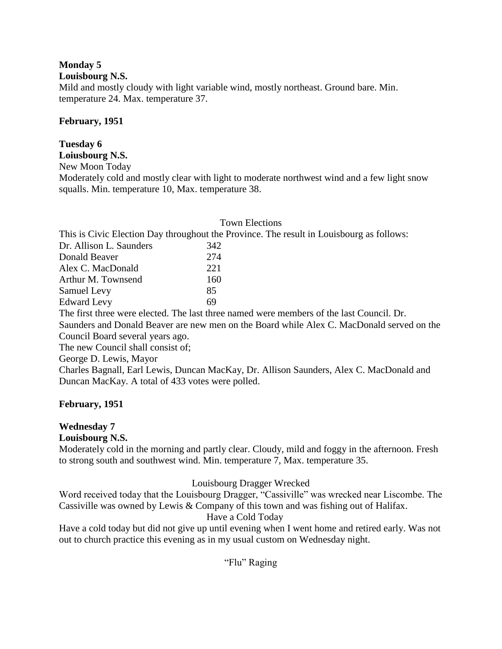## **Monday 5**

**Louisbourg N.S.**

Mild and mostly cloudy with light variable wind, mostly northeast. Ground bare. Min. temperature 24. Max. temperature 37.

## **February, 1951**

## **Tuesday 6**

## **Loiusbourg N.S.**

New Moon Today

Moderately cold and mostly clear with light to moderate northwest wind and a few light snow squalls. Min. temperature 10, Max. temperature 38.

#### Town Elections

This is Civic Election Day throughout the Province. The result in Louisbourg as follows:

| Dr. Allison L. Saunders |  | 342  |
|-------------------------|--|------|
| Donald Beaver           |  | 274  |
| Alex C. MacDonald       |  | 22.1 |
| Arthur M. Townsend      |  | 160  |
| Samuel Levy             |  | 85   |
| <b>Edward Levy</b>      |  | 69   |

The first three were elected. The last three named were members of the last Council. Dr.

Saunders and Donald Beaver are new men on the Board while Alex C. MacDonald served on the Council Board several years ago.

The new Council shall consist of;

## George D. Lewis, Mayor

Charles Bagnall, Earl Lewis, Duncan MacKay, Dr. Allison Saunders, Alex C. MacDonald and Duncan MacKay. A total of 433 votes were polled.

## **February, 1951**

## **Wednesday 7**

**Louisbourg N.S.**

Moderately cold in the morning and partly clear. Cloudy, mild and foggy in the afternoon. Fresh to strong south and southwest wind. Min. temperature 7, Max. temperature 35.

## Louisbourg Dragger Wrecked

Word received today that the Louisbourg Dragger, "Cassiville" was wrecked near Liscombe. The Cassiville was owned by Lewis & Company of this town and was fishing out of Halifax.

## Have a Cold Today

Have a cold today but did not give up until evening when I went home and retired early. Was not out to church practice this evening as in my usual custom on Wednesday night.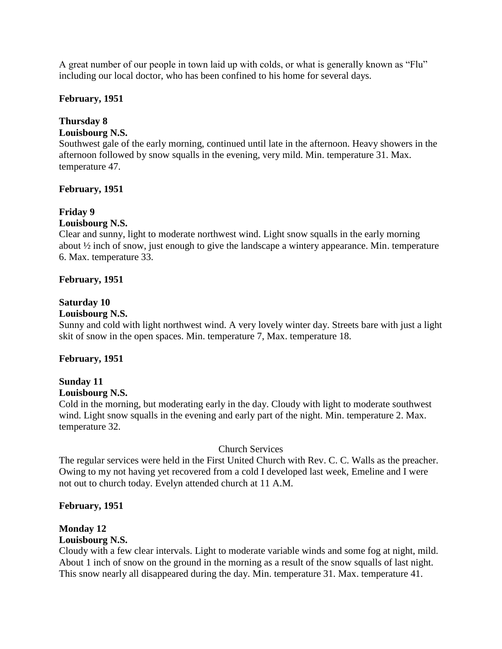A great number of our people in town laid up with colds, or what is generally known as "Flu" including our local doctor, who has been confined to his home for several days.

#### **February, 1951**

## **Thursday 8**

## **Louisbourg N.S.**

Southwest gale of the early morning, continued until late in the afternoon. Heavy showers in the afternoon followed by snow squalls in the evening, very mild. Min. temperature 31. Max. temperature 47.

## **February, 1951**

## **Friday 9**

#### **Louisbourg N.S.**

Clear and sunny, light to moderate northwest wind. Light snow squalls in the early morning about ½ inch of snow, just enough to give the landscape a wintery appearance. Min. temperature 6. Max. temperature 33.

## **February, 1951**

## **Saturday 10**

#### **Louisbourg N.S.**

Sunny and cold with light northwest wind. A very lovely winter day. Streets bare with just a light skit of snow in the open spaces. Min. temperature 7, Max. temperature 18.

#### **February, 1951**

## **Sunday 11**

#### **Louisbourg N.S.**

Cold in the morning, but moderating early in the day. Cloudy with light to moderate southwest wind. Light snow squalls in the evening and early part of the night. Min. temperature 2. Max. temperature 32.

#### Church Services

The regular services were held in the First United Church with Rev. C. C. Walls as the preacher. Owing to my not having yet recovered from a cold I developed last week, Emeline and I were not out to church today. Evelyn attended church at 11 A.M.

#### **February, 1951**

## **Monday 12**

#### **Louisbourg N.S.**

Cloudy with a few clear intervals. Light to moderate variable winds and some fog at night, mild. About 1 inch of snow on the ground in the morning as a result of the snow squalls of last night. This snow nearly all disappeared during the day. Min. temperature 31. Max. temperature 41.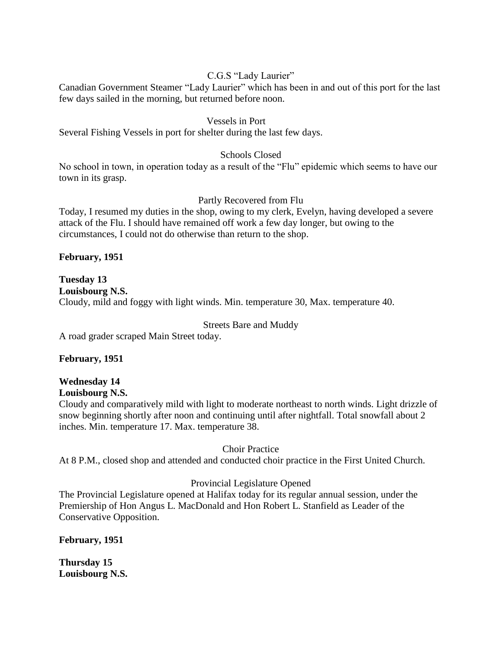## C.G.S "Lady Laurier"

Canadian Government Steamer "Lady Laurier" which has been in and out of this port for the last few days sailed in the morning, but returned before noon.

#### Vessels in Port

Several Fishing Vessels in port for shelter during the last few days.

#### Schools Closed

No school in town, in operation today as a result of the "Flu" epidemic which seems to have our town in its grasp.

#### Partly Recovered from Flu

Today, I resumed my duties in the shop, owing to my clerk, Evelyn, having developed a severe attack of the Flu. I should have remained off work a few day longer, but owing to the circumstances, I could not do otherwise than return to the shop.

#### **February, 1951**

**Tuesday 13 Louisbourg N.S.** Cloudy, mild and foggy with light winds. Min. temperature 30, Max. temperature 40.

#### Streets Bare and Muddy

A road grader scraped Main Street today.

#### **February, 1951**

# **Wednesday 14**

## **Louisbourg N.S.**

Cloudy and comparatively mild with light to moderate northeast to north winds. Light drizzle of snow beginning shortly after noon and continuing until after nightfall. Total snowfall about 2 inches. Min. temperature 17. Max. temperature 38.

#### Choir Practice

At 8 P.M., closed shop and attended and conducted choir practice in the First United Church.

#### Provincial Legislature Opened

The Provincial Legislature opened at Halifax today for its regular annual session, under the Premiership of Hon Angus L. MacDonald and Hon Robert L. Stanfield as Leader of the Conservative Opposition.

**February, 1951**

**Thursday 15 Louisbourg N.S.**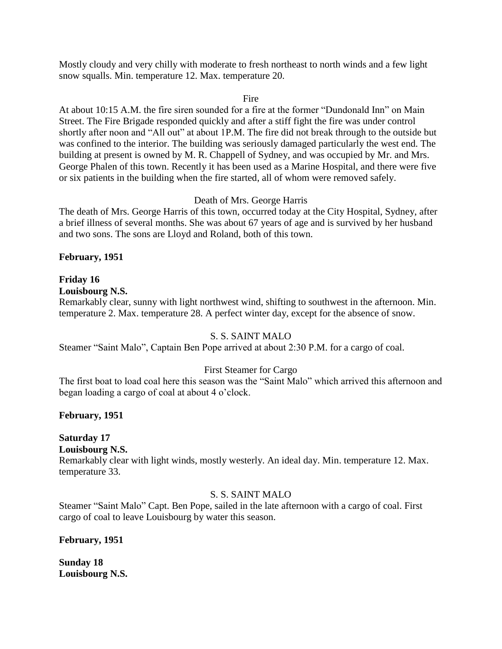Mostly cloudy and very chilly with moderate to fresh northeast to north winds and a few light snow squalls. Min. temperature 12. Max. temperature 20.

#### Fire

At about 10:15 A.M. the fire siren sounded for a fire at the former "Dundonald Inn" on Main Street. The Fire Brigade responded quickly and after a stiff fight the fire was under control shortly after noon and "All out" at about 1P.M. The fire did not break through to the outside but was confined to the interior. The building was seriously damaged particularly the west end. The building at present is owned by M. R. Chappell of Sydney, and was occupied by Mr. and Mrs. George Phalen of this town. Recently it has been used as a Marine Hospital, and there were five or six patients in the building when the fire started, all of whom were removed safely.

## Death of Mrs. George Harris

The death of Mrs. George Harris of this town, occurred today at the City Hospital, Sydney, after a brief illness of several months. She was about 67 years of age and is survived by her husband and two sons. The sons are Lloyd and Roland, both of this town.

## **February, 1951**

## **Friday 16**

#### **Louisbourg N.S.**

Remarkably clear, sunny with light northwest wind, shifting to southwest in the afternoon. Min. temperature 2. Max. temperature 28. A perfect winter day, except for the absence of snow.

#### S. S. SAINT MALO

Steamer "Saint Malo", Captain Ben Pope arrived at about 2:30 P.M. for a cargo of coal.

#### First Steamer for Cargo

The first boat to load coal here this season was the "Saint Malo" which arrived this afternoon and began loading a cargo of coal at about 4 o'clock.

#### **February, 1951**

## **Saturday 17**

**Louisbourg N.S.**

Remarkably clear with light winds, mostly westerly. An ideal day. Min. temperature 12. Max. temperature 33.

#### S. S. SAINT MALO

Steamer "Saint Malo" Capt. Ben Pope, sailed in the late afternoon with a cargo of coal. First cargo of coal to leave Louisbourg by water this season.

#### **February, 1951**

**Sunday 18 Louisbourg N.S.**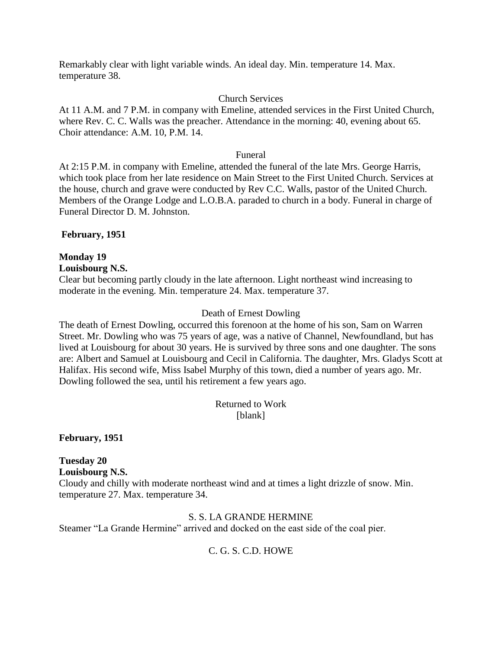Remarkably clear with light variable winds. An ideal day. Min. temperature 14. Max. temperature 38.

## Church Services

At 11 A.M. and 7 P.M. in company with Emeline, attended services in the First United Church, where Rev. C. C. Walls was the preacher. Attendance in the morning: 40, evening about 65. Choir attendance: A.M. 10, P.M. 14.

#### Funeral

At 2:15 P.M. in company with Emeline, attended the funeral of the late Mrs. George Harris, which took place from her late residence on Main Street to the First United Church. Services at the house, church and grave were conducted by Rev C.C. Walls, pastor of the United Church. Members of the Orange Lodge and L.O.B.A. paraded to church in a body. Funeral in charge of Funeral Director D. M. Johnston.

## **February, 1951**

## **Monday 19**

#### **Louisbourg N.S.**

Clear but becoming partly cloudy in the late afternoon. Light northeast wind increasing to moderate in the evening. Min. temperature 24. Max. temperature 37.

## Death of Ernest Dowling

The death of Ernest Dowling, occurred this forenoon at the home of his son, Sam on Warren Street. Mr. Dowling who was 75 years of age, was a native of Channel, Newfoundland, but has lived at Louisbourg for about 30 years. He is survived by three sons and one daughter. The sons are: Albert and Samuel at Louisbourg and Cecil in California. The daughter, Mrs. Gladys Scott at Halifax. His second wife, Miss Isabel Murphy of this town, died a number of years ago. Mr. Dowling followed the sea, until his retirement a few years ago.

> Returned to Work [blank]

**February, 1951**

**Tuesday 20 Louisbourg N.S.** Cloudy and chilly with moderate northeast wind and at times a light drizzle of snow. Min. temperature 27. Max. temperature 34.

#### S. S. LA GRANDE HERMINE

Steamer "La Grande Hermine" arrived and docked on the east side of the coal pier.

## C. G. S. C.D. HOWE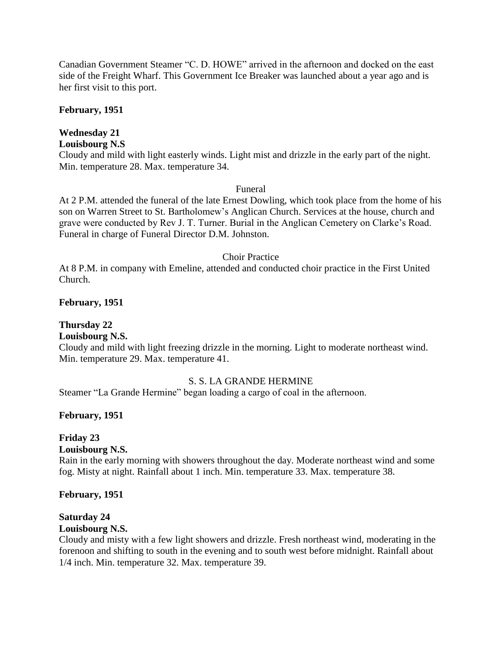Canadian Government Steamer "C. D. HOWE" arrived in the afternoon and docked on the east side of the Freight Wharf. This Government Ice Breaker was launched about a year ago and is her first visit to this port.

#### **February, 1951**

## **Wednesday 21**

#### **Louisbourg N.S**

Cloudy and mild with light easterly winds. Light mist and drizzle in the early part of the night. Min. temperature 28. Max. temperature 34.

#### Funeral

At 2 P.M. attended the funeral of the late Ernest Dowling, which took place from the home of his son on Warren Street to St. Bartholomew's Anglican Church. Services at the house, church and grave were conducted by Rev J. T. Turner. Burial in the Anglican Cemetery on Clarke's Road. Funeral in charge of Funeral Director D.M. Johnston.

#### Choir Practice

At 8 P.M. in company with Emeline, attended and conducted choir practice in the First United Church.

#### **February, 1951**

## **Thursday 22**

#### **Louisbourg N.S.**

Cloudy and mild with light freezing drizzle in the morning. Light to moderate northeast wind. Min. temperature 29. Max. temperature 41.

#### S. S. LA GRANDE HERMINE

Steamer "La Grande Hermine" began loading a cargo of coal in the afternoon.

#### **February, 1951**

#### **Friday 23**

**Louisbourg N.S.**

Rain in the early morning with showers throughout the day. Moderate northeast wind and some fog. Misty at night. Rainfall about 1 inch. Min. temperature 33. Max. temperature 38.

#### **February, 1951**

#### **Saturday 24**

#### **Louisbourg N.S.**

Cloudy and misty with a few light showers and drizzle. Fresh northeast wind, moderating in the forenoon and shifting to south in the evening and to south west before midnight. Rainfall about 1/4 inch. Min. temperature 32. Max. temperature 39.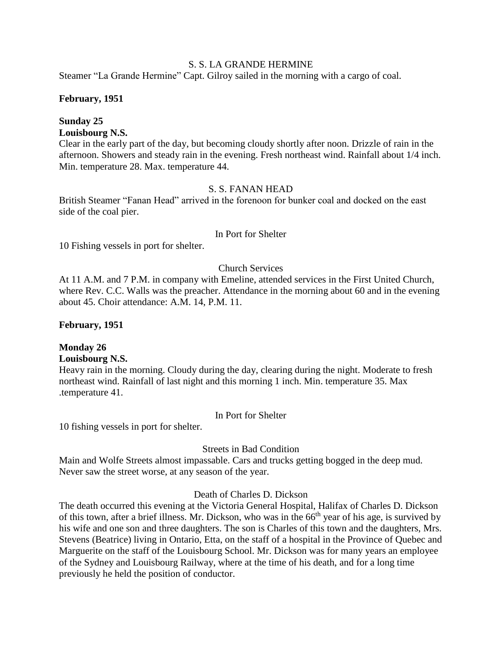## S. S. LA GRANDE HERMINE

Steamer "La Grande Hermine" Capt. Gilroy sailed in the morning with a cargo of coal.

#### **February, 1951**

## **Sunday 25**

## **Louisbourg N.S.**

Clear in the early part of the day, but becoming cloudy shortly after noon. Drizzle of rain in the afternoon. Showers and steady rain in the evening. Fresh northeast wind. Rainfall about 1/4 inch. Min. temperature 28. Max. temperature 44.

## S. S. FANAN HEAD

British Steamer "Fanan Head" arrived in the forenoon for bunker coal and docked on the east side of the coal pier.

#### In Port for Shelter

10 Fishing vessels in port for shelter.

## Church Services

At 11 A.M. and 7 P.M. in company with Emeline, attended services in the First United Church, where Rev. C.C. Walls was the preacher. Attendance in the morning about 60 and in the evening about 45. Choir attendance: A.M. 14, P.M. 11.

#### **February, 1951**

## **Monday 26**

#### **Louisbourg N.S.**

Heavy rain in the morning. Cloudy during the day, clearing during the night. Moderate to fresh northeast wind. Rainfall of last night and this morning 1 inch. Min. temperature 35. Max .temperature 41.

#### In Port for Shelter

10 fishing vessels in port for shelter.

#### Streets in Bad Condition

Main and Wolfe Streets almost impassable. Cars and trucks getting bogged in the deep mud. Never saw the street worse, at any season of the year.

#### Death of Charles D. Dickson

The death occurred this evening at the Victoria General Hospital, Halifax of Charles D. Dickson of this town, after a brief illness. Mr. Dickson, who was in the 66<sup>th</sup> year of his age, is survived by his wife and one son and three daughters. The son is Charles of this town and the daughters, Mrs. Stevens (Beatrice) living in Ontario, Etta, on the staff of a hospital in the Province of Quebec and Marguerite on the staff of the Louisbourg School. Mr. Dickson was for many years an employee of the Sydney and Louisbourg Railway, where at the time of his death, and for a long time previously he held the position of conductor.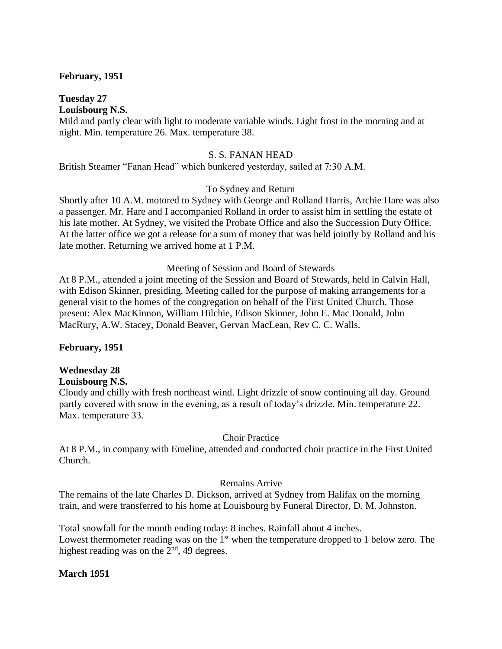#### **February, 1951**

#### **Tuesday 27 Louisbourg N.S.**

Mild and partly clear with light to moderate variable winds. Light frost in the morning and at night. Min. temperature 26. Max. temperature 38.

#### S. S. FANAN HEAD

British Steamer "Fanan Head" which bunkered yesterday, sailed at 7:30 A.M.

#### To Sydney and Return

Shortly after 10 A.M. motored to Sydney with George and Rolland Harris, Archie Hare was also a passenger. Mr. Hare and I accompanied Rolland in order to assist him in settling the estate of his late mother. At Sydney, we visited the Probate Office and also the Succession Duty Office. At the latter office we got a release for a sum of money that was held jointly by Rolland and his late mother. Returning we arrived home at 1 P.M.

#### Meeting of Session and Board of Stewards

At 8 P.M., attended a joint meeting of the Session and Board of Stewards, held in Calvin Hall, with Edison Skinner, presiding. Meeting called for the purpose of making arrangements for a general visit to the homes of the congregation on behalf of the First United Church. Those present: Alex MacKinnon, William Hilchie, Edison Skinner, John E. Mac Donald, John MacRury, A.W. Stacey, Donald Beaver, Gervan MacLean, Rev C. C. Walls.

#### **February, 1951**

#### **Wednesday 28**

#### **Louisbourg N.S.**

Cloudy and chilly with fresh northeast wind. Light drizzle of snow continuing all day. Ground partly covered with snow in the evening, as a result of today's drizzle. Min. temperature 22. Max. temperature 33.

#### Choir Practice

At 8 P.M., in company with Emeline, attended and conducted choir practice in the First United Church.

#### Remains Arrive

The remains of the late Charles D. Dickson, arrived at Sydney from Halifax on the morning train, and were transferred to his home at Louisbourg by Funeral Director, D. M. Johnston.

Total snowfall for the month ending today: 8 inches. Rainfall about 4 inches. Lowest thermometer reading was on the  $1<sup>st</sup>$  when the temperature dropped to 1 below zero. The highest reading was on the  $2<sup>nd</sup>$ , 49 degrees.

#### **March 1951**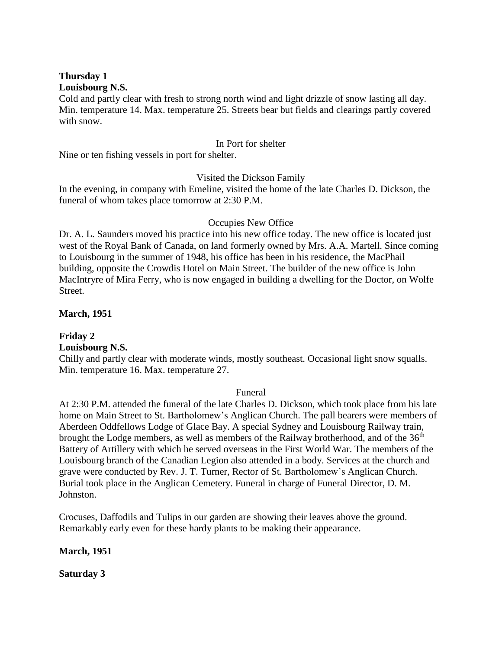#### **Thursday 1 Louisbourg N.S.**

Cold and partly clear with fresh to strong north wind and light drizzle of snow lasting all day. Min. temperature 14. Max. temperature 25. Streets bear but fields and clearings partly covered with snow.

#### In Port for shelter

Nine or ten fishing vessels in port for shelter.

## Visited the Dickson Family

In the evening, in company with Emeline, visited the home of the late Charles D. Dickson, the funeral of whom takes place tomorrow at 2:30 P.M.

## Occupies New Office

Dr. A. L. Saunders moved his practice into his new office today. The new office is located just west of the Royal Bank of Canada, on land formerly owned by Mrs. A.A. Martell. Since coming to Louisbourg in the summer of 1948, his office has been in his residence, the MacPhail building, opposite the Crowdis Hotel on Main Street. The builder of the new office is John MacIntryre of Mira Ferry, who is now engaged in building a dwelling for the Doctor, on Wolfe Street.

## **March, 1951**

**Friday 2 Louisbourg N.S.**

Chilly and partly clear with moderate winds, mostly southeast. Occasional light snow squalls. Min. temperature 16. Max. temperature 27.

#### Funeral

At 2:30 P.M. attended the funeral of the late Charles D. Dickson, which took place from his late home on Main Street to St. Bartholomew's Anglican Church. The pall bearers were members of Aberdeen Oddfellows Lodge of Glace Bay. A special Sydney and Louisbourg Railway train, brought the Lodge members, as well as members of the Railway brotherhood, and of the  $36<sup>th</sup>$ Battery of Artillery with which he served overseas in the First World War. The members of the Louisbourg branch of the Canadian Legion also attended in a body. Services at the church and grave were conducted by Rev. J. T. Turner, Rector of St. Bartholomew's Anglican Church. Burial took place in the Anglican Cemetery. Funeral in charge of Funeral Director, D. M. Johnston.

Crocuses, Daffodils and Tulips in our garden are showing their leaves above the ground. Remarkably early even for these hardy plants to be making their appearance.

#### **March, 1951**

**Saturday 3**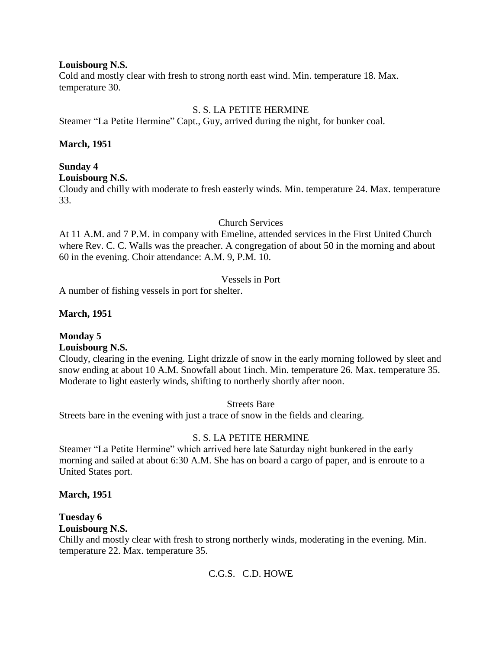#### **Louisbourg N.S.**

Cold and mostly clear with fresh to strong north east wind. Min. temperature 18. Max. temperature 30.

#### S. S. LA PETITE HERMINE

Steamer "La Petite Hermine" Capt., Guy, arrived during the night, for bunker coal.

#### **March, 1951**

## **Sunday 4**

#### **Louisbourg N.S.**

Cloudy and chilly with moderate to fresh easterly winds. Min. temperature 24. Max. temperature 33.

#### Church Services

At 11 A.M. and 7 P.M. in company with Emeline, attended services in the First United Church where Rev. C. C. Walls was the preacher. A congregation of about 50 in the morning and about 60 in the evening. Choir attendance: A.M. 9, P.M. 10.

## Vessels in Port

A number of fishing vessels in port for shelter.

## **March, 1951**

## **Monday 5**

#### **Louisbourg N.S.**

Cloudy, clearing in the evening. Light drizzle of snow in the early morning followed by sleet and snow ending at about 10 A.M. Snowfall about 1inch. Min. temperature 26. Max. temperature 35. Moderate to light easterly winds, shifting to northerly shortly after noon.

Streets Bare

Streets bare in the evening with just a trace of snow in the fields and clearing.

#### S. S. LA PETITE HERMINE

Steamer "La Petite Hermine" which arrived here late Saturday night bunkered in the early morning and sailed at about 6:30 A.M. She has on board a cargo of paper, and is enroute to a United States port.

#### **March, 1951**

## **Tuesday 6**

## **Louisbourg N.S.**

Chilly and mostly clear with fresh to strong northerly winds, moderating in the evening. Min. temperature 22. Max. temperature 35.

## C.G.S. C.D. HOWE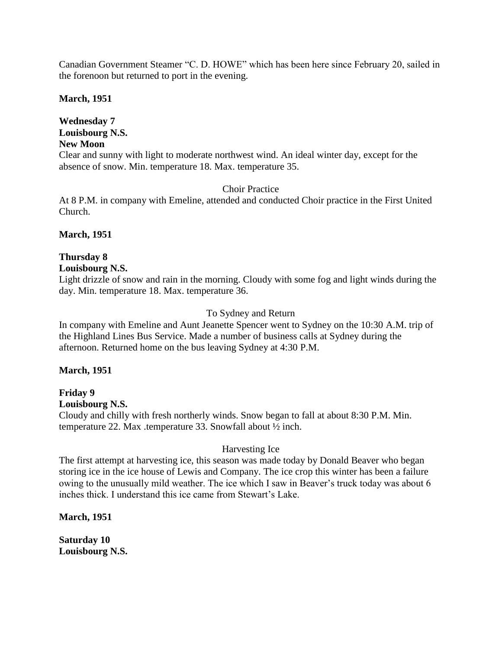Canadian Government Steamer "C. D. HOWE" which has been here since February 20, sailed in the forenoon but returned to port in the evening.

**March, 1951**

**Wednesday 7 Louisbourg N.S. New Moon**

Clear and sunny with light to moderate northwest wind. An ideal winter day, except for the absence of snow. Min. temperature 18. Max. temperature 35.

Choir Practice

At 8 P.M. in company with Emeline, attended and conducted Choir practice in the First United Church.

**March, 1951**

## **Thursday 8**

## **Louisbourg N.S.**

Light drizzle of snow and rain in the morning. Cloudy with some fog and light winds during the day. Min. temperature 18. Max. temperature 36.

## To Sydney and Return

In company with Emeline and Aunt Jeanette Spencer went to Sydney on the 10:30 A.M. trip of the Highland Lines Bus Service. Made a number of business calls at Sydney during the afternoon. Returned home on the bus leaving Sydney at 4:30 P.M.

#### **March, 1951**

**Friday 9 Louisbourg N.S.** Cloudy and chilly with fresh northerly winds. Snow began to fall at about 8:30 P.M. Min. temperature 22. Max .temperature 33. Snowfall about ½ inch.

## Harvesting Ice

The first attempt at harvesting ice, this season was made today by Donald Beaver who began storing ice in the ice house of Lewis and Company. The ice crop this winter has been a failure owing to the unusually mild weather. The ice which I saw in Beaver's truck today was about 6 inches thick. I understand this ice came from Stewart's Lake.

**March, 1951**

**Saturday 10 Louisbourg N.S.**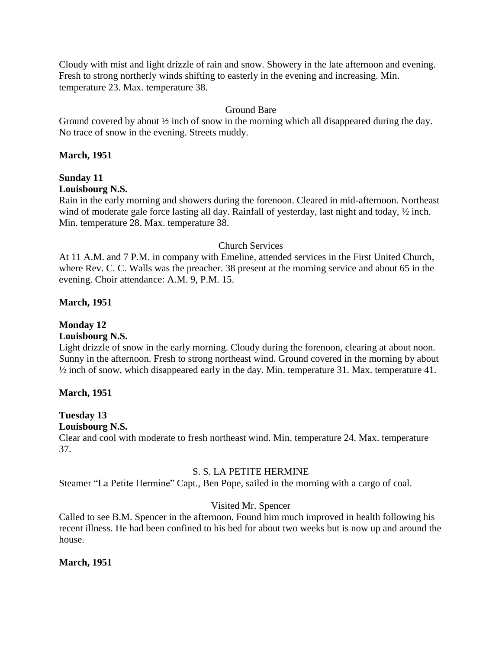Cloudy with mist and light drizzle of rain and snow. Showery in the late afternoon and evening. Fresh to strong northerly winds shifting to easterly in the evening and increasing. Min. temperature 23. Max. temperature 38.

## Ground Bare

Ground covered by about  $\frac{1}{2}$  inch of snow in the morning which all disappeared during the day. No trace of snow in the evening. Streets muddy.

#### **March, 1951**

# **Sunday 11**

## **Louisbourg N.S.**

Rain in the early morning and showers during the forenoon. Cleared in mid-afternoon. Northeast wind of moderate gale force lasting all day. Rainfall of yesterday, last night and today,  $\frac{1}{2}$  inch. Min. temperature 28. Max. temperature 38.

## Church Services

At 11 A.M. and 7 P.M. in company with Emeline, attended services in the First United Church, where Rev. C. C. Walls was the preacher. 38 present at the morning service and about 65 in the evening. Choir attendance: A.M. 9, P.M. 15.

## **March, 1951**

## **Monday 12**

## **Louisbourg N.S.**

Light drizzle of snow in the early morning. Cloudy during the forenoon, clearing at about noon. Sunny in the afternoon. Fresh to strong northeast wind. Ground covered in the morning by about ½ inch of snow, which disappeared early in the day. Min. temperature 31. Max. temperature 41.

## **March, 1951**

## **Tuesday 13**

#### **Louisbourg N.S.**

Clear and cool with moderate to fresh northeast wind. Min. temperature 24. Max. temperature 37.

#### S. S. LA PETITE HERMINE

Steamer "La Petite Hermine" Capt., Ben Pope, sailed in the morning with a cargo of coal.

## Visited Mr. Spencer

Called to see B.M. Spencer in the afternoon. Found him much improved in health following his recent illness. He had been confined to his bed for about two weeks but is now up and around the house.

#### **March, 1951**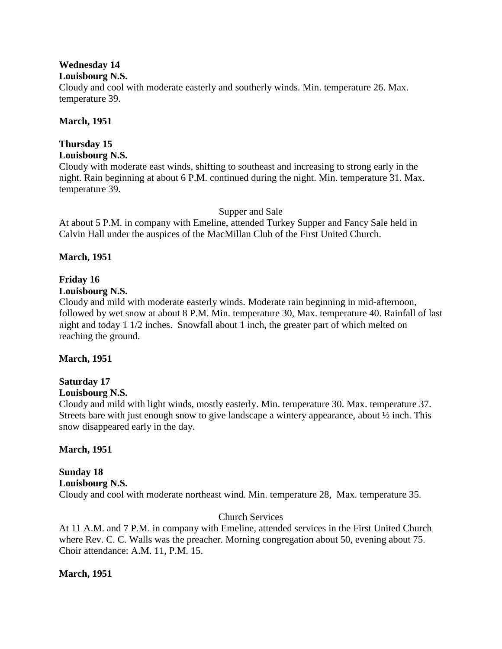## **Wednesday 14**

#### **Louisbourg N.S.**

Cloudy and cool with moderate easterly and southerly winds. Min. temperature 26. Max. temperature 39.

## **March, 1951**

# **Thursday 15**

## **Louisbourg N.S.**

Cloudy with moderate east winds, shifting to southeast and increasing to strong early in the night. Rain beginning at about 6 P.M. continued during the night. Min. temperature 31. Max. temperature 39.

## Supper and Sale

At about 5 P.M. in company with Emeline, attended Turkey Supper and Fancy Sale held in Calvin Hall under the auspices of the MacMillan Club of the First United Church.

## **March, 1951**

## **Friday 16**

## **Louisbourg N.S.**

Cloudy and mild with moderate easterly winds. Moderate rain beginning in mid-afternoon, followed by wet snow at about 8 P.M. Min. temperature 30, Max. temperature 40. Rainfall of last night and today 1 1/2 inches. Snowfall about 1 inch, the greater part of which melted on reaching the ground.

## **March, 1951**

# **Saturday 17**

## **Louisbourg N.S.**

Cloudy and mild with light winds, mostly easterly. Min. temperature 30. Max. temperature 37. Streets bare with just enough snow to give landscape a wintery appearance, about ½ inch. This snow disappeared early in the day.

## **March, 1951**

## **Sunday 18 Louisbourg N.S.** Cloudy and cool with moderate northeast wind. Min. temperature 28, Max. temperature 35.

## Church Services

At 11 A.M. and 7 P.M. in company with Emeline, attended services in the First United Church where Rev. C. C. Walls was the preacher. Morning congregation about 50, evening about 75. Choir attendance: A.M. 11, P.M. 15.

## **March, 1951**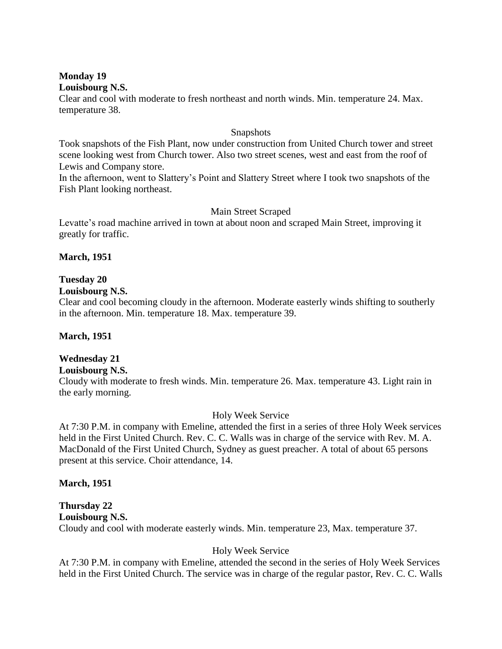#### **Monday 19 Louisbourg N.S.**

Clear and cool with moderate to fresh northeast and north winds. Min. temperature 24. Max. temperature 38.

#### Snapshots

Took snapshots of the Fish Plant, now under construction from United Church tower and street scene looking west from Church tower. Also two street scenes, west and east from the roof of Lewis and Company store.

In the afternoon, went to Slattery's Point and Slattery Street where I took two snapshots of the Fish Plant looking northeast.

## Main Street Scraped

Levatte's road machine arrived in town at about noon and scraped Main Street, improving it greatly for traffic.

## **March, 1951**

## **Tuesday 20**

#### **Louisbourg N.S.**

Clear and cool becoming cloudy in the afternoon. Moderate easterly winds shifting to southerly in the afternoon. Min. temperature 18. Max. temperature 39.

#### **March, 1951**

## **Wednesday 21**

## **Louisbourg N.S.**

Cloudy with moderate to fresh winds. Min. temperature 26. Max. temperature 43. Light rain in the early morning.

#### Holy Week Service

At 7:30 P.M. in company with Emeline, attended the first in a series of three Holy Week services held in the First United Church. Rev. C. C. Walls was in charge of the service with Rev. M. A. MacDonald of the First United Church, Sydney as guest preacher. A total of about 65 persons present at this service. Choir attendance, 14.

#### **March, 1951**

# **Thursday 22**

## **Louisbourg N.S.**

Cloudy and cool with moderate easterly winds. Min. temperature 23, Max. temperature 37.

#### Holy Week Service

At 7:30 P.M. in company with Emeline, attended the second in the series of Holy Week Services held in the First United Church. The service was in charge of the regular pastor, Rev. C. C. Walls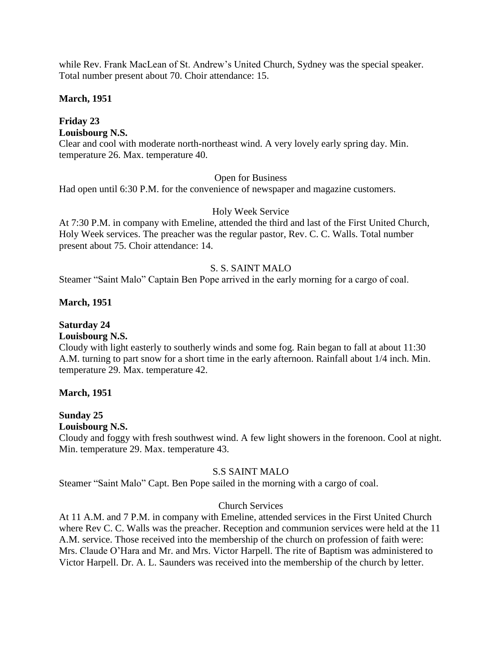while Rev. Frank MacLean of St. Andrew's United Church, Sydney was the special speaker. Total number present about 70. Choir attendance: 15.

#### **March, 1951**

## **Friday 23**

**Louisbourg N.S.**

Clear and cool with moderate north-northeast wind. A very lovely early spring day. Min. temperature 26. Max. temperature 40.

#### Open for Business

Had open until 6:30 P.M. for the convenience of newspaper and magazine customers.

#### Holy Week Service

At 7:30 P.M. in company with Emeline, attended the third and last of the First United Church, Holy Week services. The preacher was the regular pastor, Rev. C. C. Walls. Total number present about 75. Choir attendance: 14.

## S. S. SAINT MALO

Steamer "Saint Malo" Captain Ben Pope arrived in the early morning for a cargo of coal.

## **March, 1951**

## **Saturday 24**

## **Louisbourg N.S.**

Cloudy with light easterly to southerly winds and some fog. Rain began to fall at about 11:30 A.M. turning to part snow for a short time in the early afternoon. Rainfall about 1/4 inch. Min. temperature 29. Max. temperature 42.

#### **March, 1951**

#### **Sunday 25**

#### **Louisbourg N.S.**

Cloudy and foggy with fresh southwest wind. A few light showers in the forenoon. Cool at night. Min. temperature 29. Max. temperature 43.

#### S.S SAINT MALO

Steamer "Saint Malo" Capt. Ben Pope sailed in the morning with a cargo of coal.

#### Church Services

At 11 A.M. and 7 P.M. in company with Emeline, attended services in the First United Church where Rev C. C. Walls was the preacher. Reception and communion services were held at the 11 A.M. service. Those received into the membership of the church on profession of faith were: Mrs. Claude O'Hara and Mr. and Mrs. Victor Harpell. The rite of Baptism was administered to Victor Harpell. Dr. A. L. Saunders was received into the membership of the church by letter.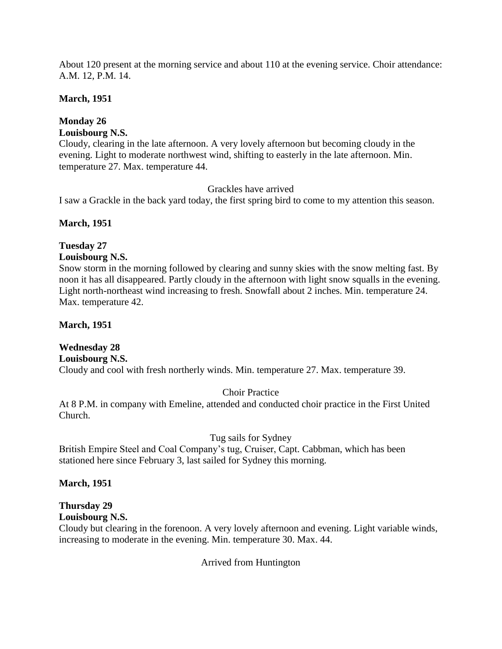About 120 present at the morning service and about 110 at the evening service. Choir attendance: A.M. 12, P.M. 14.

## **March, 1951**

## **Monday 26**

**Louisbourg N.S.**

Cloudy, clearing in the late afternoon. A very lovely afternoon but becoming cloudy in the evening. Light to moderate northwest wind, shifting to easterly in the late afternoon. Min. temperature 27. Max. temperature 44.

## Grackles have arrived

I saw a Grackle in the back yard today, the first spring bird to come to my attention this season.

## **March, 1951**

## **Tuesday 27**

## **Louisbourg N.S.**

Snow storm in the morning followed by clearing and sunny skies with the snow melting fast. By noon it has all disappeared. Partly cloudy in the afternoon with light snow squalls in the evening. Light north-northeast wind increasing to fresh. Snowfall about 2 inches. Min. temperature 24. Max. temperature 42.

#### **March, 1951**

**Wednesday 28 Louisbourg N.S.** Cloudy and cool with fresh northerly winds. Min. temperature 27. Max. temperature 39.

## Choir Practice

At 8 P.M. in company with Emeline, attended and conducted choir practice in the First United Church.

## Tug sails for Sydney

British Empire Steel and Coal Company's tug, Cruiser, Capt. Cabbman, which has been stationed here since February 3, last sailed for Sydney this morning.

## **March, 1951**

# **Thursday 29**

**Louisbourg N.S.**

Cloudy but clearing in the forenoon. A very lovely afternoon and evening. Light variable winds, increasing to moderate in the evening. Min. temperature 30. Max. 44.

Arrived from Huntington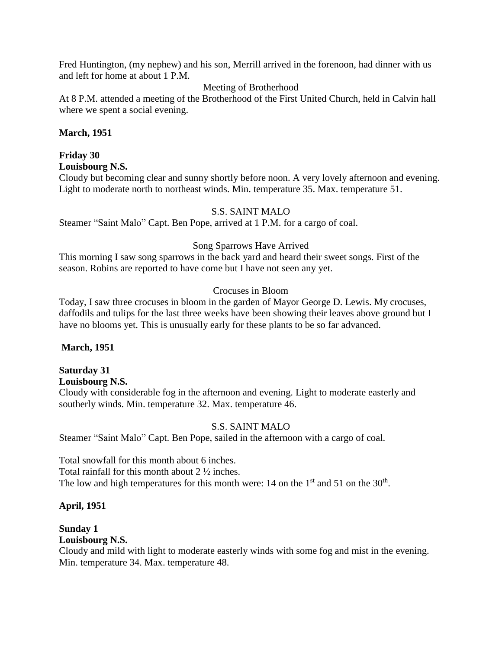Fred Huntington, (my nephew) and his son, Merrill arrived in the forenoon, had dinner with us and left for home at about 1 P.M.

## Meeting of Brotherhood

At 8 P.M. attended a meeting of the Brotherhood of the First United Church, held in Calvin hall where we spent a social evening.

#### **March, 1951**

## **Friday 30**

**Louisbourg N.S.**

Cloudy but becoming clear and sunny shortly before noon. A very lovely afternoon and evening. Light to moderate north to northeast winds. Min. temperature 35. Max. temperature 51.

#### S.S. SAINT MALO

Steamer "Saint Malo" Capt. Ben Pope, arrived at 1 P.M. for a cargo of coal.

## Song Sparrows Have Arrived

This morning I saw song sparrows in the back yard and heard their sweet songs. First of the season. Robins are reported to have come but I have not seen any yet.

## Crocuses in Bloom

Today, I saw three crocuses in bloom in the garden of Mayor George D. Lewis. My crocuses, daffodils and tulips for the last three weeks have been showing their leaves above ground but I have no blooms yet. This is unusually early for these plants to be so far advanced.

#### **March, 1951**

## **Saturday 31**

#### **Louisbourg N.S.**

Cloudy with considerable fog in the afternoon and evening. Light to moderate easterly and southerly winds. Min. temperature 32. Max. temperature 46.

## S.S. SAINT MALO

Steamer "Saint Malo" Capt. Ben Pope, sailed in the afternoon with a cargo of coal.

Total snowfall for this month about 6 inches. Total rainfall for this month about 2 ½ inches. The low and high temperatures for this month were: 14 on the  $1<sup>st</sup>$  and 51 on the  $30<sup>th</sup>$ .

#### **April, 1951**

## **Sunday 1**

## **Louisbourg N.S.**

Cloudy and mild with light to moderate easterly winds with some fog and mist in the evening. Min. temperature 34. Max. temperature 48.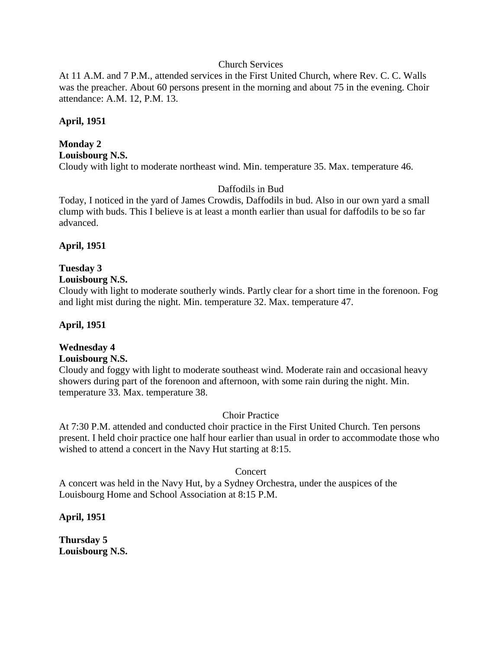## Church Services

At 11 A.M. and 7 P.M., attended services in the First United Church, where Rev. C. C. Walls was the preacher. About 60 persons present in the morning and about 75 in the evening. Choir attendance: A.M. 12, P.M. 13.

## **April, 1951**

# **Monday 2**

**Louisbourg N.S.**

Cloudy with light to moderate northeast wind. Min. temperature 35. Max. temperature 46.

## Daffodils in Bud

Today, I noticed in the yard of James Crowdis, Daffodils in bud. Also in our own yard a small clump with buds. This I believe is at least a month earlier than usual for daffodils to be so far advanced.

## **April, 1951**

# **Tuesday 3**

## **Louisbourg N.S.**

Cloudy with light to moderate southerly winds. Partly clear for a short time in the forenoon. Fog and light mist during the night. Min. temperature 32. Max. temperature 47.

## **April, 1951**

## **Wednesday 4**

#### **Louisbourg N.S.**

Cloudy and foggy with light to moderate southeast wind. Moderate rain and occasional heavy showers during part of the forenoon and afternoon, with some rain during the night. Min. temperature 33. Max. temperature 38.

#### Choir Practice

At 7:30 P.M. attended and conducted choir practice in the First United Church. Ten persons present. I held choir practice one half hour earlier than usual in order to accommodate those who wished to attend a concert in the Navy Hut starting at 8:15.

#### Concert

A concert was held in the Navy Hut, by a Sydney Orchestra, under the auspices of the Louisbourg Home and School Association at 8:15 P.M.

**April, 1951**

**Thursday 5 Louisbourg N.S.**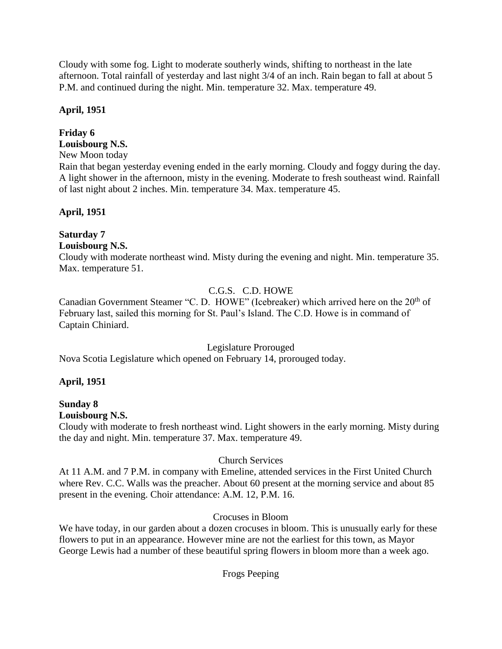Cloudy with some fog. Light to moderate southerly winds, shifting to northeast in the late afternoon. Total rainfall of yesterday and last night 3/4 of an inch. Rain began to fall at about 5 P.M. and continued during the night. Min. temperature 32. Max. temperature 49.

## **April, 1951**

## **Friday 6**

- **Louisbourg N.S.**
- New Moon today

Rain that began yesterday evening ended in the early morning. Cloudy and foggy during the day. A light shower in the afternoon, misty in the evening. Moderate to fresh southeast wind. Rainfall of last night about 2 inches. Min. temperature 34. Max. temperature 45.

## **April, 1951**

## **Saturday 7**

## **Louisbourg N.S.**

Cloudy with moderate northeast wind. Misty during the evening and night. Min. temperature 35. Max. temperature 51.

## C.G.S. C.D. HOWE

Canadian Government Steamer "C. D. HOWE" (Icebreaker) which arrived here on the 20<sup>th</sup> of February last, sailed this morning for St. Paul's Island. The C.D. Howe is in command of Captain Chiniard.

## Legislature Prorouged

Nova Scotia Legislature which opened on February 14, prorouged today.

## **April, 1951**

#### **Sunday 8 Louisbourg N.S.**

Cloudy with moderate to fresh northeast wind. Light showers in the early morning. Misty during the day and night. Min. temperature 37. Max. temperature 49.

## Church Services

At 11 A.M. and 7 P.M. in company with Emeline, attended services in the First United Church where Rev. C.C. Walls was the preacher. About 60 present at the morning service and about 85 present in the evening. Choir attendance: A.M. 12, P.M. 16.

## Crocuses in Bloom

We have today, in our garden about a dozen crocuses in bloom. This is unusually early for these flowers to put in an appearance. However mine are not the earliest for this town, as Mayor George Lewis had a number of these beautiful spring flowers in bloom more than a week ago.

## Frogs Peeping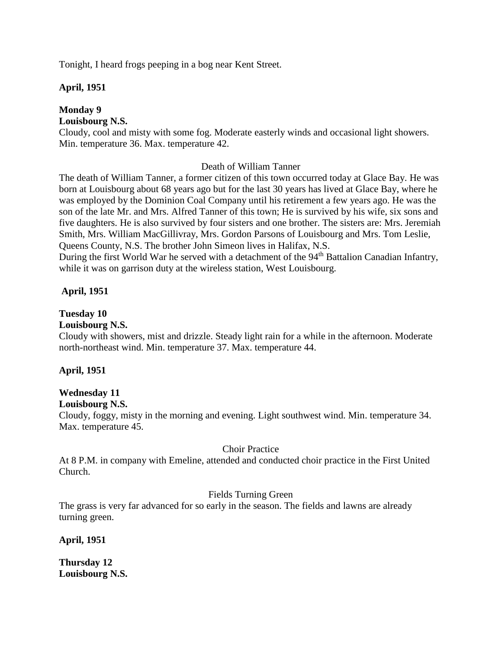Tonight, I heard frogs peeping in a bog near Kent Street.

## **April, 1951**

## **Monday 9**

## **Louisbourg N.S.**

Cloudy, cool and misty with some fog. Moderate easterly winds and occasional light showers. Min. temperature 36. Max. temperature 42.

## Death of William Tanner

The death of William Tanner, a former citizen of this town occurred today at Glace Bay. He was born at Louisbourg about 68 years ago but for the last 30 years has lived at Glace Bay, where he was employed by the Dominion Coal Company until his retirement a few years ago. He was the son of the late Mr. and Mrs. Alfred Tanner of this town; He is survived by his wife, six sons and five daughters. He is also survived by four sisters and one brother. The sisters are: Mrs. Jeremiah Smith, Mrs. William MacGillivray, Mrs. Gordon Parsons of Louisbourg and Mrs. Tom Leslie, Queens County, N.S. The brother John Simeon lives in Halifax, N.S.

During the first World War he served with a detachment of the 94<sup>th</sup> Battalion Canadian Infantry, while it was on garrison duty at the wireless station, West Louisbourg.

## **April, 1951**

## **Tuesday 10**

#### **Louisbourg N.S.**

Cloudy with showers, mist and drizzle. Steady light rain for a while in the afternoon. Moderate north-northeast wind. Min. temperature 37. Max. temperature 44.

## **April, 1951**

## **Wednesday 11**

#### **Louisbourg N.S.**

Cloudy, foggy, misty in the morning and evening. Light southwest wind. Min. temperature 34. Max. temperature 45.

#### Choir Practice

At 8 P.M. in company with Emeline, attended and conducted choir practice in the First United Church.

## Fields Turning Green

The grass is very far advanced for so early in the season. The fields and lawns are already turning green.

## **April, 1951**

**Thursday 12 Louisbourg N.S.**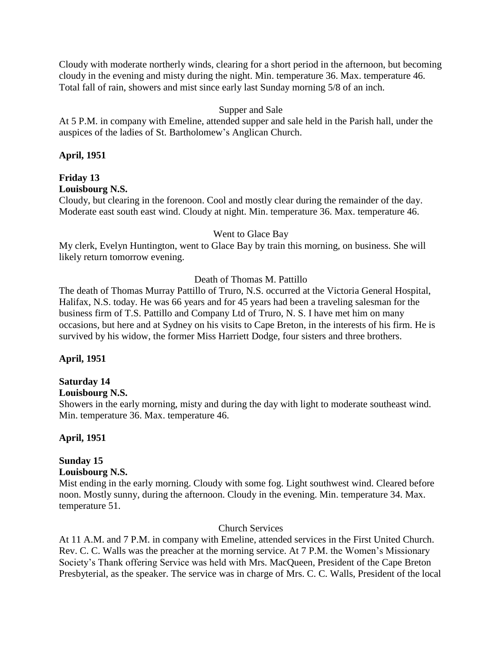Cloudy with moderate northerly winds, clearing for a short period in the afternoon, but becoming cloudy in the evening and misty during the night. Min. temperature 36. Max. temperature 46. Total fall of rain, showers and mist since early last Sunday morning 5/8 of an inch.

## Supper and Sale

At 5 P.M. in company with Emeline, attended supper and sale held in the Parish hall, under the auspices of the ladies of St. Bartholomew's Anglican Church.

## **April, 1951**

# **Friday 13**

**Louisbourg N.S.**

Cloudy, but clearing in the forenoon. Cool and mostly clear during the remainder of the day. Moderate east south east wind. Cloudy at night. Min. temperature 36. Max. temperature 46.

## Went to Glace Bay

My clerk, Evelyn Huntington, went to Glace Bay by train this morning, on business. She will likely return tomorrow evening.

## Death of Thomas M. Pattillo

The death of Thomas Murray Pattillo of Truro, N.S. occurred at the Victoria General Hospital, Halifax, N.S. today. He was 66 years and for 45 years had been a traveling salesman for the business firm of T.S. Pattillo and Company Ltd of Truro, N. S. I have met him on many occasions, but here and at Sydney on his visits to Cape Breton, in the interests of his firm. He is survived by his widow, the former Miss Harriett Dodge, four sisters and three brothers.

## **April, 1951**

## **Saturday 14**

## **Louisbourg N.S.**

Showers in the early morning, misty and during the day with light to moderate southeast wind. Min. temperature 36. Max. temperature 46.

## **April, 1951**

## **Sunday 15**

## **Louisbourg N.S.**

Mist ending in the early morning. Cloudy with some fog. Light southwest wind. Cleared before noon. Mostly sunny, during the afternoon. Cloudy in the evening. Min. temperature 34. Max. temperature 51.

## Church Services

At 11 A.M. and 7 P.M. in company with Emeline, attended services in the First United Church. Rev. C. C. Walls was the preacher at the morning service. At 7 P.M. the Women's Missionary Society's Thank offering Service was held with Mrs. MacQueen, President of the Cape Breton Presbyterial, as the speaker. The service was in charge of Mrs. C. C. Walls, President of the local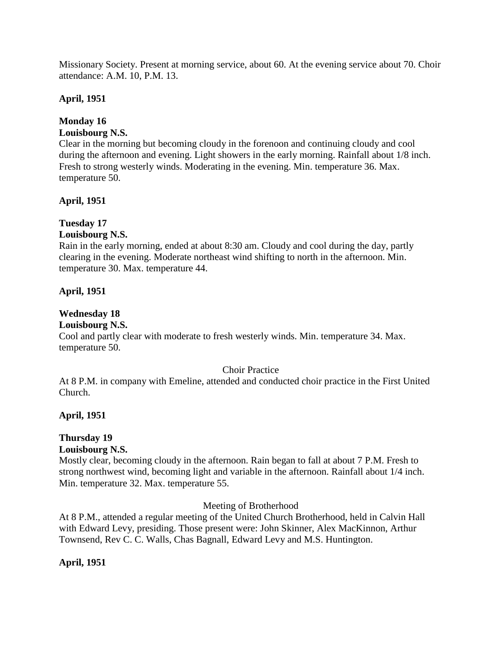Missionary Society. Present at morning service, about 60. At the evening service about 70. Choir attendance: A.M. 10, P.M. 13.

## **April, 1951**

## **Monday 16**

## **Louisbourg N.S.**

Clear in the morning but becoming cloudy in the forenoon and continuing cloudy and cool during the afternoon and evening. Light showers in the early morning. Rainfall about 1/8 inch. Fresh to strong westerly winds. Moderating in the evening. Min. temperature 36. Max. temperature 50.

## **April, 1951**

## **Tuesday 17**

## **Louisbourg N.S.**

Rain in the early morning, ended at about 8:30 am. Cloudy and cool during the day, partly clearing in the evening. Moderate northeast wind shifting to north in the afternoon. Min. temperature 30. Max. temperature 44.

## **April, 1951**

## **Wednesday 18**

## **Louisbourg N.S.**

Cool and partly clear with moderate to fresh westerly winds. Min. temperature 34. Max. temperature 50.

#### Choir Practice

At 8 P.M. in company with Emeline, attended and conducted choir practice in the First United Church.

## **April, 1951**

## **Thursday 19**

#### **Louisbourg N.S.**

Mostly clear, becoming cloudy in the afternoon. Rain began to fall at about 7 P.M. Fresh to strong northwest wind, becoming light and variable in the afternoon. Rainfall about 1/4 inch. Min. temperature 32. Max. temperature 55.

#### Meeting of Brotherhood

At 8 P.M., attended a regular meeting of the United Church Brotherhood, held in Calvin Hall with Edward Levy, presiding. Those present were: John Skinner, Alex MacKinnon, Arthur Townsend, Rev C. C. Walls, Chas Bagnall, Edward Levy and M.S. Huntington.

## **April, 1951**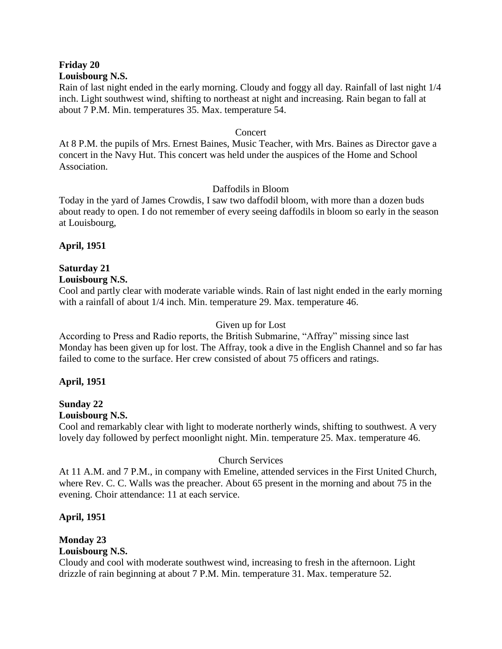# **Friday 20**

#### **Louisbourg N.S.**

Rain of last night ended in the early morning. Cloudy and foggy all day. Rainfall of last night 1/4 inch. Light southwest wind, shifting to northeast at night and increasing. Rain began to fall at about 7 P.M. Min. temperatures 35. Max. temperature 54.

#### Concert

At 8 P.M. the pupils of Mrs. Ernest Baines, Music Teacher, with Mrs. Baines as Director gave a concert in the Navy Hut. This concert was held under the auspices of the Home and School Association.

## Daffodils in Bloom

Today in the yard of James Crowdis, I saw two daffodil bloom, with more than a dozen buds about ready to open. I do not remember of every seeing daffodils in bloom so early in the season at Louisbourg,

## **April, 1951**

#### **Saturday 21 Louisbourg N.S.**

Cool and partly clear with moderate variable winds. Rain of last night ended in the early morning with a rainfall of about 1/4 inch. Min. temperature 29. Max. temperature 46.

## Given up for Lost

According to Press and Radio reports, the British Submarine, "Affray" missing since last Monday has been given up for lost. The Affray, took a dive in the English Channel and so far has failed to come to the surface. Her crew consisted of about 75 officers and ratings.

## **April, 1951**

#### **Sunday 22 Louisbourg N.S.**

Cool and remarkably clear with light to moderate northerly winds, shifting to southwest. A very lovely day followed by perfect moonlight night. Min. temperature 25. Max. temperature 46.

## Church Services

At 11 A.M. and 7 P.M., in company with Emeline, attended services in the First United Church, where Rev. C. C. Walls was the preacher. About 65 present in the morning and about 75 in the evening. Choir attendance: 11 at each service.

## **April, 1951**

## **Monday 23**

## **Louisbourg N.S.**

Cloudy and cool with moderate southwest wind, increasing to fresh in the afternoon. Light drizzle of rain beginning at about 7 P.M. Min. temperature 31. Max. temperature 52.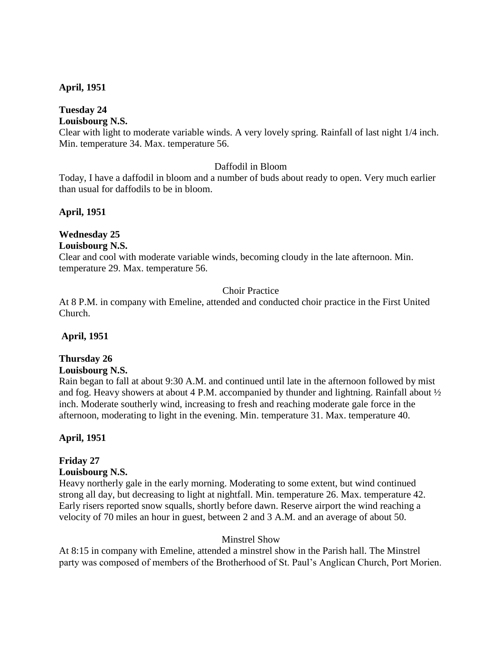## **April, 1951**

## **Tuesday 24**

## **Louisbourg N.S.**

Clear with light to moderate variable winds. A very lovely spring. Rainfall of last night 1/4 inch. Min. temperature 34. Max. temperature 56.

## Daffodil in Bloom

Today, I have a daffodil in bloom and a number of buds about ready to open. Very much earlier than usual for daffodils to be in bloom.

## **April, 1951**

#### **Wednesday 25 Louisbourg N.S.**

Clear and cool with moderate variable winds, becoming cloudy in the late afternoon. Min. temperature 29. Max. temperature 56.

## Choir Practice

At 8 P.M. in company with Emeline, attended and conducted choir practice in the First United Church.

## **April, 1951**

## **Thursday 26**

#### **Louisbourg N.S.**

Rain began to fall at about 9:30 A.M. and continued until late in the afternoon followed by mist and fog. Heavy showers at about 4 P.M. accompanied by thunder and lightning. Rainfall about ½ inch. Moderate southerly wind, increasing to fresh and reaching moderate gale force in the afternoon, moderating to light in the evening. Min. temperature 31. Max. temperature 40.

#### **April, 1951**

## **Friday 27**

#### **Louisbourg N.S.**

Heavy northerly gale in the early morning. Moderating to some extent, but wind continued strong all day, but decreasing to light at nightfall. Min. temperature 26. Max. temperature 42. Early risers reported snow squalls, shortly before dawn. Reserve airport the wind reaching a velocity of 70 miles an hour in guest, between 2 and 3 A.M. and an average of about 50.

#### Minstrel Show

At 8:15 in company with Emeline, attended a minstrel show in the Parish hall. The Minstrel party was composed of members of the Brotherhood of St. Paul's Anglican Church, Port Morien.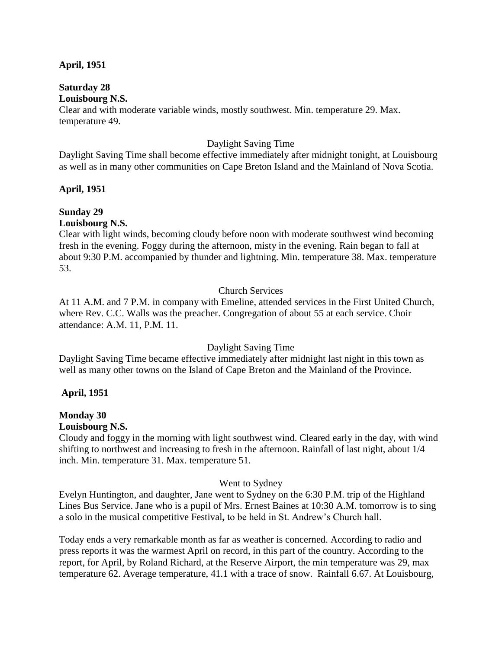#### **April, 1951**

#### **Saturday 28 Louisbourg N.S.**

Clear and with moderate variable winds, mostly southwest. Min. temperature 29. Max. temperature 49.

## Daylight Saving Time

Daylight Saving Time shall become effective immediately after midnight tonight, at Louisbourg as well as in many other communities on Cape Breton Island and the Mainland of Nova Scotia.

## **April, 1951**

# **Sunday 29**

## **Louisbourg N.S.**

Clear with light winds, becoming cloudy before noon with moderate southwest wind becoming fresh in the evening. Foggy during the afternoon, misty in the evening. Rain began to fall at about 9:30 P.M. accompanied by thunder and lightning. Min. temperature 38. Max. temperature 53.

## Church Services

At 11 A.M. and 7 P.M. in company with Emeline, attended services in the First United Church, where Rev. C.C. Walls was the preacher. Congregation of about 55 at each service. Choir attendance: A.M. 11, P.M. 11.

## Daylight Saving Time

Daylight Saving Time became effective immediately after midnight last night in this town as well as many other towns on the Island of Cape Breton and the Mainland of the Province.

## **April, 1951**

## **Monday 30**

#### **Louisbourg N.S.**

Cloudy and foggy in the morning with light southwest wind. Cleared early in the day, with wind shifting to northwest and increasing to fresh in the afternoon. Rainfall of last night, about 1/4 inch. Min. temperature 31. Max. temperature 51.

#### Went to Sydney

Evelyn Huntington, and daughter, Jane went to Sydney on the 6:30 P.M. trip of the Highland Lines Bus Service. Jane who is a pupil of Mrs. Ernest Baines at 10:30 A.M. tomorrow is to sing a solo in the musical competitive Festival**,** to be held in St. Andrew's Church hall.

Today ends a very remarkable month as far as weather is concerned. According to radio and press reports it was the warmest April on record, in this part of the country. According to the report, for April, by Roland Richard, at the Reserve Airport, the min temperature was 29, max temperature 62. Average temperature, 41.1 with a trace of snow. Rainfall 6.67. At Louisbourg,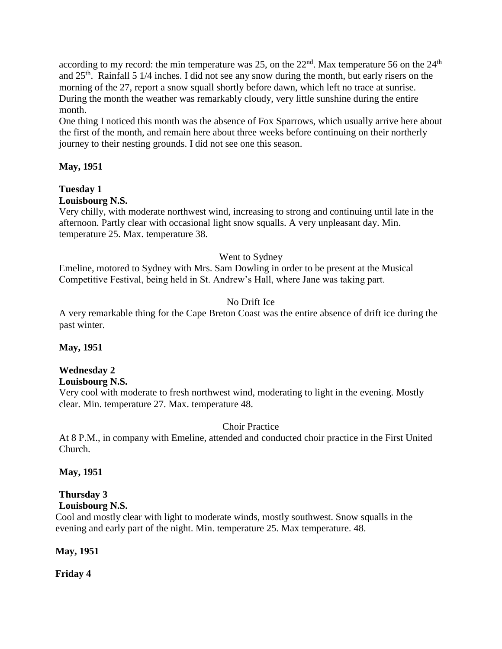according to my record: the min temperature was 25, on the  $22<sup>nd</sup>$ . Max temperature 56 on the  $24<sup>th</sup>$ and  $25<sup>th</sup>$ . Rainfall 5 1/4 inches. I did not see any snow during the month, but early risers on the morning of the 27, report a snow squall shortly before dawn, which left no trace at sunrise. During the month the weather was remarkably cloudy, very little sunshine during the entire month.

One thing I noticed this month was the absence of Fox Sparrows, which usually arrive here about the first of the month, and remain here about three weeks before continuing on their northerly journey to their nesting grounds. I did not see one this season.

## **May, 1951**

## **Tuesday 1**

## **Louisbourg N.S.**

Very chilly, with moderate northwest wind, increasing to strong and continuing until late in the afternoon. Partly clear with occasional light snow squalls. A very unpleasant day. Min. temperature 25. Max. temperature 38.

## Went to Sydney

Emeline, motored to Sydney with Mrs. Sam Dowling in order to be present at the Musical Competitive Festival, being held in St. Andrew's Hall, where Jane was taking part.

## No Drift Ice

A very remarkable thing for the Cape Breton Coast was the entire absence of drift ice during the past winter.

## **May, 1951**

## **Wednesday 2**

## **Louisbourg N.S.**

Very cool with moderate to fresh northwest wind, moderating to light in the evening. Mostly clear. Min. temperature 27. Max. temperature 48.

## Choir Practice

At 8 P.M., in company with Emeline, attended and conducted choir practice in the First United Church.

## **May, 1951**

#### **Thursday 3 Louisbourg N.S.**

Cool and mostly clear with light to moderate winds, mostly southwest. Snow squalls in the evening and early part of the night. Min. temperature 25. Max temperature. 48.

## **May, 1951**

**Friday 4**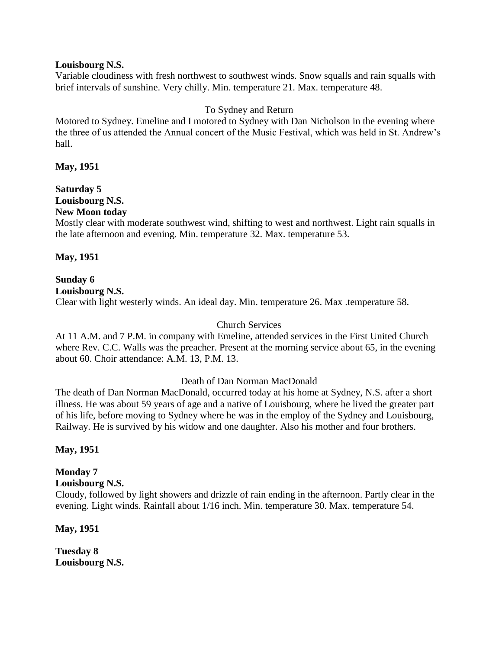#### **Louisbourg N.S.**

Variable cloudiness with fresh northwest to southwest winds. Snow squalls and rain squalls with brief intervals of sunshine. Very chilly. Min. temperature 21. Max. temperature 48.

## To Sydney and Return

Motored to Sydney. Emeline and I motored to Sydney with Dan Nicholson in the evening where the three of us attended the Annual concert of the Music Festival, which was held in St. Andrew's hall.

## **May, 1951**

#### **Saturday 5 Louisbourg N.S. New Moon today**

Mostly clear with moderate southwest wind, shifting to west and northwest. Light rain squalls in the late afternoon and evening. Min. temperature 32. Max. temperature 53.

## **May, 1951**

#### **Sunday 6 Louisbourg N.S.**

Clear with light westerly winds. An ideal day. Min. temperature 26. Max .temperature 58.

#### Church Services

At 11 A.M. and 7 P.M. in company with Emeline, attended services in the First United Church where Rev. C.C. Walls was the preacher. Present at the morning service about 65, in the evening about 60. Choir attendance: A.M. 13, P.M. 13.

#### Death of Dan Norman MacDonald

The death of Dan Norman MacDonald, occurred today at his home at Sydney, N.S. after a short illness. He was about 59 years of age and a native of Louisbourg, where he lived the greater part of his life, before moving to Sydney where he was in the employ of the Sydney and Louisbourg, Railway. He is survived by his widow and one daughter. Also his mother and four brothers.

**May, 1951**

## **Monday 7**

#### **Louisbourg N.S.**

Cloudy, followed by light showers and drizzle of rain ending in the afternoon. Partly clear in the evening. Light winds. Rainfall about 1/16 inch. Min. temperature 30. Max. temperature 54.

**May, 1951**

**Tuesday 8 Louisbourg N.S.**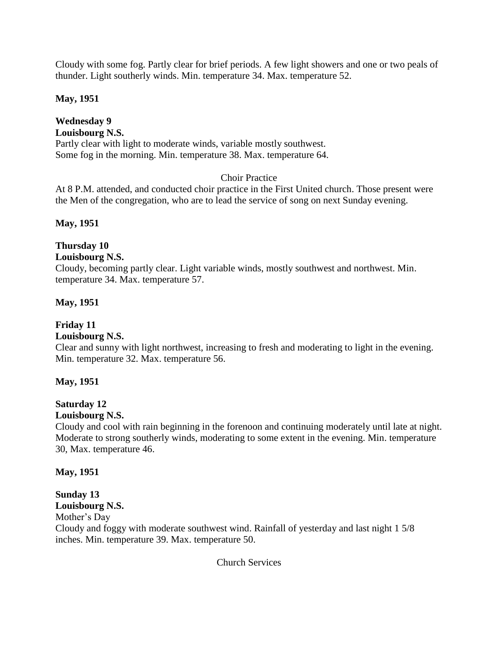Cloudy with some fog. Partly clear for brief periods. A few light showers and one or two peals of thunder. Light southerly winds. Min. temperature 34. Max. temperature 52.

## **May, 1951**

## **Wednesday 9 Louisbourg N.S.** Partly clear with light to moderate winds, variable mostly southwest. Some fog in the morning. Min. temperature 38. Max. temperature 64.

## Choir Practice

At 8 P.M. attended, and conducted choir practice in the First United church. Those present were the Men of the congregation, who are to lead the service of song on next Sunday evening.

## **May, 1951**

## **Thursday 10**

## **Louisbourg N.S.**

Cloudy, becoming partly clear. Light variable winds, mostly southwest and northwest. Min. temperature 34. Max. temperature 57.

## **May, 1951**

## **Friday 11**

## **Louisbourg N.S.**

Clear and sunny with light northwest, increasing to fresh and moderating to light in the evening. Min. temperature 32. Max. temperature 56.

## **May, 1951**

## **Saturday 12**

## **Louisbourg N.S.**

Cloudy and cool with rain beginning in the forenoon and continuing moderately until late at night. Moderate to strong southerly winds, moderating to some extent in the evening. Min. temperature 30, Max. temperature 46.

**May, 1951**

#### **Sunday 13 Louisbourg N.S.**

# Mother's Day

Cloudy and foggy with moderate southwest wind. Rainfall of yesterday and last night 1 5/8 inches. Min. temperature 39. Max. temperature 50.

Church Services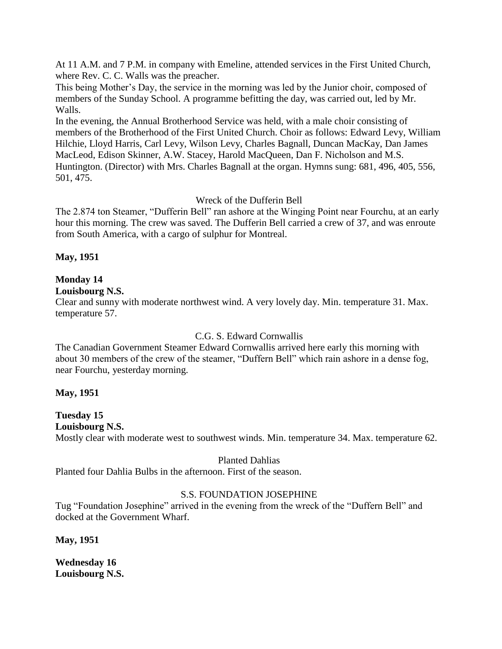At 11 A.M. and 7 P.M. in company with Emeline, attended services in the First United Church, where Rev. C. C. Walls was the preacher.

This being Mother's Day, the service in the morning was led by the Junior choir, composed of members of the Sunday School. A programme befitting the day, was carried out, led by Mr. Walls.

In the evening, the Annual Brotherhood Service was held, with a male choir consisting of members of the Brotherhood of the First United Church. Choir as follows: Edward Levy, William Hilchie, Lloyd Harris, Carl Levy, Wilson Levy, Charles Bagnall, Duncan MacKay, Dan James MacLeod, Edison Skinner, A.W. Stacey, Harold MacQueen, Dan F. Nicholson and M.S. Huntington. (Director) with Mrs. Charles Bagnall at the organ. Hymns sung: 681, 496, 405, 556, 501, 475.

## Wreck of the Dufferin Bell

The 2.874 ton Steamer, "Dufferin Bell" ran ashore at the Winging Point near Fourchu, at an early hour this morning. The crew was saved. The Dufferin Bell carried a crew of 37, and was enroute from South America, with a cargo of sulphur for Montreal.

**May, 1951**

## **Monday 14**

## **Louisbourg N.S.**

Clear and sunny with moderate northwest wind. A very lovely day. Min. temperature 31. Max. temperature 57.

## C.G. S. Edward Cornwallis

The Canadian Government Steamer Edward Cornwallis arrived here early this morning with about 30 members of the crew of the steamer, "Duffern Bell" which rain ashore in a dense fog, near Fourchu, yesterday morning.

## **May, 1951**

# **Tuesday 15**

## **Louisbourg N.S.**

Mostly clear with moderate west to southwest winds. Min. temperature 34. Max. temperature 62.

#### Planted Dahlias

Planted four Dahlia Bulbs in the afternoon. First of the season.

## S.S. FOUNDATION JOSEPHINE

Tug "Foundation Josephine" arrived in the evening from the wreck of the "Duffern Bell" and docked at the Government Wharf.

**May, 1951**

**Wednesday 16 Louisbourg N.S.**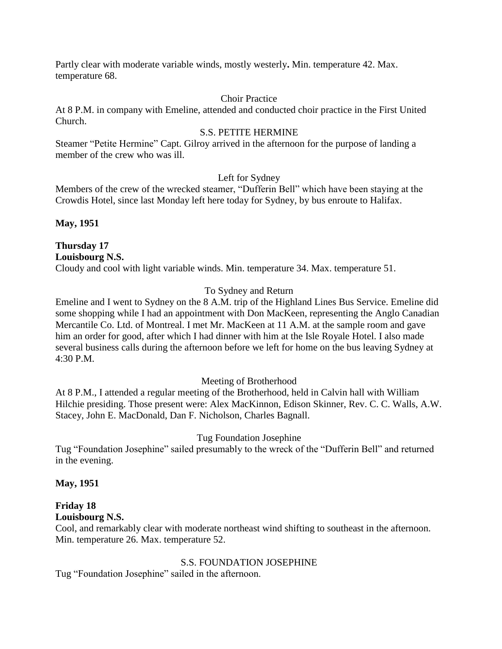Partly clear with moderate variable winds, mostly westerly**.** Min. temperature 42. Max. temperature 68.

## Choir Practice

At 8 P.M. in company with Emeline, attended and conducted choir practice in the First United Church.

## S.S. PETITE HERMINE

Steamer "Petite Hermine" Capt. Gilroy arrived in the afternoon for the purpose of landing a member of the crew who was ill.

## Left for Sydney

Members of the crew of the wrecked steamer, "Dufferin Bell" which have been staying at the Crowdis Hotel, since last Monday left here today for Sydney, by bus enroute to Halifax.

**May, 1951**

**Thursday 17 Louisbourg N.S.** Cloudy and cool with light variable winds. Min. temperature 34. Max. temperature 51.

## To Sydney and Return

Emeline and I went to Sydney on the 8 A.M. trip of the Highland Lines Bus Service. Emeline did some shopping while I had an appointment with Don MacKeen, representing the Anglo Canadian Mercantile Co. Ltd. of Montreal. I met Mr. MacKeen at 11 A.M. at the sample room and gave him an order for good, after which I had dinner with him at the Isle Royale Hotel. I also made several business calls during the afternoon before we left for home on the bus leaving Sydney at 4:30 P.M.

## Meeting of Brotherhood

At 8 P.M., I attended a regular meeting of the Brotherhood, held in Calvin hall with William Hilchie presiding. Those present were: Alex MacKinnon, Edison Skinner, Rev. C. C. Walls, A.W. Stacey, John E. MacDonald, Dan F. Nicholson, Charles Bagnall.

## Tug Foundation Josephine

Tug "Foundation Josephine" sailed presumably to the wreck of the "Dufferin Bell" and returned in the evening.

## **May, 1951**

# **Friday 18**

## **Louisbourg N.S.**

Cool, and remarkably clear with moderate northeast wind shifting to southeast in the afternoon. Min. temperature 26. Max. temperature 52.

## S.S. FOUNDATION JOSEPHINE

Tug "Foundation Josephine" sailed in the afternoon.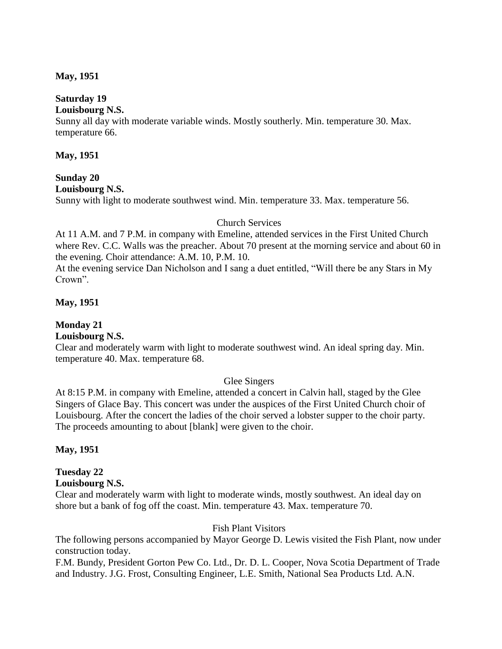#### **May, 1951**

## **Saturday 19**

#### **Louisbourg N.S.**

Sunny all day with moderate variable winds. Mostly southerly. Min. temperature 30. Max. temperature 66.

#### **May, 1951**

# **Sunday 20**

## **Louisbourg N.S.**

Sunny with light to moderate southwest wind. Min. temperature 33. Max. temperature 56.

## Church Services

At 11 A.M. and 7 P.M. in company with Emeline, attended services in the First United Church where Rev. C.C. Walls was the preacher. About 70 present at the morning service and about 60 in the evening. Choir attendance: A.M. 10, P.M. 10.

At the evening service Dan Nicholson and I sang a duet entitled, "Will there be any Stars in My Crown".

## **May, 1951**

# **Monday 21**

## **Louisbourg N.S.**

Clear and moderately warm with light to moderate southwest wind. An ideal spring day. Min. temperature 40. Max. temperature 68.

## Glee Singers

At 8:15 P.M. in company with Emeline, attended a concert in Calvin hall, staged by the Glee Singers of Glace Bay. This concert was under the auspices of the First United Church choir of Louisbourg. After the concert the ladies of the choir served a lobster supper to the choir party. The proceeds amounting to about [blank] were given to the choir.

## **May, 1951**

## **Tuesday 22**

#### **Louisbourg N.S.**

Clear and moderately warm with light to moderate winds, mostly southwest. An ideal day on shore but a bank of fog off the coast. Min. temperature 43. Max. temperature 70.

## Fish Plant Visitors

The following persons accompanied by Mayor George D. Lewis visited the Fish Plant, now under construction today.

F.M. Bundy, President Gorton Pew Co. Ltd., Dr. D. L. Cooper, Nova Scotia Department of Trade and Industry. J.G. Frost, Consulting Engineer, L.E. Smith, National Sea Products Ltd. A.N.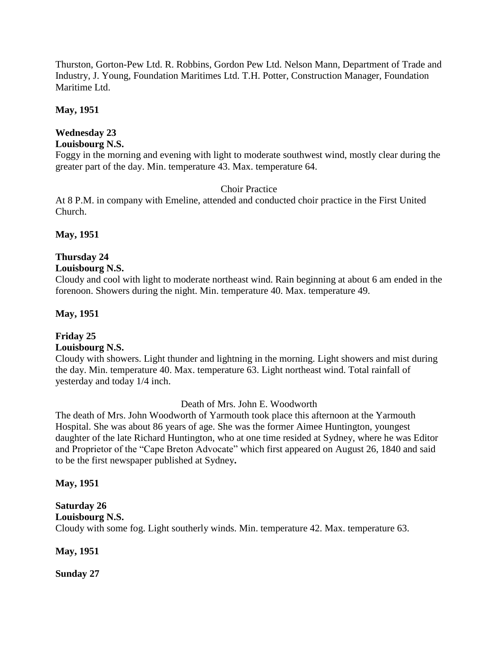Thurston, Gorton-Pew Ltd. R. Robbins, Gordon Pew Ltd. Nelson Mann, Department of Trade and Industry, J. Young, Foundation Maritimes Ltd. T.H. Potter, Construction Manager, Foundation Maritime Ltd.

## **May, 1951**

# **Wednesday 23**

# **Louisbourg N.S.**

Foggy in the morning and evening with light to moderate southwest wind, mostly clear during the greater part of the day. Min. temperature 43. Max. temperature 64.

## Choir Practice

At 8 P.M. in company with Emeline, attended and conducted choir practice in the First United Church.

## **May, 1951**

## **Thursday 24**

## **Louisbourg N.S.**

Cloudy and cool with light to moderate northeast wind. Rain beginning at about 6 am ended in the forenoon. Showers during the night. Min. temperature 40. Max. temperature 49.

## **May, 1951**

## **Friday 25**

## **Louisbourg N.S.**

Cloudy with showers. Light thunder and lightning in the morning. Light showers and mist during the day. Min. temperature 40. Max. temperature 63. Light northeast wind. Total rainfall of yesterday and today 1/4 inch.

Death of Mrs. John E. Woodworth

The death of Mrs. John Woodworth of Yarmouth took place this afternoon at the Yarmouth Hospital. She was about 86 years of age. She was the former Aimee Huntington, youngest daughter of the late Richard Huntington, who at one time resided at Sydney, where he was Editor and Proprietor of the "Cape Breton Advocate" which first appeared on August 26, 1840 and said to be the first newspaper published at Sydney**.**

## **May, 1951**

# **Saturday 26**

# **Louisbourg N.S.**

Cloudy with some fog. Light southerly winds. Min. temperature 42. Max. temperature 63.

**May, 1951**

**Sunday 27**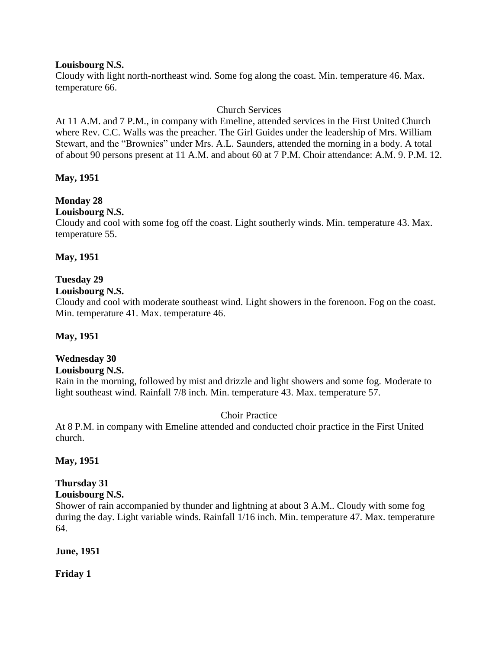#### **Louisbourg N.S.**

Cloudy with light north-northeast wind. Some fog along the coast. Min. temperature 46. Max. temperature 66.

## Church Services

At 11 A.M. and 7 P.M., in company with Emeline, attended services in the First United Church where Rev. C.C. Walls was the preacher. The Girl Guides under the leadership of Mrs. William Stewart, and the "Brownies" under Mrs. A.L. Saunders, attended the morning in a body. A total of about 90 persons present at 11 A.M. and about 60 at 7 P.M. Choir attendance: A.M. 9. P.M. 12.

## **May, 1951**

## **Monday 28**

## **Louisbourg N.S.**

Cloudy and cool with some fog off the coast. Light southerly winds. Min. temperature 43. Max. temperature 55.

## **May, 1951**

## **Tuesday 29**

## **Louisbourg N.S.**

Cloudy and cool with moderate southeast wind. Light showers in the forenoon. Fog on the coast. Min. temperature 41. Max. temperature 46.

## **May, 1951**

## **Wednesday 30**

## **Louisbourg N.S.**

Rain in the morning, followed by mist and drizzle and light showers and some fog. Moderate to light southeast wind. Rainfall 7/8 inch. Min. temperature 43. Max. temperature 57.

## Choir Practice

At 8 P.M. in company with Emeline attended and conducted choir practice in the First United church.

## **May, 1951**

# **Thursday 31**

# **Louisbourg N.S.**

Shower of rain accompanied by thunder and lightning at about 3 A.M.. Cloudy with some fog during the day. Light variable winds. Rainfall 1/16 inch. Min. temperature 47. Max. temperature 64.

## **June, 1951**

**Friday 1**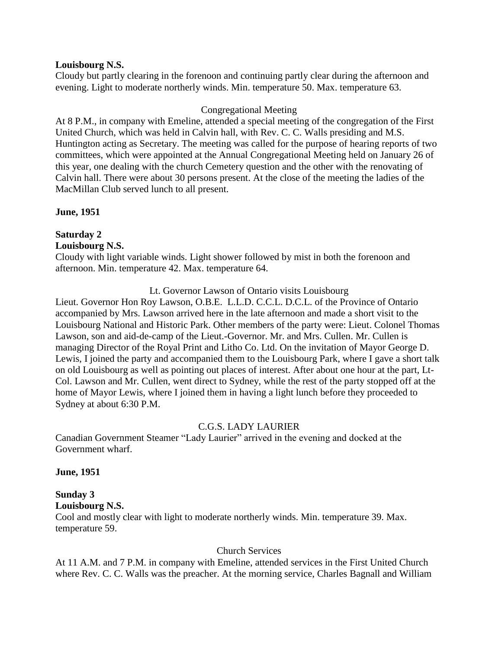#### **Louisbourg N.S.**

Cloudy but partly clearing in the forenoon and continuing partly clear during the afternoon and evening. Light to moderate northerly winds. Min. temperature 50. Max. temperature 63.

#### Congregational Meeting

At 8 P.M., in company with Emeline, attended a special meeting of the congregation of the First United Church, which was held in Calvin hall, with Rev. C. C. Walls presiding and M.S. Huntington acting as Secretary. The meeting was called for the purpose of hearing reports of two committees, which were appointed at the Annual Congregational Meeting held on January 26 of this year, one dealing with the church Cemetery question and the other with the renovating of Calvin hall. There were about 30 persons present. At the close of the meeting the ladies of the MacMillan Club served lunch to all present.

#### **June, 1951**

# **Saturday 2**

#### **Louisbourg N.S.**

Cloudy with light variable winds. Light shower followed by mist in both the forenoon and afternoon. Min. temperature 42. Max. temperature 64.

Lt. Governor Lawson of Ontario visits Louisbourg

Lieut. Governor Hon Roy Lawson, O.B.E. L.L.D. C.C.L. D.C.L. of the Province of Ontario accompanied by Mrs. Lawson arrived here in the late afternoon and made a short visit to the Louisbourg National and Historic Park. Other members of the party were: Lieut. Colonel Thomas Lawson, son and aid-de-camp of the Lieut.-Governor. Mr. and Mrs. Cullen. Mr. Cullen is managing Director of the Royal Print and Litho Co. Ltd. On the invitation of Mayor George D. Lewis, I joined the party and accompanied them to the Louisbourg Park, where I gave a short talk on old Louisbourg as well as pointing out places of interest. After about one hour at the part, Lt-Col. Lawson and Mr. Cullen, went direct to Sydney, while the rest of the party stopped off at the home of Mayor Lewis, where I joined them in having a light lunch before they proceeded to Sydney at about 6:30 P.M.

## C.G.S. LADY LAURIER

Canadian Government Steamer "Lady Laurier" arrived in the evening and docked at the Government wharf.

#### **June, 1951**

#### **Sunday 3 Louisbourg N.S.**

Cool and mostly clear with light to moderate northerly winds. Min. temperature 39. Max. temperature 59.

#### Church Services

At 11 A.M. and 7 P.M. in company with Emeline, attended services in the First United Church where Rev. C. C. Walls was the preacher. At the morning service, Charles Bagnall and William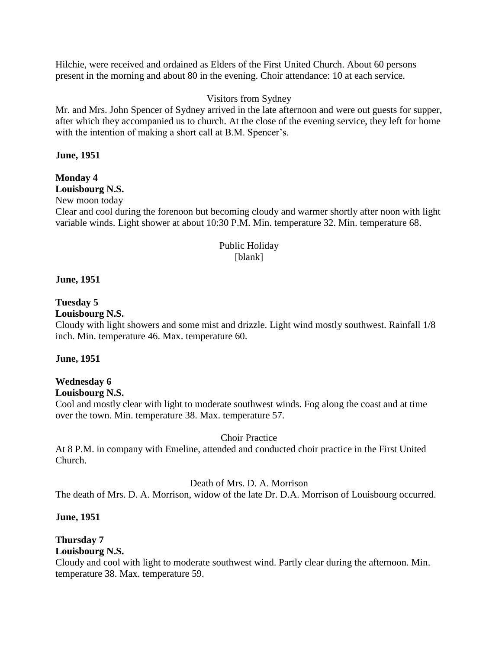Hilchie, were received and ordained as Elders of the First United Church. About 60 persons present in the morning and about 80 in the evening. Choir attendance: 10 at each service.

## Visitors from Sydney

Mr. and Mrs. John Spencer of Sydney arrived in the late afternoon and were out guests for supper, after which they accompanied us to church. At the close of the evening service, they left for home with the intention of making a short call at B.M. Spencer's.

## **June, 1951**

# **Monday 4**

#### **Louisbourg N.S.** New moon today

Clear and cool during the forenoon but becoming cloudy and warmer shortly after noon with light variable winds. Light shower at about 10:30 P.M. Min. temperature 32. Min. temperature 68.

#### Public Holiday [blank]

#### **June, 1951**

#### **Tuesday 5**

#### **Louisbourg N.S.**

Cloudy with light showers and some mist and drizzle. Light wind mostly southwest. Rainfall 1/8 inch. Min. temperature 46. Max. temperature 60.

#### **June, 1951**

# **Wednesday 6**

## **Louisbourg N.S.**

Cool and mostly clear with light to moderate southwest winds. Fog along the coast and at time over the town. Min. temperature 38. Max. temperature 57.

#### Choir Practice

At 8 P.M. in company with Emeline, attended and conducted choir practice in the First United Church.

#### Death of Mrs. D. A. Morrison

The death of Mrs. D. A. Morrison, widow of the late Dr. D.A. Morrison of Louisbourg occurred.

#### **June, 1951**

## **Thursday 7**

## **Louisbourg N.S.**

Cloudy and cool with light to moderate southwest wind. Partly clear during the afternoon. Min. temperature 38. Max. temperature 59.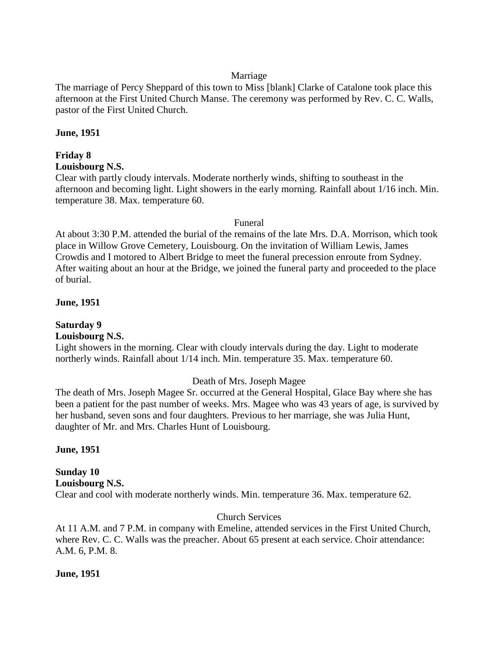## Marriage

The marriage of Percy Sheppard of this town to Miss [blank] Clarke of Catalone took place this afternoon at the First United Church Manse. The ceremony was performed by Rev. C. C. Walls, pastor of the First United Church.

## **June, 1951**

# **Friday 8**

## **Louisbourg N.S.**

Clear with partly cloudy intervals. Moderate northerly winds, shifting to southeast in the afternoon and becoming light. Light showers in the early morning. Rainfall about 1/16 inch. Min. temperature 38. Max. temperature 60.

## Funeral

At about 3:30 P.M. attended the burial of the remains of the late Mrs. D.A. Morrison, which took place in Willow Grove Cemetery, Louisbourg. On the invitation of William Lewis, James Crowdis and I motored to Albert Bridge to meet the funeral precession enroute from Sydney. After waiting about an hour at the Bridge, we joined the funeral party and proceeded to the place of burial.

## **June, 1951**

# **Saturday 9**

## **Louisbourg N.S.**

Light showers in the morning. Clear with cloudy intervals during the day. Light to moderate northerly winds. Rainfall about 1/14 inch. Min. temperature 35. Max. temperature 60.

## Death of Mrs. Joseph Magee

The death of Mrs. Joseph Magee Sr. occurred at the General Hospital, Glace Bay where she has been a patient for the past number of weeks. Mrs. Magee who was 43 years of age, is survived by her husband, seven sons and four daughters. Previous to her marriage, she was Julia Hunt, daughter of Mr. and Mrs. Charles Hunt of Louisbourg.

**June, 1951**

#### **Sunday 10 Louisbourg N.S.** Clear and cool with moderate northerly winds. Min. temperature 36. Max. temperature 62.

## Church Services

At 11 A.M. and 7 P.M. in company with Emeline, attended services in the First United Church, where Rev. C. C. Walls was the preacher. About 65 present at each service. Choir attendance: A.M. 6, P.M. 8.

## **June, 1951**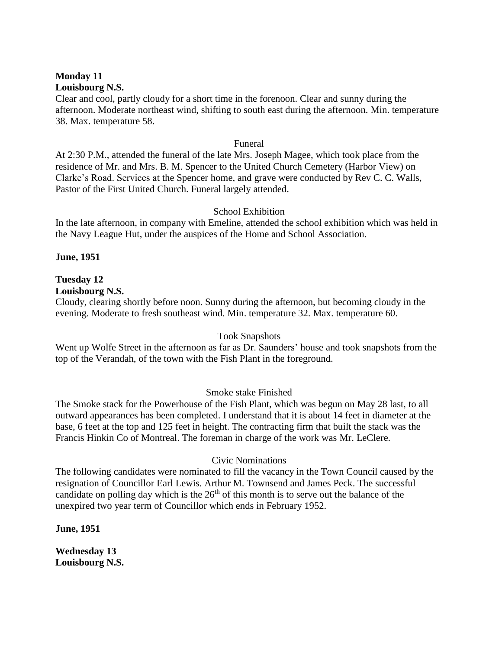#### **Monday 11 Louisbourg N.S.**

Clear and cool, partly cloudy for a short time in the forenoon. Clear and sunny during the afternoon. Moderate northeast wind, shifting to south east during the afternoon. Min. temperature 38. Max. temperature 58.

#### Funeral

At 2:30 P.M., attended the funeral of the late Mrs. Joseph Magee, which took place from the residence of Mr. and Mrs. B. M. Spencer to the United Church Cemetery (Harbor View) on Clarke's Road. Services at the Spencer home, and grave were conducted by Rev C. C. Walls, Pastor of the First United Church. Funeral largely attended.

#### School Exhibition

In the late afternoon, in company with Emeline, attended the school exhibition which was held in the Navy League Hut, under the auspices of the Home and School Association.

#### **June, 1951**

# **Tuesday 12**

**Louisbourg N.S.**

Cloudy, clearing shortly before noon. Sunny during the afternoon, but becoming cloudy in the evening. Moderate to fresh southeast wind. Min. temperature 32. Max. temperature 60.

#### Took Snapshots

Went up Wolfe Street in the afternoon as far as Dr. Saunders' house and took snapshots from the top of the Verandah, of the town with the Fish Plant in the foreground.

## Smoke stake Finished

The Smoke stack for the Powerhouse of the Fish Plant, which was begun on May 28 last, to all outward appearances has been completed. I understand that it is about 14 feet in diameter at the base, 6 feet at the top and 125 feet in height. The contracting firm that built the stack was the Francis Hinkin Co of Montreal. The foreman in charge of the work was Mr. LeClere.

## Civic Nominations

The following candidates were nominated to fill the vacancy in the Town Council caused by the resignation of Councillor Earl Lewis. Arthur M. Townsend and James Peck. The successful candidate on polling day which is the  $26<sup>th</sup>$  of this month is to serve out the balance of the unexpired two year term of Councillor which ends in February 1952.

**June, 1951**

**Wednesday 13 Louisbourg N.S.**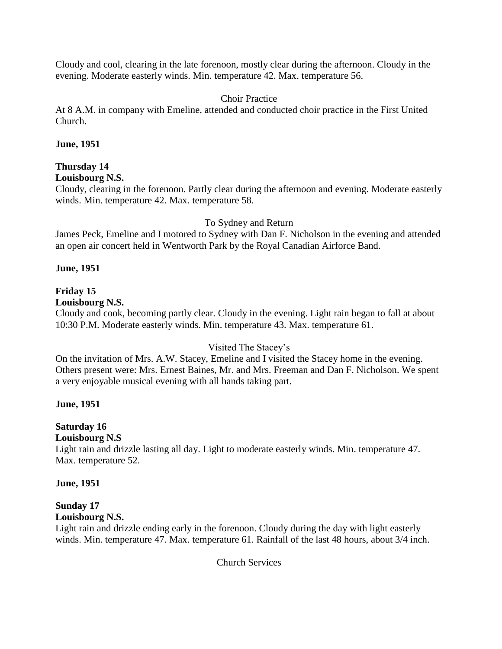Cloudy and cool, clearing in the late forenoon, mostly clear during the afternoon. Cloudy in the evening. Moderate easterly winds. Min. temperature 42. Max. temperature 56.

## Choir Practice

At 8 A.M. in company with Emeline, attended and conducted choir practice in the First United Church.

## **June, 1951**

# **Thursday 14**

## **Louisbourg N.S.**

Cloudy, clearing in the forenoon. Partly clear during the afternoon and evening. Moderate easterly winds. Min. temperature 42. Max. temperature 58.

## To Sydney and Return

James Peck, Emeline and I motored to Sydney with Dan F. Nicholson in the evening and attended an open air concert held in Wentworth Park by the Royal Canadian Airforce Band.

## **June, 1951**

# **Friday 15**

## **Louisbourg N.S.**

Cloudy and cook, becoming partly clear. Cloudy in the evening. Light rain began to fall at about 10:30 P.M. Moderate easterly winds. Min. temperature 43. Max. temperature 61.

## Visited The Stacey's

On the invitation of Mrs. A.W. Stacey, Emeline and I visited the Stacey home in the evening. Others present were: Mrs. Ernest Baines, Mr. and Mrs. Freeman and Dan F. Nicholson. We spent a very enjoyable musical evening with all hands taking part.

## **June, 1951**

# **Saturday 16**

## **Louisbourg N.S**

Light rain and drizzle lasting all day. Light to moderate easterly winds. Min. temperature 47. Max. temperature 52.

## **June, 1951**

# **Sunday 17**

# **Louisbourg N.S.**

Light rain and drizzle ending early in the forenoon. Cloudy during the day with light easterly winds. Min. temperature 47. Max. temperature 61. Rainfall of the last 48 hours, about 3/4 inch.

Church Services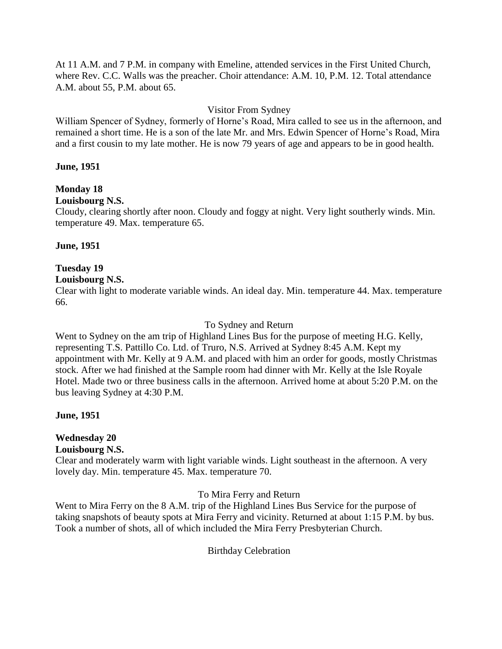At 11 A.M. and 7 P.M. in company with Emeline, attended services in the First United Church, where Rev. C.C. Walls was the preacher. Choir attendance: A.M. 10, P.M. 12. Total attendance A.M. about 55, P.M. about 65.

## Visitor From Sydney

William Spencer of Sydney, formerly of Horne's Road, Mira called to see us in the afternoon, and remained a short time. He is a son of the late Mr. and Mrs. Edwin Spencer of Horne's Road, Mira and a first cousin to my late mother. He is now 79 years of age and appears to be in good health.

#### **June, 1951**

## **Monday 18**

## **Louisbourg N.S.**

Cloudy, clearing shortly after noon. Cloudy and foggy at night. Very light southerly winds. Min. temperature 49. Max. temperature 65.

## **June, 1951**

# **Tuesday 19**

## **Louisbourg N.S.**

Clear with light to moderate variable winds. An ideal day. Min. temperature 44. Max. temperature 66.

#### To Sydney and Return

Went to Sydney on the am trip of Highland Lines Bus for the purpose of meeting H.G. Kelly, representing T.S. Pattillo Co. Ltd. of Truro, N.S. Arrived at Sydney 8:45 A.M. Kept my appointment with Mr. Kelly at 9 A.M. and placed with him an order for goods, mostly Christmas stock. After we had finished at the Sample room had dinner with Mr. Kelly at the Isle Royale Hotel. Made two or three business calls in the afternoon. Arrived home at about 5:20 P.M. on the bus leaving Sydney at 4:30 P.M.

## **June, 1951**

# **Wednesday 20**

**Louisbourg N.S.**

Clear and moderately warm with light variable winds. Light southeast in the afternoon. A very lovely day. Min. temperature 45. Max. temperature 70.

## To Mira Ferry and Return

Went to Mira Ferry on the 8 A.M. trip of the Highland Lines Bus Service for the purpose of taking snapshots of beauty spots at Mira Ferry and vicinity. Returned at about 1:15 P.M. by bus. Took a number of shots, all of which included the Mira Ferry Presbyterian Church.

Birthday Celebration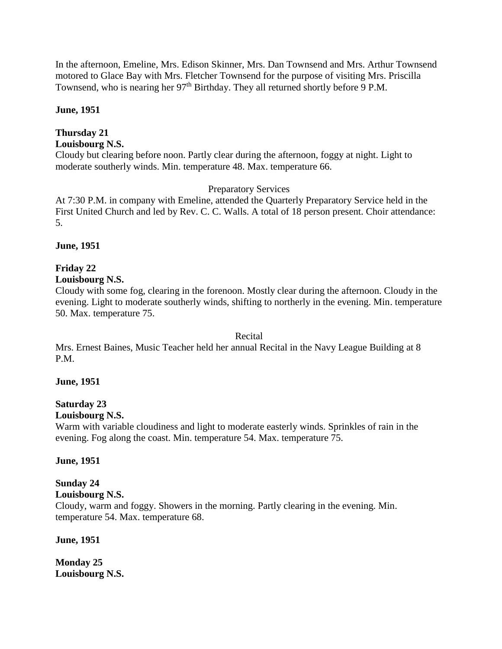In the afternoon, Emeline, Mrs. Edison Skinner, Mrs. Dan Townsend and Mrs. Arthur Townsend motored to Glace Bay with Mrs. Fletcher Townsend for the purpose of visiting Mrs. Priscilla Townsend, who is nearing her 97<sup>th</sup> Birthday. They all returned shortly before 9 P.M.

## **June, 1951**

## **Thursday 21**

## **Louisbourg N.S.**

Cloudy but clearing before noon. Partly clear during the afternoon, foggy at night. Light to moderate southerly winds. Min. temperature 48. Max. temperature 66.

## Preparatory Services

At 7:30 P.M. in company with Emeline, attended the Quarterly Preparatory Service held in the First United Church and led by Rev. C. C. Walls. A total of 18 person present. Choir attendance: 5.

## **June, 1951**

## **Friday 22**

## **Louisbourg N.S.**

Cloudy with some fog, clearing in the forenoon. Mostly clear during the afternoon. Cloudy in the evening. Light to moderate southerly winds, shifting to northerly in the evening. Min. temperature 50. Max. temperature 75.

#### Recital

Mrs. Ernest Baines, Music Teacher held her annual Recital in the Navy League Building at 8 P.M.

## **June, 1951**

#### **Saturday 23 Louisbourg N.S.**

Warm with variable cloudiness and light to moderate easterly winds. Sprinkles of rain in the evening. Fog along the coast. Min. temperature 54. Max. temperature 75.

## **June, 1951**

#### **Sunday 24 Louisbourg N.S.**

Cloudy, warm and foggy. Showers in the morning. Partly clearing in the evening. Min. temperature 54. Max. temperature 68.

#### **June, 1951**

**Monday 25 Louisbourg N.S.**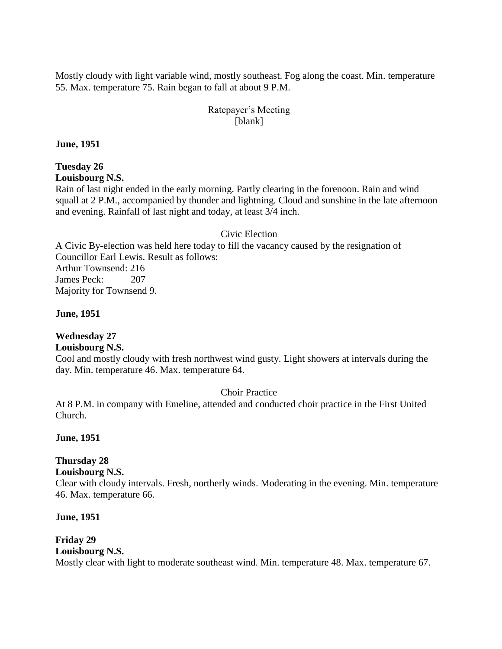Mostly cloudy with light variable wind, mostly southeast. Fog along the coast. Min. temperature 55. Max. temperature 75. Rain began to fall at about 9 P.M.

## Ratepayer's Meeting [blank]

**June, 1951**

# **Tuesday 26**

**Louisbourg N.S.**

Rain of last night ended in the early morning. Partly clearing in the forenoon. Rain and wind squall at 2 P.M., accompanied by thunder and lightning. Cloud and sunshine in the late afternoon and evening. Rainfall of last night and today, at least 3/4 inch.

## Civic Election

A Civic By-election was held here today to fill the vacancy caused by the resignation of Councillor Earl Lewis. Result as follows: Arthur Townsend: 216 James Peck: 207 Majority for Townsend 9.

**June, 1951**

## **Wednesday 27**

## **Louisbourg N.S.**

Cool and mostly cloudy with fresh northwest wind gusty. Light showers at intervals during the day. Min. temperature 46. Max. temperature 64.

## Choir Practice

At 8 P.M. in company with Emeline, attended and conducted choir practice in the First United Church.

#### **June, 1951**

## **Thursday 28**

## **Louisbourg N.S.**

Clear with cloudy intervals. Fresh, northerly winds. Moderating in the evening. Min. temperature 46. Max. temperature 66.

#### **June, 1951**

#### **Friday 29 Louisbourg N.S.** Mostly clear with light to moderate southeast wind. Min. temperature 48. Max. temperature 67.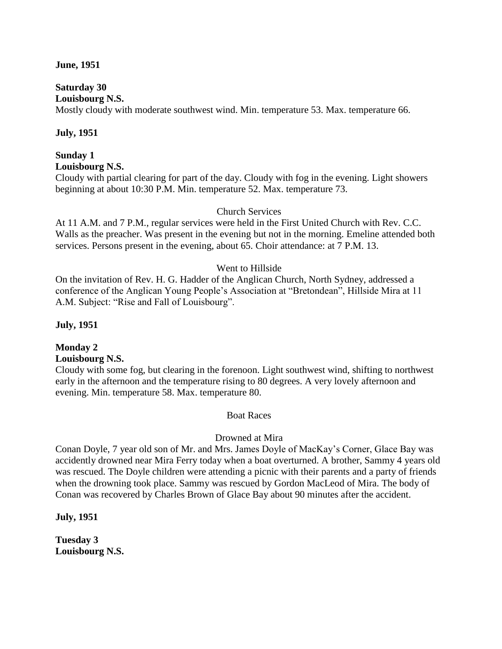#### **June, 1951**

## **Saturday 30**

**Louisbourg N.S.**

Mostly cloudy with moderate southwest wind. Min. temperature 53. Max. temperature 66.

## **July, 1951**

#### **Sunday 1 Louisbourg N.S.**

Cloudy with partial clearing for part of the day. Cloudy with fog in the evening. Light showers beginning at about 10:30 P.M. Min. temperature 52. Max. temperature 73.

## Church Services

At 11 A.M. and 7 P.M., regular services were held in the First United Church with Rev. C.C. Walls as the preacher. Was present in the evening but not in the morning. Emeline attended both services. Persons present in the evening, about 65. Choir attendance: at 7 P.M. 13.

#### Went to Hillside

On the invitation of Rev. H. G. Hadder of the Anglican Church, North Sydney, addressed a conference of the Anglican Young People's Association at "Bretondean", Hillside Mira at 11 A.M. Subject: "Rise and Fall of Louisbourg".

#### **July, 1951**

# **Monday 2**

## **Louisbourg N.S.**

Cloudy with some fog, but clearing in the forenoon. Light southwest wind, shifting to northwest early in the afternoon and the temperature rising to 80 degrees. A very lovely afternoon and evening. Min. temperature 58. Max. temperature 80.

#### Boat Races

#### Drowned at Mira

Conan Doyle, 7 year old son of Mr. and Mrs. James Doyle of MacKay's Corner, Glace Bay was accidently drowned near Mira Ferry today when a boat overturned. A brother, Sammy 4 years old was rescued. The Doyle children were attending a picnic with their parents and a party of friends when the drowning took place. Sammy was rescued by Gordon MacLeod of Mira. The body of Conan was recovered by Charles Brown of Glace Bay about 90 minutes after the accident.

**July, 1951**

**Tuesday 3 Louisbourg N.S.**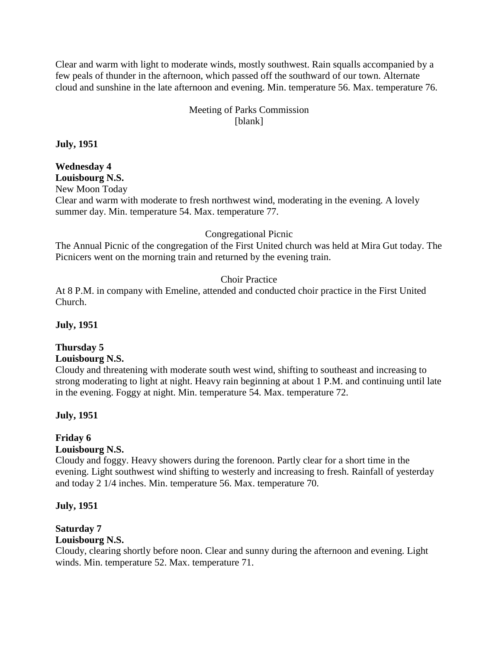Clear and warm with light to moderate winds, mostly southwest. Rain squalls accompanied by a few peals of thunder in the afternoon, which passed off the southward of our town. Alternate cloud and sunshine in the late afternoon and evening. Min. temperature 56. Max. temperature 76.

## Meeting of Parks Commission [blank]

**July, 1951**

# **Wednesday 4**

**Louisbourg N.S.**

New Moon Today

Clear and warm with moderate to fresh northwest wind, moderating in the evening. A lovely summer day. Min. temperature 54. Max. temperature 77.

## Congregational Picnic

The Annual Picnic of the congregation of the First United church was held at Mira Gut today. The Picnicers went on the morning train and returned by the evening train.

## Choir Practice

At 8 P.M. in company with Emeline, attended and conducted choir practice in the First United Church.

## **July, 1951**

# **Thursday 5**

#### **Louisbourg N.S.**

Cloudy and threatening with moderate south west wind, shifting to southeast and increasing to strong moderating to light at night. Heavy rain beginning at about 1 P.M. and continuing until late in the evening. Foggy at night. Min. temperature 54. Max. temperature 72.

## **July, 1951**

# **Friday 6**

## **Louisbourg N.S.**

Cloudy and foggy. Heavy showers during the forenoon. Partly clear for a short time in the evening. Light southwest wind shifting to westerly and increasing to fresh. Rainfall of yesterday and today 2 1/4 inches. Min. temperature 56. Max. temperature 70.

## **July, 1951**

# **Saturday 7**

## **Louisbourg N.S.**

Cloudy, clearing shortly before noon. Clear and sunny during the afternoon and evening. Light winds. Min. temperature 52. Max. temperature 71.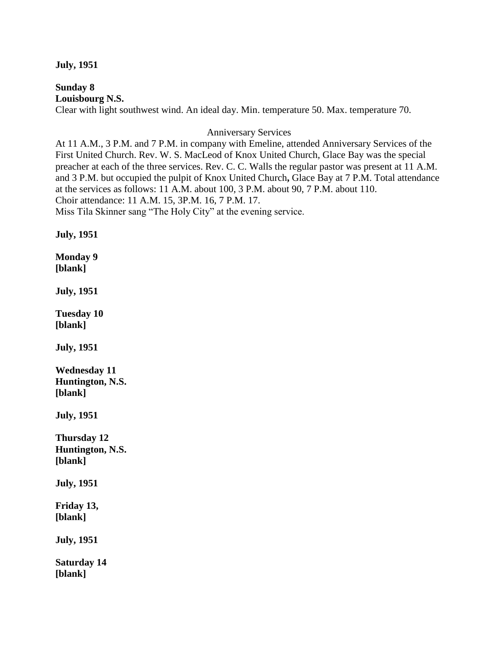#### **July, 1951**

**Sunday 8 Louisbourg N.S.** Clear with light southwest wind. An ideal day. Min. temperature 50. Max. temperature 70.

Anniversary Services

At 11 A.M., 3 P.M. and 7 P.M. in company with Emeline, attended Anniversary Services of the First United Church. Rev. W. S. MacLeod of Knox United Church, Glace Bay was the special preacher at each of the three services. Rev. C. C. Walls the regular pastor was present at 11 A.M. and 3 P.M. but occupied the pulpit of Knox United Church**,** Glace Bay at 7 P.M. Total attendance at the services as follows: 11 A.M. about 100, 3 P.M. about 90, 7 P.M. about 110. Choir attendance: 11 A.M. 15, 3P.M. 16, 7 P.M. 17. Miss Tila Skinner sang "The Holy City" at the evening service.

**July, 1951**

**Monday 9 [blank]**

**July, 1951**

**Tuesday 10 [blank]**

**July, 1951**

**Wednesday 11 Huntington, N.S. [blank]**

**July, 1951**

**Thursday 12 Huntington, N.S. [blank]**

**July, 1951**

**Friday 13, [blank]**

**July, 1951**

**Saturday 14 [blank]**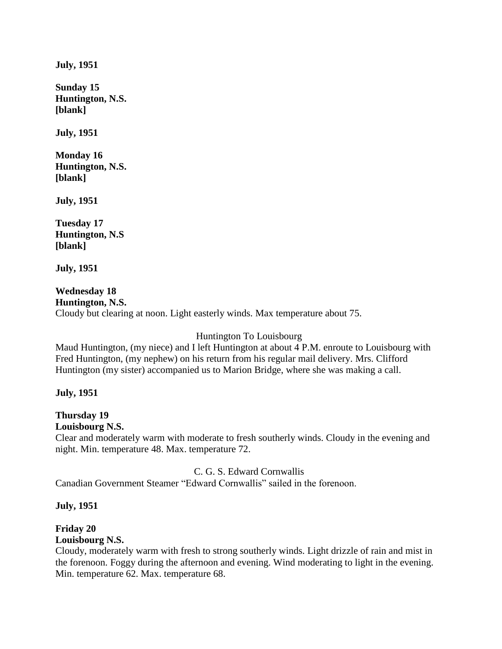**July, 1951**

**Sunday 15 Huntington, N.S. [blank]**

**July, 1951**

**Monday 16 Huntington, N.S. [blank]**

**July, 1951**

**Tuesday 17 Huntington, N.S [blank]**

**July, 1951**

**Wednesday 18 Huntington, N.S.** Cloudy but clearing at noon. Light easterly winds. Max temperature about 75.

Huntington To Louisbourg

Maud Huntington, (my niece) and I left Huntington at about 4 P.M. enroute to Louisbourg with Fred Huntington, (my nephew) on his return from his regular mail delivery. Mrs. Clifford Huntington (my sister) accompanied us to Marion Bridge, where she was making a call.

#### **July, 1951**

# **Thursday 19**

**Louisbourg N.S.**

Clear and moderately warm with moderate to fresh southerly winds. Cloudy in the evening and night. Min. temperature 48. Max. temperature 72.

C. G. S. Edward Cornwallis

Canadian Government Steamer "Edward Cornwallis" sailed in the forenoon.

#### **July, 1951**

# **Friday 20**

## **Louisbourg N.S.**

Cloudy, moderately warm with fresh to strong southerly winds. Light drizzle of rain and mist in the forenoon. Foggy during the afternoon and evening. Wind moderating to light in the evening. Min. temperature 62. Max. temperature 68.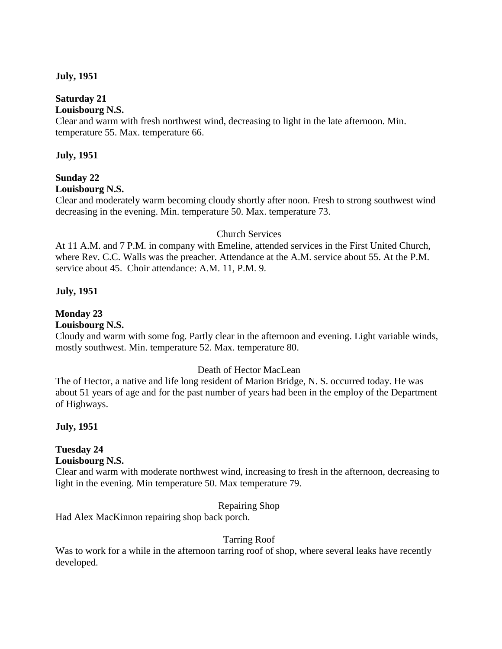#### **July, 1951**

## **Saturday 21**

#### **Louisbourg N.S.**

Clear and warm with fresh northwest wind, decreasing to light in the late afternoon. Min. temperature 55. Max. temperature 66.

## **July, 1951**

## **Sunday 22**

#### **Louisbourg N.S.**

Clear and moderately warm becoming cloudy shortly after noon. Fresh to strong southwest wind decreasing in the evening. Min. temperature 50. Max. temperature 73.

## Church Services

At 11 A.M. and 7 P.M. in company with Emeline, attended services in the First United Church, where Rev. C.C. Walls was the preacher. Attendance at the A.M. service about 55. At the P.M. service about 45. Choir attendance: A.M. 11, P.M. 9.

## **July, 1951**

## **Monday 23**

## **Louisbourg N.S.**

Cloudy and warm with some fog. Partly clear in the afternoon and evening. Light variable winds, mostly southwest. Min. temperature 52. Max. temperature 80.

## Death of Hector MacLean

The of Hector, a native and life long resident of Marion Bridge, N. S. occurred today. He was about 51 years of age and for the past number of years had been in the employ of the Department of Highways.

#### **July, 1951**

## **Tuesday 24**

#### **Louisbourg N.S.**

Clear and warm with moderate northwest wind, increasing to fresh in the afternoon, decreasing to light in the evening. Min temperature 50. Max temperature 79.

## Repairing Shop

Had Alex MacKinnon repairing shop back porch.

## Tarring Roof

Was to work for a while in the afternoon tarring roof of shop, where several leaks have recently developed.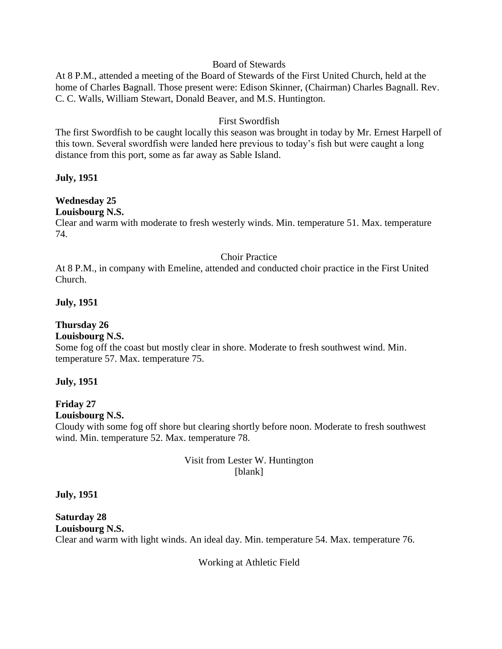#### Board of Stewards

At 8 P.M., attended a meeting of the Board of Stewards of the First United Church, held at the home of Charles Bagnall. Those present were: Edison Skinner, (Chairman) Charles Bagnall. Rev. C. C. Walls, William Stewart, Donald Beaver, and M.S. Huntington.

## First Swordfish

The first Swordfish to be caught locally this season was brought in today by Mr. Ernest Harpell of this town. Several swordfish were landed here previous to today's fish but were caught a long distance from this port, some as far away as Sable Island.

## **July, 1951**

# **Wednesday 25**

## **Louisbourg N.S.**

Clear and warm with moderate to fresh westerly winds. Min. temperature 51. Max. temperature 74.

## Choir Practice

At 8 P.M., in company with Emeline, attended and conducted choir practice in the First United Church.

## **July, 1951**

# **Thursday 26**

## **Louisbourg N.S.**

Some fog off the coast but mostly clear in shore. Moderate to fresh southwest wind. Min. temperature 57. Max. temperature 75.

## **July, 1951**

#### **Friday 27 Louisbourg N.S.**

Cloudy with some fog off shore but clearing shortly before noon. Moderate to fresh southwest wind. Min. temperature 52. Max. temperature 78.

## Visit from Lester W. Huntington [blank]

## **July, 1951**

**Saturday 28 Louisbourg N.S.** Clear and warm with light winds. An ideal day. Min. temperature 54. Max. temperature 76.

Working at Athletic Field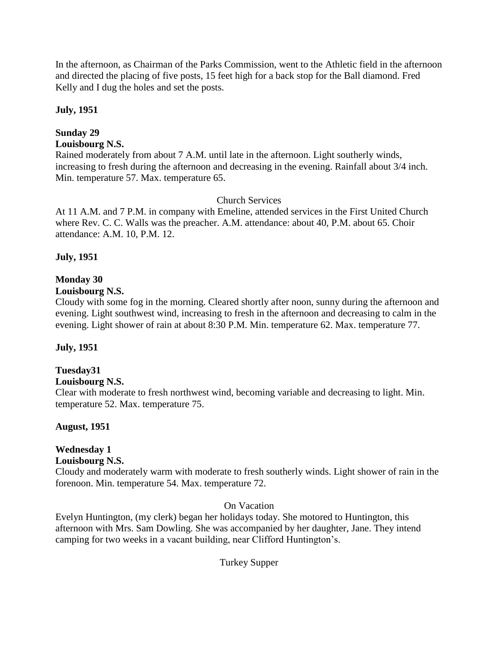In the afternoon, as Chairman of the Parks Commission, went to the Athletic field in the afternoon and directed the placing of five posts, 15 feet high for a back stop for the Ball diamond. Fred Kelly and I dug the holes and set the posts.

## **July, 1951**

## **Sunday 29**

## **Louisbourg N.S.**

Rained moderately from about 7 A.M. until late in the afternoon. Light southerly winds, increasing to fresh during the afternoon and decreasing in the evening. Rainfall about 3/4 inch. Min. temperature 57. Max. temperature 65.

## Church Services

At 11 A.M. and 7 P.M. in company with Emeline, attended services in the First United Church where Rev. C. C. Walls was the preacher. A.M. attendance: about 40, P.M. about 65. Choir attendance: A.M. 10, P.M. 12.

## **July, 1951**

## **Monday 30**

## **Louisbourg N.S.**

Cloudy with some fog in the morning. Cleared shortly after noon, sunny during the afternoon and evening. Light southwest wind, increasing to fresh in the afternoon and decreasing to calm in the evening. Light shower of rain at about 8:30 P.M. Min. temperature 62. Max. temperature 77.

## **July, 1951**

# **Tuesday31**

#### **Louisbourg N.S.**

Clear with moderate to fresh northwest wind, becoming variable and decreasing to light. Min. temperature 52. Max. temperature 75.

## **August, 1951**

# **Wednesday 1**

## **Louisbourg N.S.**

Cloudy and moderately warm with moderate to fresh southerly winds. Light shower of rain in the forenoon. Min. temperature 54. Max. temperature 72.

#### On Vacation

Evelyn Huntington, (my clerk) began her holidays today. She motored to Huntington, this afternoon with Mrs. Sam Dowling. She was accompanied by her daughter, Jane. They intend camping for two weeks in a vacant building, near Clifford Huntington's.

Turkey Supper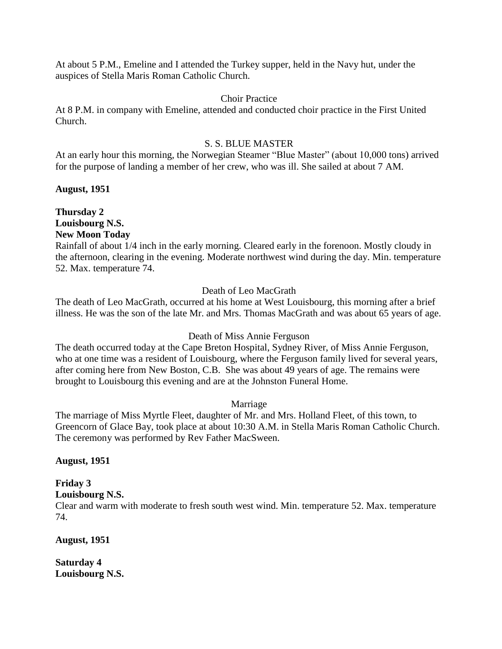At about 5 P.M., Emeline and I attended the Turkey supper, held in the Navy hut, under the auspices of Stella Maris Roman Catholic Church.

## Choir Practice

At 8 P.M. in company with Emeline, attended and conducted choir practice in the First United Church.

#### S. S. BLUE MASTER

At an early hour this morning, the Norwegian Steamer "Blue Master" (about 10,000 tons) arrived for the purpose of landing a member of her crew, who was ill. She sailed at about 7 AM.

## **August, 1951**

**Thursday 2 Louisbourg N.S. New Moon Today**

Rainfall of about 1/4 inch in the early morning. Cleared early in the forenoon. Mostly cloudy in the afternoon, clearing in the evening. Moderate northwest wind during the day. Min. temperature 52. Max. temperature 74.

## Death of Leo MacGrath

The death of Leo MacGrath, occurred at his home at West Louisbourg, this morning after a brief illness. He was the son of the late Mr. and Mrs. Thomas MacGrath and was about 65 years of age.

#### Death of Miss Annie Ferguson

The death occurred today at the Cape Breton Hospital, Sydney River, of Miss Annie Ferguson, who at one time was a resident of Louisbourg, where the Ferguson family lived for several years, after coming here from New Boston, C.B. She was about 49 years of age. The remains were brought to Louisbourg this evening and are at the Johnston Funeral Home.

#### Marriage

The marriage of Miss Myrtle Fleet, daughter of Mr. and Mrs. Holland Fleet, of this town, to Greencorn of Glace Bay, took place at about 10:30 A.M. in Stella Maris Roman Catholic Church. The ceremony was performed by Rev Father MacSween.

#### **August, 1951**

# **Friday 3**

**Louisbourg N.S.**

Clear and warm with moderate to fresh south west wind. Min. temperature 52. Max. temperature 74.

**August, 1951**

**Saturday 4 Louisbourg N.S.**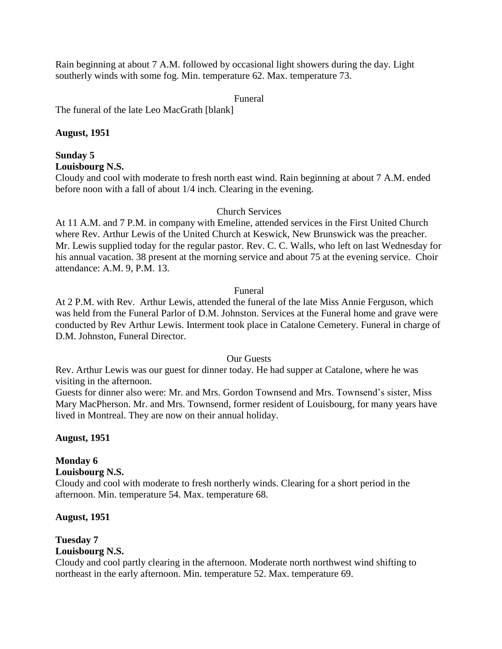Rain beginning at about 7 A.M. followed by occasional light showers during the day. Light southerly winds with some fog. Min. temperature 62. Max. temperature 73.

Funeral

The funeral of the late Leo MacGrath [blank]

## **August, 1951**

#### **Sunday 5 Louisbourg N.S.**

Cloudy and cool with moderate to fresh north east wind. Rain beginning at about 7 A.M. ended before noon with a fall of about 1/4 inch. Clearing in the evening.

## Church Services

At 11 A.M. and 7 P.M. in company with Emeline, attended services in the First United Church where Rev. Arthur Lewis of the United Church at Keswick, New Brunswick was the preacher. Mr. Lewis supplied today for the regular pastor. Rev. C. C. Walls, who left on last Wednesday for his annual vacation. 38 present at the morning service and about 75 at the evening service. Choir attendance: A.M. 9, P.M. 13.

## Funeral

At 2 P.M. with Rev. Arthur Lewis, attended the funeral of the late Miss Annie Ferguson, which was held from the Funeral Parlor of D.M. Johnston. Services at the Funeral home and grave were conducted by Rev Arthur Lewis. Interment took place in Catalone Cemetery. Funeral in charge of D.M. Johnston, Funeral Director.

Our Guests

Rev. Arthur Lewis was our guest for dinner today. He had supper at Catalone, where he was visiting in the afternoon.

Guests for dinner also were: Mr. and Mrs. Gordon Townsend and Mrs. Townsend's sister, Miss Mary MacPherson. Mr. and Mrs. Townsend, former resident of Louisbourg, for many years have lived in Montreal. They are now on their annual holiday.

## **August, 1951**

## **Monday 6**

## **Louisbourg N.S.**

Cloudy and cool with moderate to fresh northerly winds. Clearing for a short period in the afternoon. Min. temperature 54. Max. temperature 68.

## **August, 1951**

#### **Tuesday 7 Louisbourg N.S.**

Cloudy and cool partly clearing in the afternoon. Moderate north northwest wind shifting to northeast in the early afternoon. Min. temperature 52. Max. temperature 69.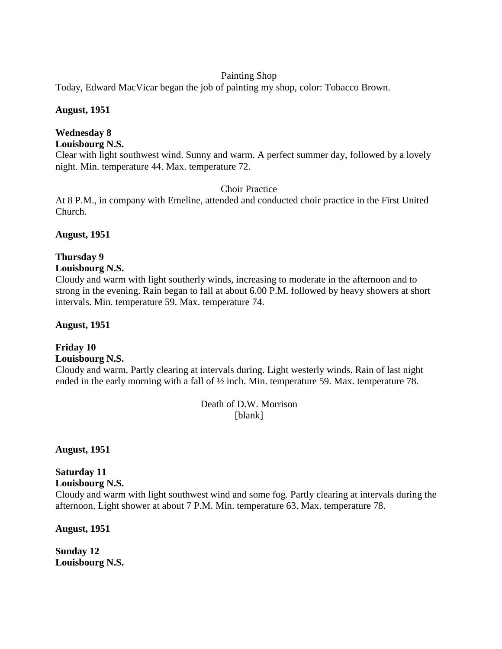## Painting Shop

Today, Edward MacVicar began the job of painting my shop, color: Tobacco Brown.

## **August, 1951**

# **Wednesday 8**

## **Louisbourg N.S.**

Clear with light southwest wind. Sunny and warm. A perfect summer day, followed by a lovely night. Min. temperature 44. Max. temperature 72.

## Choir Practice

At 8 P.M., in company with Emeline, attended and conducted choir practice in the First United Church.

## **August, 1951**

## **Thursday 9**

## **Louisbourg N.S.**

Cloudy and warm with light southerly winds, increasing to moderate in the afternoon and to strong in the evening. Rain began to fall at about 6.00 P.M. followed by heavy showers at short intervals. Min. temperature 59. Max. temperature 74.

## **August, 1951**

## **Friday 10 Louisbourg N.S.**

Cloudy and warm. Partly clearing at intervals during. Light westerly winds. Rain of last night ended in the early morning with a fall of ½ inch. Min. temperature 59. Max. temperature 78.

> Death of D.W. Morrison [blank]

**August, 1951**

# **Saturday 11**

#### **Louisbourg N.S.**

Cloudy and warm with light southwest wind and some fog. Partly clearing at intervals during the afternoon. Light shower at about 7 P.M. Min. temperature 63. Max. temperature 78.

**August, 1951**

**Sunday 12 Louisbourg N.S.**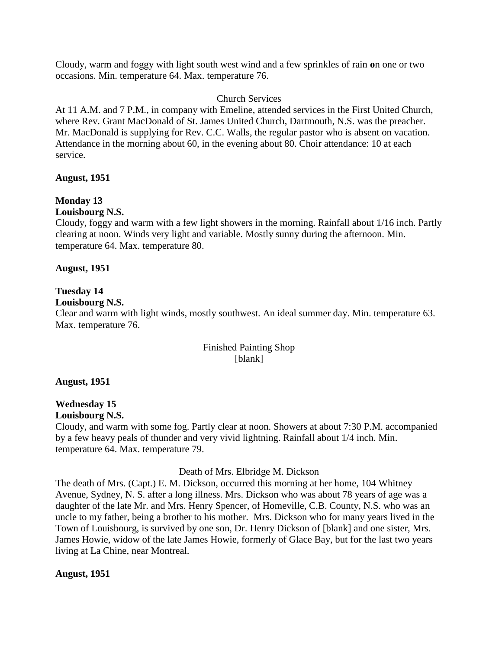Cloudy, warm and foggy with light south west wind and a few sprinkles of rain **o**n one or two occasions. Min. temperature 64. Max. temperature 76.

#### Church Services

At 11 A.M. and 7 P.M., in company with Emeline, attended services in the First United Church, where Rev. Grant MacDonald of St. James United Church, Dartmouth, N.S. was the preacher. Mr. MacDonald is supplying for Rev. C.C. Walls, the regular pastor who is absent on vacation. Attendance in the morning about 60, in the evening about 80. Choir attendance: 10 at each service.

## **August, 1951**

# **Monday 13**

#### **Louisbourg N.S.**

Cloudy, foggy and warm with a few light showers in the morning. Rainfall about 1/16 inch. Partly clearing at noon. Winds very light and variable. Mostly sunny during the afternoon. Min. temperature 64. Max. temperature 80.

## **August, 1951**

## **Tuesday 14**

## **Louisbourg N.S.**

Clear and warm with light winds, mostly southwest. An ideal summer day. Min. temperature 63. Max. temperature 76.

## Finished Painting Shop [blank]

## **August, 1951**

#### **Wednesday 15 Louisbourg N.S.**

Cloudy, and warm with some fog. Partly clear at noon. Showers at about 7:30 P.M. accompanied by a few heavy peals of thunder and very vivid lightning. Rainfall about 1/4 inch. Min. temperature 64. Max. temperature 79.

#### Death of Mrs. Elbridge M. Dickson

The death of Mrs. (Capt.) E. M. Dickson, occurred this morning at her home, 104 Whitney Avenue, Sydney, N. S. after a long illness. Mrs. Dickson who was about 78 years of age was a daughter of the late Mr. and Mrs. Henry Spencer, of Homeville, C.B. County, N.S. who was an uncle to my father, being a brother to his mother. Mrs. Dickson who for many years lived in the Town of Louisbourg, is survived by one son, Dr. Henry Dickson of [blank] and one sister, Mrs. James Howie, widow of the late James Howie, formerly of Glace Bay, but for the last two years living at La Chine, near Montreal.

## **August, 1951**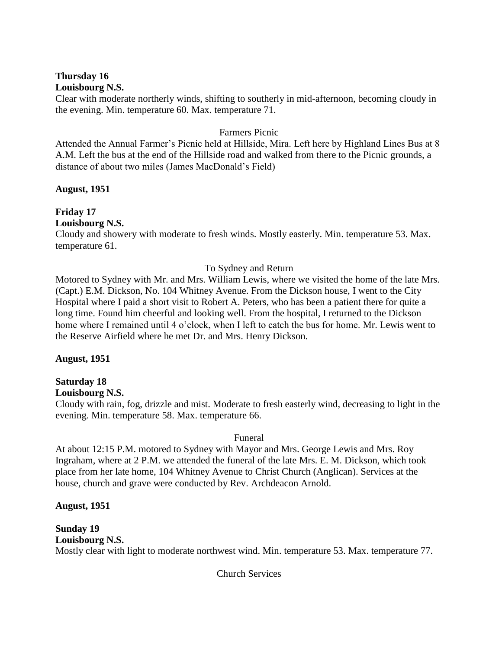#### **Thursday 16 Louisbourg N.S.**

Clear with moderate northerly winds, shifting to southerly in mid-afternoon, becoming cloudy in the evening. Min. temperature 60. Max. temperature 71.

## Farmers Picnic

Attended the Annual Farmer's Picnic held at Hillside, Mira. Left here by Highland Lines Bus at 8 A.M. Left the bus at the end of the Hillside road and walked from there to the Picnic grounds, a distance of about two miles (James MacDonald's Field)

## **August, 1951**

**Friday 17 Louisbourg N.S.**

Cloudy and showery with moderate to fresh winds. Mostly easterly. Min. temperature 53. Max. temperature 61.

## To Sydney and Return

Motored to Sydney with Mr. and Mrs. William Lewis, where we visited the home of the late Mrs. (Capt.) E.M. Dickson, No. 104 Whitney Avenue. From the Dickson house, I went to the City Hospital where I paid a short visit to Robert A. Peters, who has been a patient there for quite a long time. Found him cheerful and looking well. From the hospital, I returned to the Dickson home where I remained until 4 o'clock, when I left to catch the bus for home. Mr. Lewis went to the Reserve Airfield where he met Dr. and Mrs. Henry Dickson.

#### **August, 1951**

## **Saturday 18**

#### **Louisbourg N.S.**

Cloudy with rain, fog, drizzle and mist. Moderate to fresh easterly wind, decreasing to light in the evening. Min. temperature 58. Max. temperature 66.

#### Funeral

At about 12:15 P.M. motored to Sydney with Mayor and Mrs. George Lewis and Mrs. Roy Ingraham, where at 2 P.M. we attended the funeral of the late Mrs. E. M. Dickson, which took place from her late home, 104 Whitney Avenue to Christ Church (Anglican). Services at the house, church and grave were conducted by Rev. Archdeacon Arnold.

#### **August, 1951**

**Sunday 19 Louisbourg N.S.** Mostly clear with light to moderate northwest wind. Min. temperature 53. Max. temperature 77.

Church Services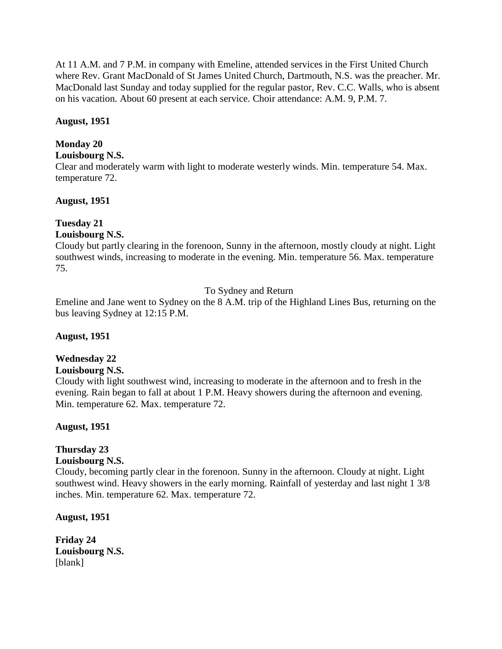At 11 A.M. and 7 P.M. in company with Emeline, attended services in the First United Church where Rev. Grant MacDonald of St James United Church, Dartmouth, N.S. was the preacher. Mr. MacDonald last Sunday and today supplied for the regular pastor, Rev. C.C. Walls, who is absent on his vacation. About 60 present at each service. Choir attendance: A.M. 9, P.M. 7.

## **August, 1951**

## **Monday 20**

## **Louisbourg N.S.**

Clear and moderately warm with light to moderate westerly winds. Min. temperature 54. Max. temperature 72.

## **August, 1951**

## **Tuesday 21**

## **Louisbourg N.S.**

Cloudy but partly clearing in the forenoon, Sunny in the afternoon, mostly cloudy at night. Light southwest winds, increasing to moderate in the evening. Min. temperature 56. Max. temperature 75.

## To Sydney and Return

Emeline and Jane went to Sydney on the 8 A.M. trip of the Highland Lines Bus, returning on the bus leaving Sydney at 12:15 P.M.

#### **August, 1951**

## **Wednesday 22**

#### **Louisbourg N.S.**

Cloudy with light southwest wind, increasing to moderate in the afternoon and to fresh in the evening. Rain began to fall at about 1 P.M. Heavy showers during the afternoon and evening. Min. temperature 62. Max. temperature 72.

**August, 1951**

# **Thursday 23**

## **Louisbourg N.S.**

Cloudy, becoming partly clear in the forenoon. Sunny in the afternoon. Cloudy at night. Light southwest wind. Heavy showers in the early morning. Rainfall of yesterday and last night 1 3/8 inches. Min. temperature 62. Max. temperature 72.

**August, 1951**

**Friday 24 Louisbourg N.S.** [blank]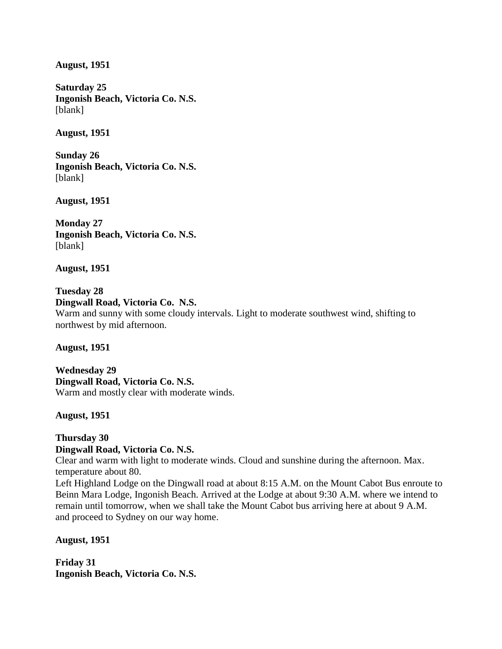**August, 1951**

**Saturday 25 Ingonish Beach, Victoria Co. N.S.** [blank]

**August, 1951**

**Sunday 26 Ingonish Beach, Victoria Co. N.S.** [blank]

**August, 1951**

**Monday 27 Ingonish Beach, Victoria Co. N.S.** [blank]

**August, 1951**

**Tuesday 28 Dingwall Road, Victoria Co. N.S.** Warm and sunny with some cloudy intervals. Light to moderate southwest wind, shifting to northwest by mid afternoon.

**August, 1951**

**Wednesday 29 Dingwall Road, Victoria Co. N.S.** Warm and mostly clear with moderate winds.

**August, 1951**

#### **Thursday 30 Dingwall Road, Victoria Co. N.S.**

Clear and warm with light to moderate winds. Cloud and sunshine during the afternoon. Max. temperature about 80.

Left Highland Lodge on the Dingwall road at about 8:15 A.M. on the Mount Cabot Bus enroute to Beinn Mara Lodge, Ingonish Beach. Arrived at the Lodge at about 9:30 A.M. where we intend to remain until tomorrow, when we shall take the Mount Cabot bus arriving here at about 9 A.M. and proceed to Sydney on our way home.

**August, 1951**

**Friday 31 Ingonish Beach, Victoria Co. N.S.**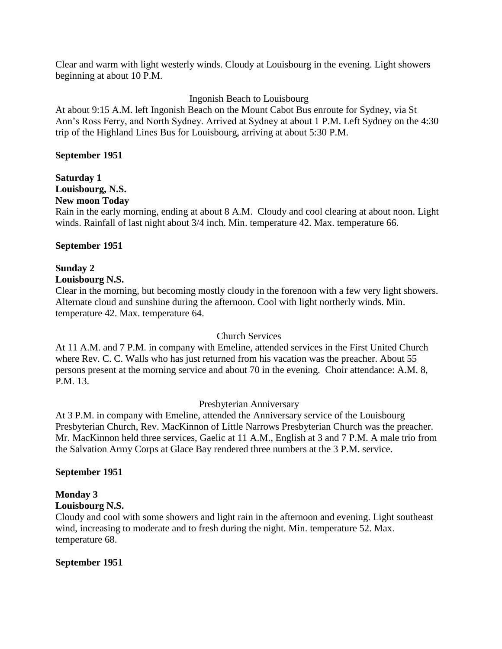Clear and warm with light westerly winds. Cloudy at Louisbourg in the evening. Light showers beginning at about 10 P.M.

## Ingonish Beach to Louisbourg

At about 9:15 A.M. left Ingonish Beach on the Mount Cabot Bus enroute for Sydney, via St Ann's Ross Ferry, and North Sydney. Arrived at Sydney at about 1 P.M. Left Sydney on the 4:30 trip of the Highland Lines Bus for Louisbourg, arriving at about 5:30 P.M.

#### **September 1951**

# **Saturday 1**

# **Louisbourg, N.S.**

## **New moon Today**

Rain in the early morning, ending at about 8 A.M. Cloudy and cool clearing at about noon. Light winds. Rainfall of last night about 3/4 inch. Min. temperature 42. Max. temperature 66.

#### **September 1951**

## **Sunday 2**

## **Louisbourg N.S.**

Clear in the morning, but becoming mostly cloudy in the forenoon with a few very light showers. Alternate cloud and sunshine during the afternoon. Cool with light northerly winds. Min. temperature 42. Max. temperature 64.

#### Church Services

At 11 A.M. and 7 P.M. in company with Emeline, attended services in the First United Church where Rev. C. C. Walls who has just returned from his vacation was the preacher. About 55 persons present at the morning service and about 70 in the evening. Choir attendance: A.M. 8, P.M. 13.

#### Presbyterian Anniversary

At 3 P.M. in company with Emeline, attended the Anniversary service of the Louisbourg Presbyterian Church, Rev. MacKinnon of Little Narrows Presbyterian Church was the preacher. Mr. MacKinnon held three services, Gaelic at 11 A.M., English at 3 and 7 P.M. A male trio from the Salvation Army Corps at Glace Bay rendered three numbers at the 3 P.M. service.

#### **September 1951**

# **Monday 3**

# **Louisbourg N.S.**

Cloudy and cool with some showers and light rain in the afternoon and evening. Light southeast wind, increasing to moderate and to fresh during the night. Min. temperature 52. Max. temperature 68.

#### **September 1951**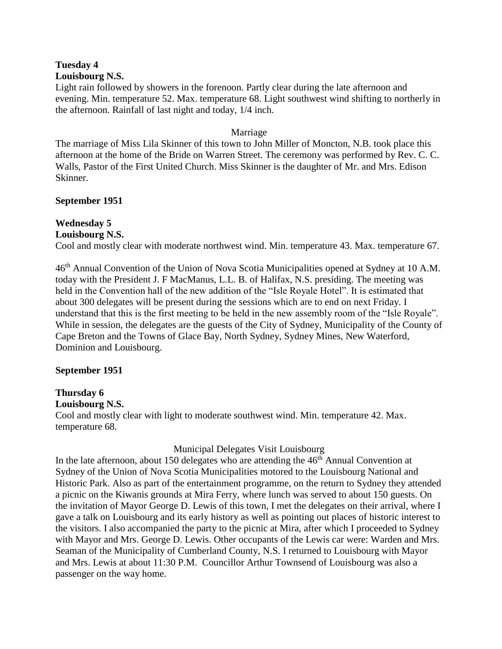#### **Tuesday 4 Louisbourg N.S.**

Light rain followed by showers in the forenoon. Partly clear during the late afternoon and evening. Min. temperature 52. Max. temperature 68. Light southwest wind shifting to northerly in the afternoon. Rainfall of last night and today, 1/4 inch.

#### Marriage

The marriage of Miss Lila Skinner of this town to John Miller of Moncton, N.B. took place this afternoon at the home of the Bride on Warren Street. The ceremony was performed by Rev. C. C. Walls, Pastor of the First United Church. Miss Skinner is the daughter of Mr. and Mrs. Edison Skinner.

## **September 1951**

## **Wednesday 5**

## **Louisbourg N.S.**

Cool and mostly clear with moderate northwest wind. Min. temperature 43. Max. temperature 67.

46<sup>th</sup> Annual Convention of the Union of Nova Scotia Municipalities opened at Sydney at 10 A.M. today with the President J. F MacManus, L.L. B. of Halifax, N.S. presiding. The meeting was held in the Convention hall of the new addition of the "Isle Royale Hotel". It is estimated that about 300 delegates will be present during the sessions which are to end on next Friday. I understand that this is the first meeting to be held in the new assembly room of the "Isle Royale". While in session, the delegates are the guests of the City of Sydney, Municipality of the County of Cape Breton and the Towns of Glace Bay, North Sydney, Sydney Mines, New Waterford, Dominion and Louisbourg.

## **September 1951**

## **Thursday 6**

#### **Louisbourg N.S.**

Cool and mostly clear with light to moderate southwest wind. Min. temperature 42. Max. temperature 68.

## Municipal Delegates Visit Louisbourg

In the late afternoon, about 150 delegates who are attending the  $46<sup>th</sup>$  Annual Convention at Sydney of the Union of Nova Scotia Municipalities motored to the Louisbourg National and Historic Park. Also as part of the entertainment programme, on the return to Sydney they attended a picnic on the Kiwanis grounds at Mira Ferry, where lunch was served to about 150 guests. On the invitation of Mayor George D. Lewis of this town, I met the delegates on their arrival, where I gave a talk on Louisbourg and its early history as well as pointing out places of historic interest to the visitors. I also accompanied the party to the picnic at Mira, after which I proceeded to Sydney with Mayor and Mrs. George D. Lewis. Other occupants of the Lewis car were: Warden and Mrs. Seaman of the Municipality of Cumberland County, N.S. I returned to Louisbourg with Mayor and Mrs. Lewis at about 11:30 P.M. Councillor Arthur Townsend of Louisbourg was also a passenger on the way home.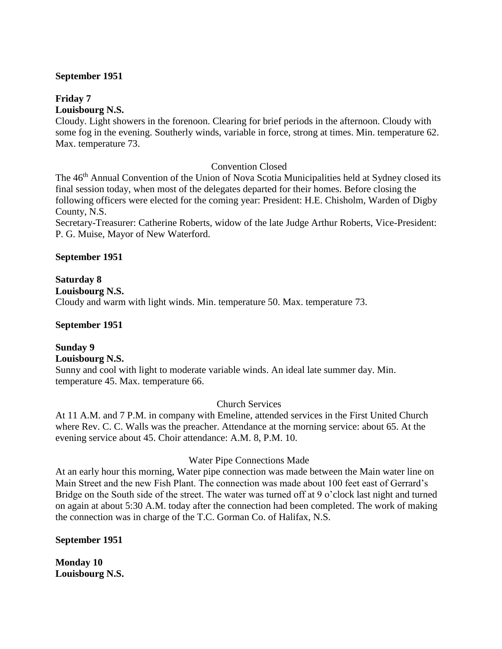#### **September 1951**

## **Friday 7**

#### **Louisbourg N.S.**

Cloudy. Light showers in the forenoon. Clearing for brief periods in the afternoon. Cloudy with some fog in the evening. Southerly winds, variable in force, strong at times. Min. temperature 62. Max. temperature 73.

## Convention Closed

The 46<sup>th</sup> Annual Convention of the Union of Nova Scotia Municipalities held at Sydney closed its final session today, when most of the delegates departed for their homes. Before closing the following officers were elected for the coming year: President: H.E. Chisholm, Warden of Digby County, N.S.

Secretary-Treasurer: Catherine Roberts, widow of the late Judge Arthur Roberts, Vice-President: P. G. Muise, Mayor of New Waterford.

## **September 1951**

## **Saturday 8 Louisbourg N.S.** Cloudy and warm with light winds. Min. temperature 50. Max. temperature 73.

## **September 1951**

#### **Sunday 9 Louisbourg N.S.**

Sunny and cool with light to moderate variable winds. An ideal late summer day. Min. temperature 45. Max. temperature 66.

#### Church Services

At 11 A.M. and 7 P.M. in company with Emeline, attended services in the First United Church where Rev. C. C. Walls was the preacher. Attendance at the morning service: about 65. At the evening service about 45. Choir attendance: A.M. 8, P.M. 10.

## Water Pipe Connections Made

At an early hour this morning, Water pipe connection was made between the Main water line on Main Street and the new Fish Plant. The connection was made about 100 feet east of Gerrard's Bridge on the South side of the street. The water was turned off at 9 o'clock last night and turned on again at about 5:30 A.M. today after the connection had been completed. The work of making the connection was in charge of the T.C. Gorman Co. of Halifax, N.S.

#### **September 1951**

**Monday 10 Louisbourg N.S.**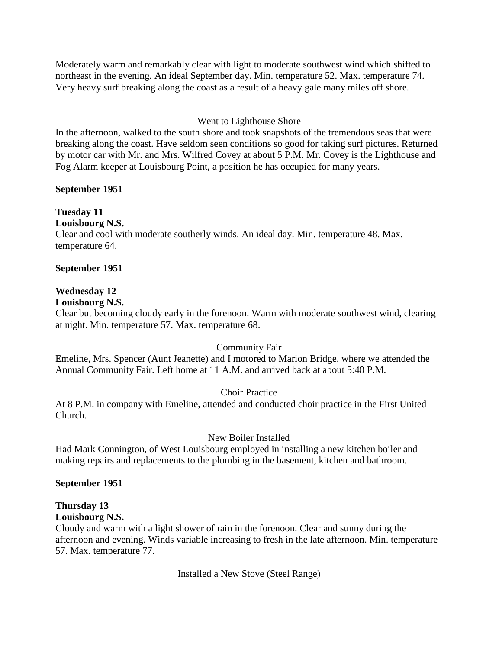Moderately warm and remarkably clear with light to moderate southwest wind which shifted to northeast in the evening. An ideal September day. Min. temperature 52. Max. temperature 74. Very heavy surf breaking along the coast as a result of a heavy gale many miles off shore.

## Went to Lighthouse Shore

In the afternoon, walked to the south shore and took snapshots of the tremendous seas that were breaking along the coast. Have seldom seen conditions so good for taking surf pictures. Returned by motor car with Mr. and Mrs. Wilfred Covey at about 5 P.M. Mr. Covey is the Lighthouse and Fog Alarm keeper at Louisbourg Point, a position he has occupied for many years.

## **September 1951**

# **Tuesday 11**

**Louisbourg N.S.**

Clear and cool with moderate southerly winds. An ideal day. Min. temperature 48. Max. temperature 64.

## **September 1951**

## **Wednesday 12**

**Louisbourg N.S.**

Clear but becoming cloudy early in the forenoon. Warm with moderate southwest wind, clearing at night. Min. temperature 57. Max. temperature 68.

## Community Fair

Emeline, Mrs. Spencer (Aunt Jeanette) and I motored to Marion Bridge, where we attended the Annual Community Fair. Left home at 11 A.M. and arrived back at about 5:40 P.M.

## Choir Practice

At 8 P.M. in company with Emeline, attended and conducted choir practice in the First United Church.

## New Boiler Installed

Had Mark Connington, of West Louisbourg employed in installing a new kitchen boiler and making repairs and replacements to the plumbing in the basement, kitchen and bathroom.

## **September 1951**

## **Thursday 13**

## **Louisbourg N.S.**

Cloudy and warm with a light shower of rain in the forenoon. Clear and sunny during the afternoon and evening. Winds variable increasing to fresh in the late afternoon. Min. temperature 57. Max. temperature 77.

Installed a New Stove (Steel Range)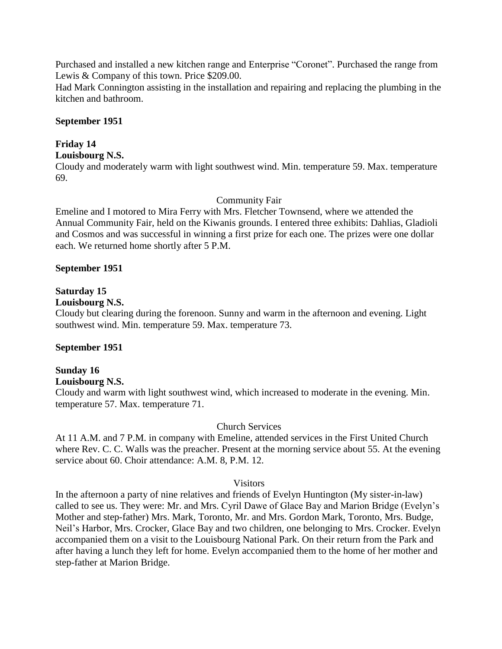Purchased and installed a new kitchen range and Enterprise "Coronet". Purchased the range from Lewis & Company of this town. Price \$209.00.

Had Mark Connington assisting in the installation and repairing and replacing the plumbing in the kitchen and bathroom.

#### **September 1951**

## **Friday 14**

### **Louisbourg N.S.**

Cloudy and moderately warm with light southwest wind. Min. temperature 59. Max. temperature 69.

### Community Fair

Emeline and I motored to Mira Ferry with Mrs. Fletcher Townsend, where we attended the Annual Community Fair, held on the Kiwanis grounds. I entered three exhibits: Dahlias, Gladioli and Cosmos and was successful in winning a first prize for each one. The prizes were one dollar each. We returned home shortly after 5 P.M.

### **September 1951**

## **Saturday 15**

## **Louisbourg N.S.**

Cloudy but clearing during the forenoon. Sunny and warm in the afternoon and evening. Light southwest wind. Min. temperature 59. Max. temperature 73.

## **September 1951**

#### **Sunday 16 Louisbourg N.S.**

Cloudy and warm with light southwest wind, which increased to moderate in the evening. Min. temperature 57. Max. temperature 71.

#### Church Services

At 11 A.M. and 7 P.M. in company with Emeline, attended services in the First United Church where Rev. C. C. Walls was the preacher. Present at the morning service about 55. At the evening service about 60. Choir attendance: A.M. 8, P.M. 12.

#### **Visitors**

In the afternoon a party of nine relatives and friends of Evelyn Huntington (My sister-in-law) called to see us. They were: Mr. and Mrs. Cyril Dawe of Glace Bay and Marion Bridge (Evelyn's Mother and step-father) Mrs. Mark, Toronto, Mr. and Mrs. Gordon Mark, Toronto, Mrs. Budge, Neil's Harbor, Mrs. Crocker, Glace Bay and two children, one belonging to Mrs. Crocker. Evelyn accompanied them on a visit to the Louisbourg National Park. On their return from the Park and after having a lunch they left for home. Evelyn accompanied them to the home of her mother and step-father at Marion Bridge.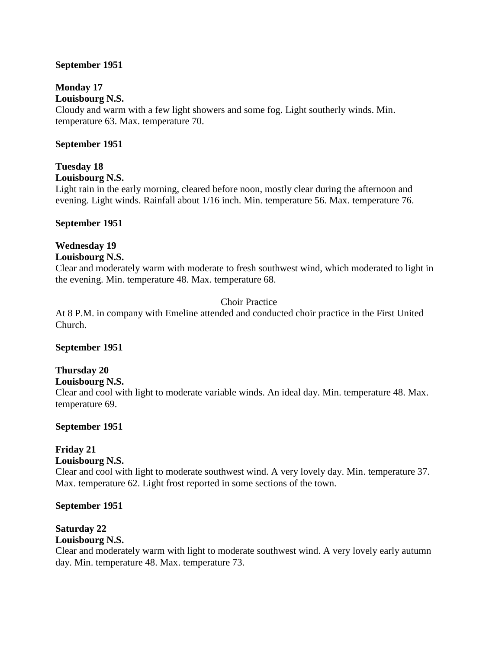### **September 1951**

## **Monday 17**

**Louisbourg N.S.** Cloudy and warm with a few light showers and some fog. Light southerly winds. Min.

temperature 63. Max. temperature 70.

## **September 1951**

## **Tuesday 18**

**Louisbourg N.S.**

Light rain in the early morning, cleared before noon, mostly clear during the afternoon and evening. Light winds. Rainfall about 1/16 inch. Min. temperature 56. Max. temperature 76.

### **September 1951**

## **Wednesday 19**

### **Louisbourg N.S.**

Clear and moderately warm with moderate to fresh southwest wind, which moderated to light in the evening. Min. temperature 48. Max. temperature 68.

## Choir Practice

At 8 P.M. in company with Emeline attended and conducted choir practice in the First United Church.

#### **September 1951**

## **Thursday 20**

#### **Louisbourg N.S.**

Clear and cool with light to moderate variable winds. An ideal day. Min. temperature 48. Max. temperature 69.

## **September 1951**

## **Friday 21**

#### **Louisbourg N.S.**

Clear and cool with light to moderate southwest wind. A very lovely day. Min. temperature 37. Max. temperature 62. Light frost reported in some sections of the town.

#### **September 1951**

## **Saturday 22**

## **Louisbourg N.S.**

Clear and moderately warm with light to moderate southwest wind. A very lovely early autumn day. Min. temperature 48. Max. temperature 73.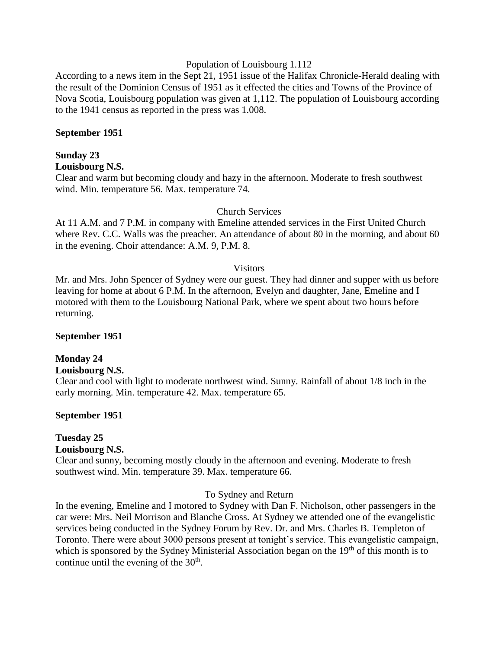#### Population of Louisbourg 1.112

According to a news item in the Sept 21, 1951 issue of the Halifax Chronicle-Herald dealing with the result of the Dominion Census of 1951 as it effected the cities and Towns of the Province of Nova Scotia, Louisbourg population was given at 1,112. The population of Louisbourg according to the 1941 census as reported in the press was 1.008.

#### **September 1951**

# **Sunday 23**

**Louisbourg N.S.**

Clear and warm but becoming cloudy and hazy in the afternoon. Moderate to fresh southwest wind. Min. temperature 56. Max. temperature 74.

#### Church Services

At 11 A.M. and 7 P.M. in company with Emeline attended services in the First United Church where Rev. C.C. Walls was the preacher. An attendance of about 80 in the morning, and about 60 in the evening. Choir attendance: A.M. 9, P.M. 8.

#### **Visitors**

Mr. and Mrs. John Spencer of Sydney were our guest. They had dinner and supper with us before leaving for home at about 6 P.M. In the afternoon, Evelyn and daughter, Jane, Emeline and I motored with them to the Louisbourg National Park, where we spent about two hours before returning.

#### **September 1951**

#### **Monday 24**

#### **Louisbourg N.S.**

Clear and cool with light to moderate northwest wind. Sunny. Rainfall of about 1/8 inch in the early morning. Min. temperature 42. Max. temperature 65.

#### **September 1951**

# **Tuesday 25**

**Louisbourg N.S.**

Clear and sunny, becoming mostly cloudy in the afternoon and evening. Moderate to fresh southwest wind. Min. temperature 39. Max. temperature 66.

#### To Sydney and Return

In the evening, Emeline and I motored to Sydney with Dan F. Nicholson, other passengers in the car were: Mrs. Neil Morrison and Blanche Cross. At Sydney we attended one of the evangelistic services being conducted in the Sydney Forum by Rev. Dr. and Mrs. Charles B. Templeton of Toronto. There were about 3000 persons present at tonight's service. This evangelistic campaign, which is sponsored by the Sydney Ministerial Association began on the  $19<sup>th</sup>$  of this month is to continue until the evening of the  $30<sup>th</sup>$ .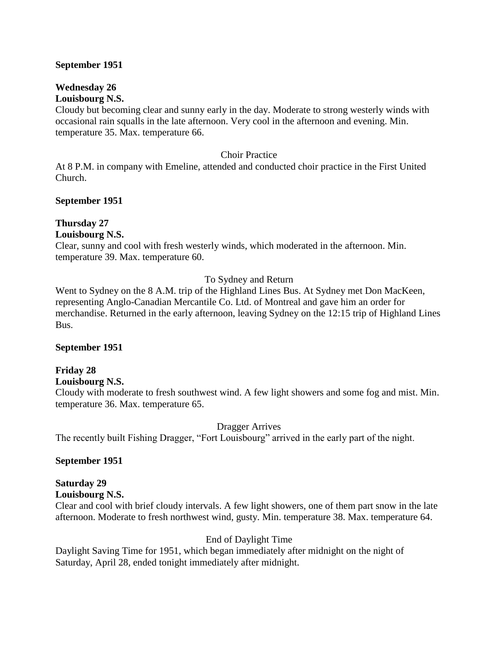#### **September 1951**

#### **Wednesday 26 Louisbourg N.S.**

Cloudy but becoming clear and sunny early in the day. Moderate to strong westerly winds with occasional rain squalls in the late afternoon. Very cool in the afternoon and evening. Min. temperature 35. Max. temperature 66.

#### Choir Practice

At 8 P.M. in company with Emeline, attended and conducted choir practice in the First United Church.

### **September 1951**

# **Thursday 27**

### **Louisbourg N.S.**

Clear, sunny and cool with fresh westerly winds, which moderated in the afternoon. Min. temperature 39. Max. temperature 60.

## To Sydney and Return

Went to Sydney on the 8 A.M. trip of the Highland Lines Bus. At Sydney met Don MacKeen, representing Anglo-Canadian Mercantile Co. Ltd. of Montreal and gave him an order for merchandise. Returned in the early afternoon, leaving Sydney on the 12:15 trip of Highland Lines Bus.

#### **September 1951**

#### **Friday 28 Louisbourg N.S.**

Cloudy with moderate to fresh southwest wind. A few light showers and some fog and mist. Min. temperature 36. Max. temperature 65.

Dragger Arrives

The recently built Fishing Dragger, "Fort Louisbourg" arrived in the early part of the night.

## **September 1951**

## **Saturday 29**

**Louisbourg N.S.**

Clear and cool with brief cloudy intervals. A few light showers, one of them part snow in the late afternoon. Moderate to fresh northwest wind, gusty. Min. temperature 38. Max. temperature 64.

## End of Daylight Time

Daylight Saving Time for 1951, which began immediately after midnight on the night of Saturday, April 28, ended tonight immediately after midnight.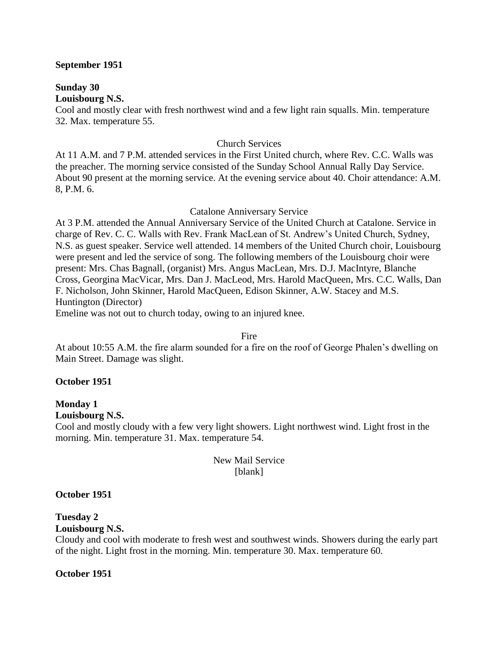#### **September 1951**

**Sunday 30 Louisbourg N.S.**

Cool and mostly clear with fresh northwest wind and a few light rain squalls. Min. temperature 32. Max. temperature 55.

#### Church Services

At 11 A.M. and 7 P.M. attended services in the First United church, where Rev. C.C. Walls was the preacher. The morning service consisted of the Sunday School Annual Rally Day Service. About 90 present at the morning service. At the evening service about 40. Choir attendance: A.M. 8, P.M. 6.

#### Catalone Anniversary Service

At 3 P.M. attended the Annual Anniversary Service of the United Church at Catalone. Service in charge of Rev. C. C. Walls with Rev. Frank MacLean of St. Andrew's United Church, Sydney, N.S. as guest speaker. Service well attended. 14 members of the United Church choir, Louisbourg were present and led the service of song. The following members of the Louisbourg choir were present: Mrs. Chas Bagnall, (organist) Mrs. Angus MacLean, Mrs. D.J. MacIntyre, Blanche Cross, Georgina MacVicar, Mrs. Dan J. MacLeod, Mrs. Harold MacQueen, Mrs. C.C. Walls, Dan F. Nicholson, John Skinner, Harold MacQueen, Edison Skinner, A.W. Stacey and M.S. Huntington (Director)

Emeline was not out to church today, owing to an injured knee.

#### Fire

At about 10:55 A.M. the fire alarm sounded for a fire on the roof of George Phalen's dwelling on Main Street. Damage was slight.

#### **October 1951**

#### **Monday 1 Louisbourg N.S.**

Cool and mostly cloudy with a few very light showers. Light northwest wind. Light frost in the morning. Min. temperature 31. Max. temperature 54.

### New Mail Service [blank]

#### **October 1951**

#### **Tuesday 2**

#### **Louisbourg N.S.**

Cloudy and cool with moderate to fresh west and southwest winds. Showers during the early part of the night. Light frost in the morning. Min. temperature 30. Max. temperature 60.

#### **October 1951**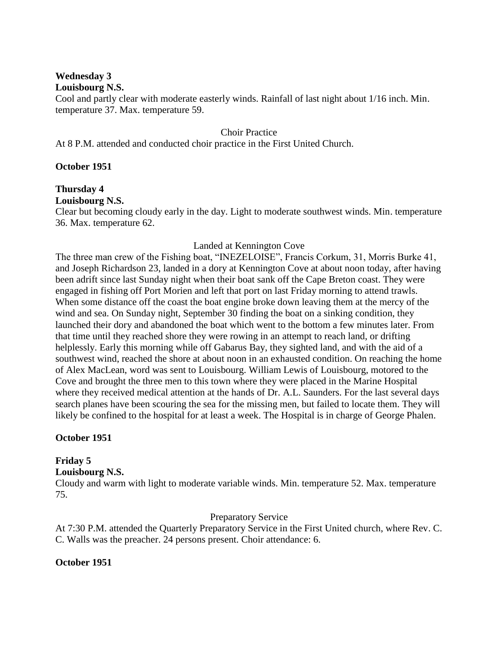# **Wednesday 3**

#### **Louisbourg N.S.**

Cool and partly clear with moderate easterly winds. Rainfall of last night about 1/16 inch. Min. temperature 37. Max. temperature 59.

Choir Practice

At 8 P.M. attended and conducted choir practice in the First United Church.

### **October 1951**

# **Thursday 4**

## **Louisbourg N.S.**

Clear but becoming cloudy early in the day. Light to moderate southwest winds. Min. temperature 36. Max. temperature 62.

## Landed at Kennington Cove

The three man crew of the Fishing boat, "INEZELOISE", Francis Corkum, 31, Morris Burke 41, and Joseph Richardson 23, landed in a dory at Kennington Cove at about noon today, after having been adrift since last Sunday night when their boat sank off the Cape Breton coast. They were engaged in fishing off Port Morien and left that port on last Friday morning to attend trawls. When some distance off the coast the boat engine broke down leaving them at the mercy of the wind and sea. On Sunday night, September 30 finding the boat on a sinking condition, they launched their dory and abandoned the boat which went to the bottom a few minutes later. From that time until they reached shore they were rowing in an attempt to reach land, or drifting helplessly. Early this morning while off Gabarus Bay, they sighted land, and with the aid of a southwest wind, reached the shore at about noon in an exhausted condition. On reaching the home of Alex MacLean, word was sent to Louisbourg. William Lewis of Louisbourg, motored to the Cove and brought the three men to this town where they were placed in the Marine Hospital where they received medical attention at the hands of Dr. A.L. Saunders. For the last several days search planes have been scouring the sea for the missing men, but failed to locate them. They will likely be confined to the hospital for at least a week. The Hospital is in charge of George Phalen.

## **October 1951**

## **Friday 5**

## **Louisbourg N.S.**

Cloudy and warm with light to moderate variable winds. Min. temperature 52. Max. temperature 75.

## Preparatory Service

At 7:30 P.M. attended the Quarterly Preparatory Service in the First United church, where Rev. C. C. Walls was the preacher. 24 persons present. Choir attendance: 6.

## **October 1951**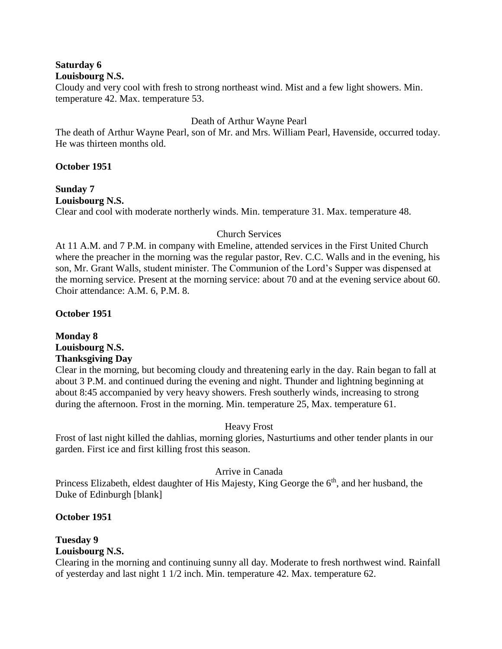# **Saturday 6**

#### **Louisbourg N.S.**

Cloudy and very cool with fresh to strong northeast wind. Mist and a few light showers. Min. temperature 42. Max. temperature 53.

#### Death of Arthur Wayne Pearl

The death of Arthur Wayne Pearl, son of Mr. and Mrs. William Pearl, Havenside, occurred today. He was thirteen months old.

### **October 1951**

# **Sunday 7 Louisbourg N.S.**

Clear and cool with moderate northerly winds. Min. temperature 31. Max. temperature 48.

## Church Services

At 11 A.M. and 7 P.M. in company with Emeline, attended services in the First United Church where the preacher in the morning was the regular pastor, Rev. C.C. Walls and in the evening, his son, Mr. Grant Walls, student minister. The Communion of the Lord's Supper was dispensed at the morning service. Present at the morning service: about 70 and at the evening service about 60. Choir attendance: A.M. 6, P.M. 8.

## **October 1951**

## **Monday 8 Louisbourg N.S. Thanksgiving Day**

Clear in the morning, but becoming cloudy and threatening early in the day. Rain began to fall at about 3 P.M. and continued during the evening and night. Thunder and lightning beginning at about 8:45 accompanied by very heavy showers. Fresh southerly winds, increasing to strong during the afternoon. Frost in the morning. Min. temperature 25, Max. temperature 61.

## Heavy Frost

Frost of last night killed the dahlias, morning glories, Nasturtiums and other tender plants in our garden. First ice and first killing frost this season.

## Arrive in Canada

Princess Elizabeth, eldest daughter of His Majesty, King George the 6<sup>th</sup>, and her husband, the Duke of Edinburgh [blank]

## **October 1951**

# **Tuesday 9**

# **Louisbourg N.S.**

Clearing in the morning and continuing sunny all day. Moderate to fresh northwest wind. Rainfall of yesterday and last night 1 1/2 inch. Min. temperature 42. Max. temperature 62.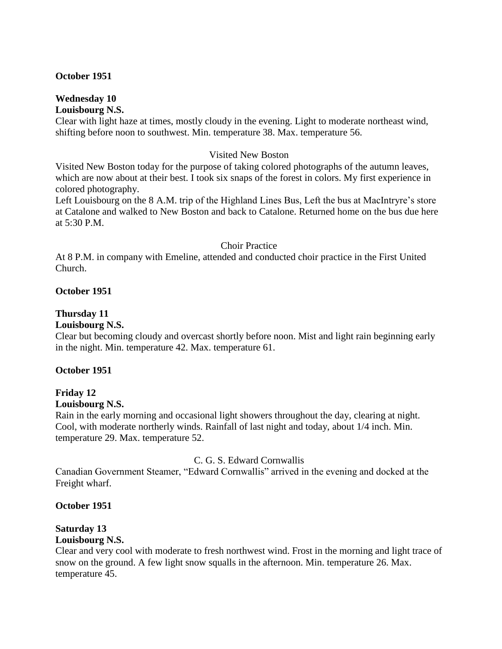#### **October 1951**

#### **Wednesday 10 Louisbourg N.S.**

Clear with light haze at times, mostly cloudy in the evening. Light to moderate northeast wind, shifting before noon to southwest. Min. temperature 38. Max. temperature 56.

#### Visited New Boston

Visited New Boston today for the purpose of taking colored photographs of the autumn leaves, which are now about at their best. I took six snaps of the forest in colors. My first experience in colored photography.

Left Louisbourg on the 8 A.M. trip of the Highland Lines Bus, Left the bus at MacIntryre's store at Catalone and walked to New Boston and back to Catalone. Returned home on the bus due here at 5:30 P.M.

#### Choir Practice

At 8 P.M. in company with Emeline, attended and conducted choir practice in the First United Church.

#### **October 1951**

#### **Thursday 11**

#### **Louisbourg N.S.**

Clear but becoming cloudy and overcast shortly before noon. Mist and light rain beginning early in the night. Min. temperature 42. Max. temperature 61.

#### **October 1951**

#### **Friday 12**

#### **Louisbourg N.S.**

Rain in the early morning and occasional light showers throughout the day, clearing at night. Cool, with moderate northerly winds. Rainfall of last night and today, about 1/4 inch. Min. temperature 29. Max. temperature 52.

#### C. G. S. Edward Cornwallis

Canadian Government Steamer, "Edward Cornwallis" arrived in the evening and docked at the Freight wharf.

#### **October 1951**

## **Saturday 13**

### **Louisbourg N.S.**

Clear and very cool with moderate to fresh northwest wind. Frost in the morning and light trace of snow on the ground. A few light snow squalls in the afternoon. Min. temperature 26. Max. temperature 45.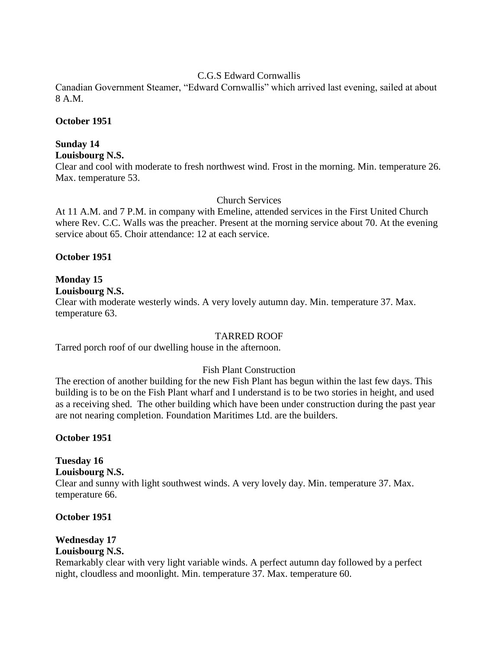#### C.G.S Edward Cornwallis

Canadian Government Steamer, "Edward Cornwallis" which arrived last evening, sailed at about 8 A.M.

### **October 1951**

# **Sunday 14**

# **Louisbourg N.S.**

Clear and cool with moderate to fresh northwest wind. Frost in the morning. Min. temperature 26. Max. temperature 53.

### Church Services

At 11 A.M. and 7 P.M. in company with Emeline, attended services in the First United Church where Rev. C.C. Walls was the preacher. Present at the morning service about 70. At the evening service about 65. Choir attendance: 12 at each service.

### **October 1951**

# **Monday 15**

**Louisbourg N.S.**

Clear with moderate westerly winds. A very lovely autumn day. Min. temperature 37. Max. temperature 63.

## TARRED ROOF

Tarred porch roof of our dwelling house in the afternoon.

## Fish Plant Construction

The erection of another building for the new Fish Plant has begun within the last few days. This building is to be on the Fish Plant wharf and I understand is to be two stories in height, and used as a receiving shed. The other building which have been under construction during the past year are not nearing completion. Foundation Maritimes Ltd. are the builders.

## **October 1951**

# **Tuesday 16**

**Louisbourg N.S.**

Clear and sunny with light southwest winds. A very lovely day. Min. temperature 37. Max. temperature 66.

## **October 1951**

# **Wednesday 17**

# **Louisbourg N.S.**

Remarkably clear with very light variable winds. A perfect autumn day followed by a perfect night, cloudless and moonlight. Min. temperature 37. Max. temperature 60.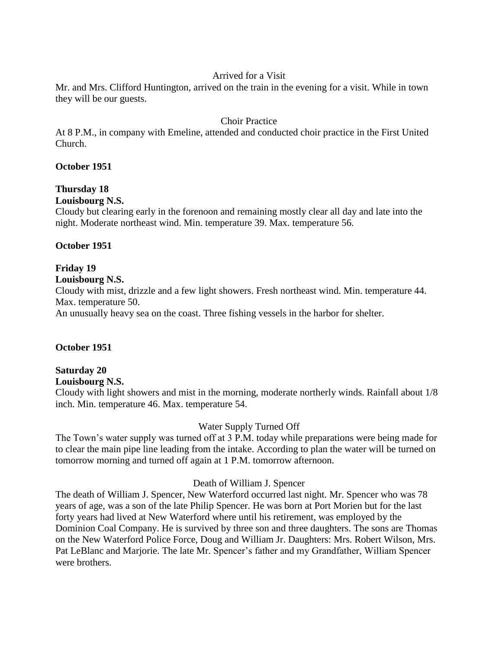### Arrived for a Visit

Mr. and Mrs. Clifford Huntington, arrived on the train in the evening for a visit. While in town they will be our guests.

## Choir Practice

At 8 P.M., in company with Emeline, attended and conducted choir practice in the First United Church.

### **October 1951**

# **Thursday 18**

## **Louisbourg N.S.**

Cloudy but clearing early in the forenoon and remaining mostly clear all day and late into the night. Moderate northeast wind. Min. temperature 39. Max. temperature 56.

## **October 1951**

# **Friday 19**

## **Louisbourg N.S.**

Cloudy with mist, drizzle and a few light showers. Fresh northeast wind. Min. temperature 44. Max. temperature 50.

An unusually heavy sea on the coast. Three fishing vessels in the harbor for shelter.

## **October 1951**

# **Saturday 20**

**Louisbourg N.S.**

Cloudy with light showers and mist in the morning, moderate northerly winds. Rainfall about 1/8 inch. Min. temperature 46. Max. temperature 54.

## Water Supply Turned Off

The Town's water supply was turned off at 3 P.M. today while preparations were being made for to clear the main pipe line leading from the intake. According to plan the water will be turned on tomorrow morning and turned off again at 1 P.M. tomorrow afternoon.

## Death of William J. Spencer

The death of William J. Spencer, New Waterford occurred last night. Mr. Spencer who was 78 years of age, was a son of the late Philip Spencer. He was born at Port Morien but for the last forty years had lived at New Waterford where until his retirement, was employed by the Dominion Coal Company. He is survived by three son and three daughters. The sons are Thomas on the New Waterford Police Force, Doug and William Jr. Daughters: Mrs. Robert Wilson, Mrs. Pat LeBlanc and Marjorie. The late Mr. Spencer's father and my Grandfather, William Spencer were brothers.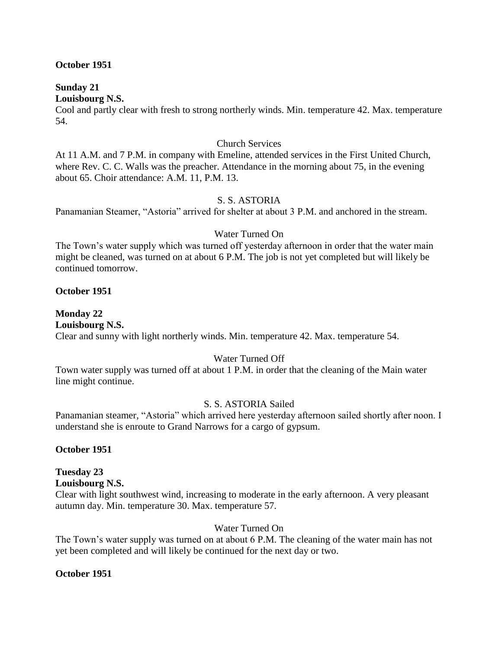#### **October 1951**

#### **Sunday 21 Louisbourg N.S.**

Cool and partly clear with fresh to strong northerly winds. Min. temperature 42. Max. temperature 54.

#### Church Services

At 11 A.M. and 7 P.M. in company with Emeline, attended services in the First United Church, where Rev. C. C. Walls was the preacher. Attendance in the morning about 75, in the evening about 65. Choir attendance: A.M. 11, P.M. 13.

#### S. S. ASTORIA

Panamanian Steamer, "Astoria" arrived for shelter at about 3 P.M. and anchored in the stream.

#### Water Turned On

The Town's water supply which was turned off yesterday afternoon in order that the water main might be cleaned, was turned on at about 6 P.M. The job is not yet completed but will likely be continued tomorrow.

#### **October 1951**

# **Monday 22**

#### **Louisbourg N.S.**

Clear and sunny with light northerly winds. Min. temperature 42. Max. temperature 54.

## Water Turned Off

Town water supply was turned off at about 1 P.M. in order that the cleaning of the Main water line might continue.

## S. S. ASTORIA Sailed

Panamanian steamer, "Astoria" which arrived here yesterday afternoon sailed shortly after noon. I understand she is enroute to Grand Narrows for a cargo of gypsum.

#### **October 1951**

## **Tuesday 23**

#### **Louisbourg N.S.**

Clear with light southwest wind, increasing to moderate in the early afternoon. A very pleasant autumn day. Min. temperature 30. Max. temperature 57.

#### Water Turned On

The Town's water supply was turned on at about 6 P.M. The cleaning of the water main has not yet been completed and will likely be continued for the next day or two.

#### **October 1951**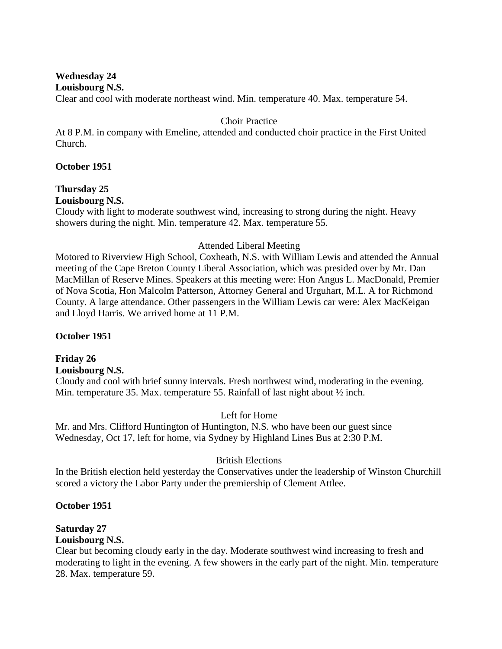#### **Wednesday 24 Louisbourg N.S.**

Clear and cool with moderate northeast wind. Min. temperature 40. Max. temperature 54.

## Choir Practice

At 8 P.M. in company with Emeline, attended and conducted choir practice in the First United Church.

### **October 1951**

# **Thursday 25**

# **Louisbourg N.S.**

Cloudy with light to moderate southwest wind, increasing to strong during the night. Heavy showers during the night. Min. temperature 42. Max. temperature 55.

### Attended Liberal Meeting

Motored to Riverview High School, Coxheath, N.S. with William Lewis and attended the Annual meeting of the Cape Breton County Liberal Association, which was presided over by Mr. Dan MacMillan of Reserve Mines. Speakers at this meeting were: Hon Angus L. MacDonald, Premier of Nova Scotia, Hon Malcolm Patterson, Attorney General and Urguhart, M.L. A for Richmond County. A large attendance. Other passengers in the William Lewis car were: Alex MacKeigan and Lloyd Harris. We arrived home at 11 P.M.

## **October 1951**

#### **Friday 26 Louisbourg N.S.**

Cloudy and cool with brief sunny intervals. Fresh northwest wind, moderating in the evening. Min. temperature 35. Max. temperature 55. Rainfall of last night about  $\frac{1}{2}$  inch.

## Left for Home

Mr. and Mrs. Clifford Huntington of Huntington, N.S. who have been our guest since Wednesday, Oct 17, left for home, via Sydney by Highland Lines Bus at 2:30 P.M.

## British Elections

In the British election held yesterday the Conservatives under the leadership of Winston Churchill scored a victory the Labor Party under the premiership of Clement Attlee.

## **October 1951**

# **Saturday 27**

## **Louisbourg N.S.**

Clear but becoming cloudy early in the day. Moderate southwest wind increasing to fresh and moderating to light in the evening. A few showers in the early part of the night. Min. temperature 28. Max. temperature 59.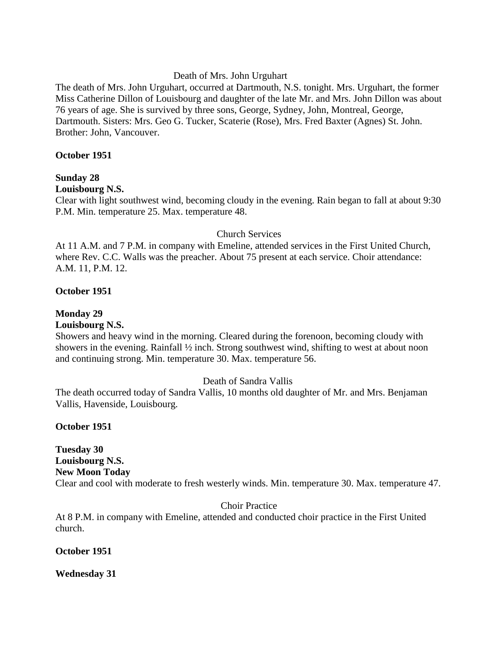#### Death of Mrs. John Urguhart

The death of Mrs. John Urguhart, occurred at Dartmouth, N.S. tonight. Mrs. Urguhart, the former Miss Catherine Dillon of Louisbourg and daughter of the late Mr. and Mrs. John Dillon was about 76 years of age. She is survived by three sons, George, Sydney, John, Montreal, George, Dartmouth. Sisters: Mrs. Geo G. Tucker, Scaterie (Rose), Mrs. Fred Baxter (Agnes) St. John. Brother: John, Vancouver.

#### **October 1951**

## **Sunday 28**

#### **Louisbourg N.S.**

Clear with light southwest wind, becoming cloudy in the evening. Rain began to fall at about 9:30 P.M. Min. temperature 25. Max. temperature 48.

#### Church Services

At 11 A.M. and 7 P.M. in company with Emeline, attended services in the First United Church, where Rev. C.C. Walls was the preacher. About 75 present at each service. Choir attendance: A.M. 11, P.M. 12.

#### **October 1951**

#### **Monday 29**

#### **Louisbourg N.S.**

Showers and heavy wind in the morning. Cleared during the forenoon, becoming cloudy with showers in the evening. Rainfall ½ inch. Strong southwest wind, shifting to west at about noon and continuing strong. Min. temperature 30. Max. temperature 56.

#### Death of Sandra Vallis

The death occurred today of Sandra Vallis, 10 months old daughter of Mr. and Mrs. Benjaman Vallis, Havenside, Louisbourg.

#### **October 1951**

**Tuesday 30 Louisbourg N.S. New Moon Today** Clear and cool with moderate to fresh westerly winds. Min. temperature 30. Max. temperature 47.

#### Choir Practice

At 8 P.M. in company with Emeline, attended and conducted choir practice in the First United church.

#### **October 1951**

#### **Wednesday 31**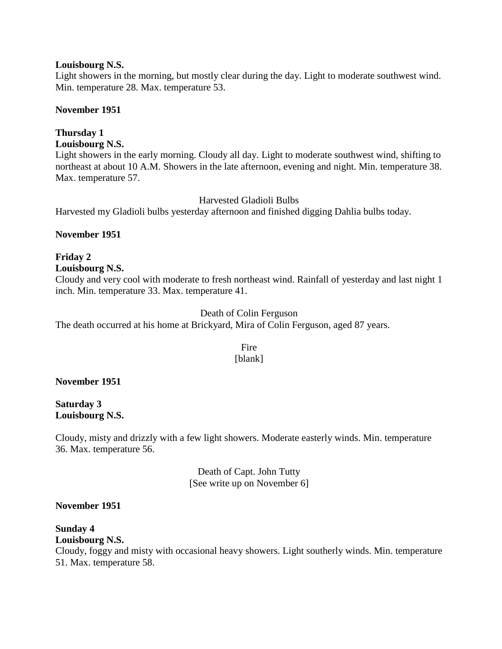#### **Louisbourg N.S.**

Light showers in the morning, but mostly clear during the day. Light to moderate southwest wind. Min. temperature 28. Max. temperature 53.

#### **November 1951**

# **Thursday 1**

# **Louisbourg N.S.**

Light showers in the early morning. Cloudy all day. Light to moderate southwest wind, shifting to northeast at about 10 A.M. Showers in the late afternoon, evening and night. Min. temperature 38. Max. temperature 57.

### Harvested Gladioli Bulbs

Harvested my Gladioli bulbs yesterday afternoon and finished digging Dahlia bulbs today.

### **November 1951**

## **Friday 2**

#### **Louisbourg N.S.**

Cloudy and very cool with moderate to fresh northeast wind. Rainfall of yesterday and last night 1 inch. Min. temperature 33. Max. temperature 41.

### Death of Colin Ferguson

The death occurred at his home at Brickyard, Mira of Colin Ferguson, aged 87 years.

#### Fire [blank]

#### **November 1951**

**Saturday 3 Louisbourg N.S.**

Cloudy, misty and drizzly with a few light showers. Moderate easterly winds. Min. temperature 36. Max. temperature 56.

> Death of Capt. John Tutty [See write up on November 6]

#### **November 1951**

#### **Sunday 4 Louisbourg N.S.** Cloudy, foggy and misty with occasional heavy showers. Light southerly winds. Min. temperature 51. Max. temperature 58.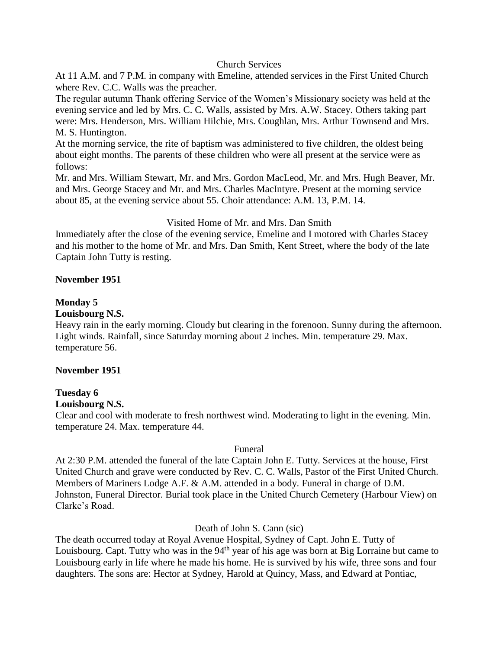#### Church Services

At 11 A.M. and 7 P.M. in company with Emeline, attended services in the First United Church where Rev. C.C. Walls was the preacher.

The regular autumn Thank offering Service of the Women's Missionary society was held at the evening service and led by Mrs. C. C. Walls, assisted by Mrs. A.W. Stacey. Others taking part were: Mrs. Henderson, Mrs. William Hilchie, Mrs. Coughlan, Mrs. Arthur Townsend and Mrs. M. S. Huntington.

At the morning service, the rite of baptism was administered to five children, the oldest being about eight months. The parents of these children who were all present at the service were as follows:

Mr. and Mrs. William Stewart, Mr. and Mrs. Gordon MacLeod, Mr. and Mrs. Hugh Beaver, Mr. and Mrs. George Stacey and Mr. and Mrs. Charles MacIntyre. Present at the morning service about 85, at the evening service about 55. Choir attendance: A.M. 13, P.M. 14.

#### Visited Home of Mr. and Mrs. Dan Smith

Immediately after the close of the evening service, Emeline and I motored with Charles Stacey and his mother to the home of Mr. and Mrs. Dan Smith, Kent Street, where the body of the late Captain John Tutty is resting.

#### **November 1951**

#### **Monday 5**

#### **Louisbourg N.S.**

Heavy rain in the early morning. Cloudy but clearing in the forenoon. Sunny during the afternoon. Light winds. Rainfall, since Saturday morning about 2 inches. Min. temperature 29. Max. temperature 56.

#### **November 1951**

#### **Tuesday 6**

#### **Louisbourg N.S.**

Clear and cool with moderate to fresh northwest wind. Moderating to light in the evening. Min. temperature 24. Max. temperature 44.

#### Funeral

At 2:30 P.M. attended the funeral of the late Captain John E. Tutty. Services at the house, First United Church and grave were conducted by Rev. C. C. Walls, Pastor of the First United Church. Members of Mariners Lodge A.F. & A.M. attended in a body. Funeral in charge of D.M. Johnston, Funeral Director. Burial took place in the United Church Cemetery (Harbour View) on Clarke's Road.

#### Death of John S. Cann (sic)

The death occurred today at Royal Avenue Hospital, Sydney of Capt. John E. Tutty of Louisbourg. Capt. Tutty who was in the  $94<sup>th</sup>$  year of his age was born at Big Lorraine but came to Louisbourg early in life where he made his home. He is survived by his wife, three sons and four daughters. The sons are: Hector at Sydney, Harold at Quincy, Mass, and Edward at Pontiac,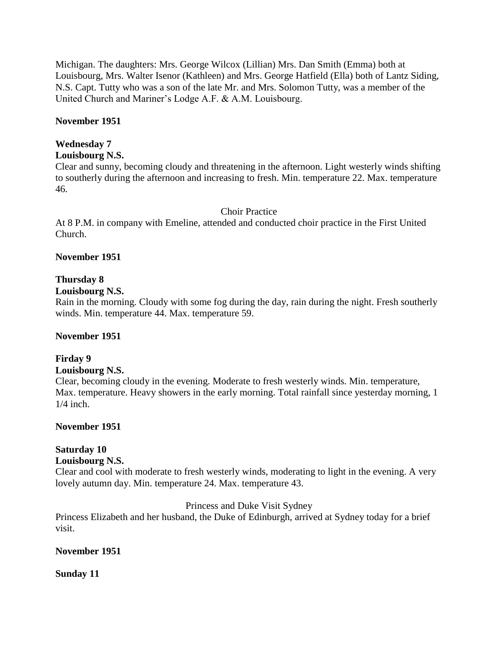Michigan. The daughters: Mrs. George Wilcox (Lillian) Mrs. Dan Smith (Emma) both at Louisbourg, Mrs. Walter Isenor (Kathleen) and Mrs. George Hatfield (Ella) both of Lantz Siding, N.S. Capt. Tutty who was a son of the late Mr. and Mrs. Solomon Tutty, was a member of the United Church and Mariner's Lodge A.F. & A.M. Louisbourg.

### **November 1951**

# **Wednesday 7**

# **Louisbourg N.S.**

Clear and sunny, becoming cloudy and threatening in the afternoon. Light westerly winds shifting to southerly during the afternoon and increasing to fresh. Min. temperature 22. Max. temperature 46.

## Choir Practice

At 8 P.M. in company with Emeline, attended and conducted choir practice in the First United Church.

## **November 1951**

## **Thursday 8**

## **Louisbourg N.S.**

Rain in the morning. Cloudy with some fog during the day, rain during the night. Fresh southerly winds. Min. temperature 44. Max. temperature 59.

## **November 1951**

## **Firday 9**

## **Louisbourg N.S.**

Clear, becoming cloudy in the evening. Moderate to fresh westerly winds. Min. temperature, Max. temperature. Heavy showers in the early morning. Total rainfall since yesterday morning, 1  $1/4$  inch.

## **November 1951**

# **Saturday 10**

## **Louisbourg N.S.**

Clear and cool with moderate to fresh westerly winds, moderating to light in the evening. A very lovely autumn day. Min. temperature 24. Max. temperature 43.

## Princess and Duke Visit Sydney

Princess Elizabeth and her husband, the Duke of Edinburgh, arrived at Sydney today for a brief visit.

## **November 1951**

## **Sunday 11**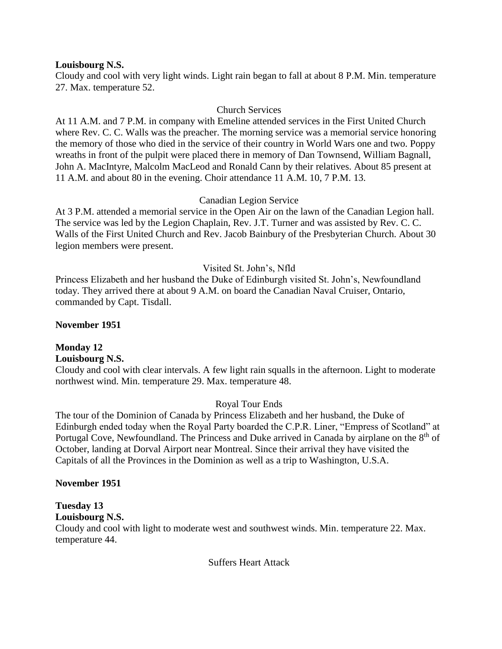#### **Louisbourg N.S.**

Cloudy and cool with very light winds. Light rain began to fall at about 8 P.M. Min. temperature 27. Max. temperature 52.

## Church Services

At 11 A.M. and 7 P.M. in company with Emeline attended services in the First United Church where Rev. C. C. Walls was the preacher. The morning service was a memorial service honoring the memory of those who died in the service of their country in World Wars one and two. Poppy wreaths in front of the pulpit were placed there in memory of Dan Townsend, William Bagnall, John A. MacIntyre, Malcolm MacLeod and Ronald Cann by their relatives. About 85 present at 11 A.M. and about 80 in the evening. Choir attendance 11 A.M. 10, 7 P.M. 13.

### Canadian Legion Service

At 3 P.M. attended a memorial service in the Open Air on the lawn of the Canadian Legion hall. The service was led by the Legion Chaplain, Rev. J.T. Turner and was assisted by Rev. C. C. Walls of the First United Church and Rev. Jacob Bainbury of the Presbyterian Church. About 30 legion members were present.

### Visited St. John's, Nfld

Princess Elizabeth and her husband the Duke of Edinburgh visited St. John's, Newfoundland today. They arrived there at about 9 A.M. on board the Canadian Naval Cruiser, Ontario, commanded by Capt. Tisdall.

#### **November 1951**

#### **Monday 12 Louisbourg N.S.**

Cloudy and cool with clear intervals. A few light rain squalls in the afternoon. Light to moderate northwest wind. Min. temperature 29. Max. temperature 48.

#### Royal Tour Ends

The tour of the Dominion of Canada by Princess Elizabeth and her husband, the Duke of Edinburgh ended today when the Royal Party boarded the C.P.R. Liner, "Empress of Scotland" at Portugal Cove, Newfoundland. The Princess and Duke arrived in Canada by airplane on the  $8<sup>th</sup>$  of October, landing at Dorval Airport near Montreal. Since their arrival they have visited the Capitals of all the Provinces in the Dominion as well as a trip to Washington, U.S.A.

#### **November 1951**

## **Tuesday 13**

**Louisbourg N.S.**

Cloudy and cool with light to moderate west and southwest winds. Min. temperature 22. Max. temperature 44.

#### Suffers Heart Attack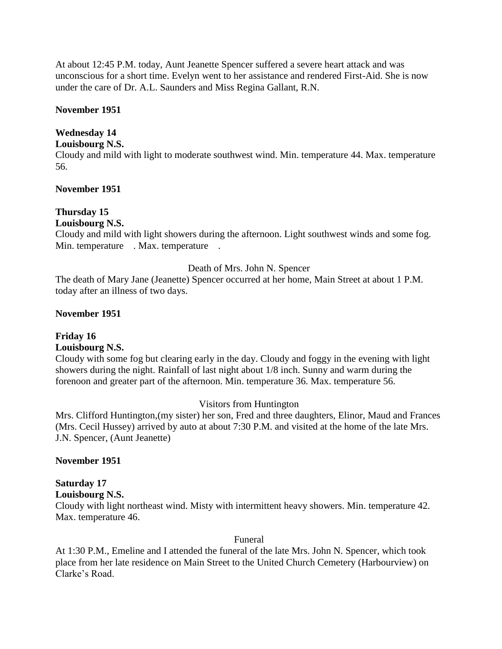At about 12:45 P.M. today, Aunt Jeanette Spencer suffered a severe heart attack and was unconscious for a short time. Evelyn went to her assistance and rendered First-Aid. She is now under the care of Dr. A.L. Saunders and Miss Regina Gallant, R.N.

#### **November 1951**

## **Wednesday 14**

### **Louisbourg N.S.**

Cloudy and mild with light to moderate southwest wind. Min. temperature 44. Max. temperature 56.

### **November 1951**

# **Thursday 15**

# **Louisbourg N.S.**

Cloudy and mild with light showers during the afternoon. Light southwest winds and some fog. Min. temperature . Max. temperature .

### Death of Mrs. John N. Spencer

The death of Mary Jane (Jeanette) Spencer occurred at her home, Main Street at about 1 P.M. today after an illness of two days.

### **November 1951**

## **Friday 16**

#### **Louisbourg N.S.**

Cloudy with some fog but clearing early in the day. Cloudy and foggy in the evening with light showers during the night. Rainfall of last night about 1/8 inch. Sunny and warm during the forenoon and greater part of the afternoon. Min. temperature 36. Max. temperature 56.

## Visitors from Huntington

Mrs. Clifford Huntington,(my sister) her son, Fred and three daughters, Elinor, Maud and Frances (Mrs. Cecil Hussey) arrived by auto at about 7:30 P.M. and visited at the home of the late Mrs. J.N. Spencer, (Aunt Jeanette)

#### **November 1951**

## **Saturday 17**

#### **Louisbourg N.S.**

Cloudy with light northeast wind. Misty with intermittent heavy showers. Min. temperature 42. Max. temperature 46.

#### Funeral

At 1:30 P.M., Emeline and I attended the funeral of the late Mrs. John N. Spencer, which took place from her late residence on Main Street to the United Church Cemetery (Harbourview) on Clarke's Road.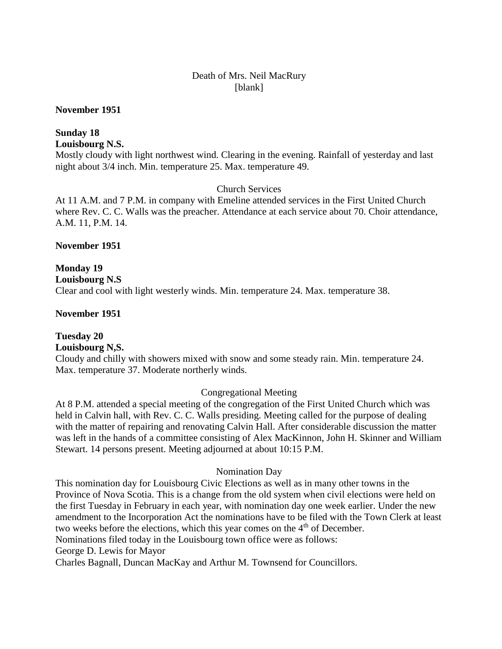#### Death of Mrs. Neil MacRury [blank]

#### **November 1951**

## **Sunday 18 Louisbourg N.S.**

Mostly cloudy with light northwest wind. Clearing in the evening. Rainfall of yesterday and last night about 3/4 inch. Min. temperature 25. Max. temperature 49.

Church Services

At 11 A.M. and 7 P.M. in company with Emeline attended services in the First United Church where Rev. C. C. Walls was the preacher. Attendance at each service about 70. Choir attendance, A.M. 11, P.M. 14.

#### **November 1951**

## **Monday 19 Louisbourg N.S** Clear and cool with light westerly winds. Min. temperature 24. Max. temperature 38.

## **November 1951**

## **Tuesday 20**

### **Louisbourg N,S.**

Cloudy and chilly with showers mixed with snow and some steady rain. Min. temperature 24. Max. temperature 37. Moderate northerly winds.

## Congregational Meeting

At 8 P.M. attended a special meeting of the congregation of the First United Church which was held in Calvin hall, with Rev. C. C. Walls presiding. Meeting called for the purpose of dealing with the matter of repairing and renovating Calvin Hall. After considerable discussion the matter was left in the hands of a committee consisting of Alex MacKinnon, John H. Skinner and William Stewart. 14 persons present. Meeting adjourned at about 10:15 P.M.

#### Nomination Day

This nomination day for Louisbourg Civic Elections as well as in many other towns in the Province of Nova Scotia. This is a change from the old system when civil elections were held on the first Tuesday in February in each year, with nomination day one week earlier. Under the new amendment to the Incorporation Act the nominations have to be filed with the Town Clerk at least two weeks before the elections, which this year comes on the  $4<sup>th</sup>$  of December. Nominations filed today in the Louisbourg town office were as follows:

George D. Lewis for Mayor

Charles Bagnall, Duncan MacKay and Arthur M. Townsend for Councillors.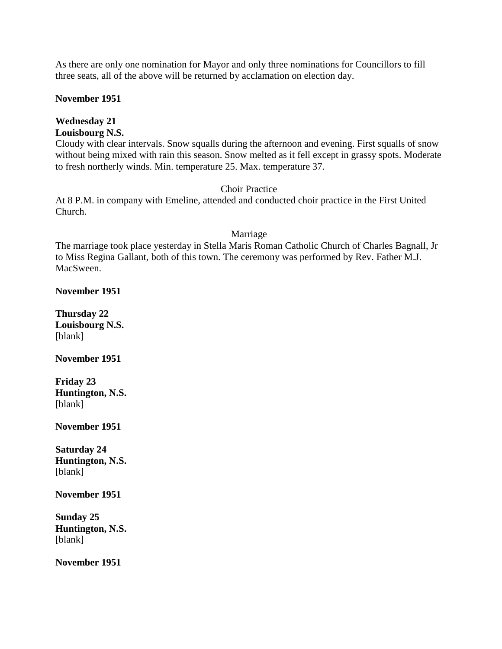As there are only one nomination for Mayor and only three nominations for Councillors to fill three seats, all of the above will be returned by acclamation on election day.

### **November 1951**

# **Wednesday 21**

**Louisbourg N.S.**

Cloudy with clear intervals. Snow squalls during the afternoon and evening. First squalls of snow without being mixed with rain this season. Snow melted as it fell except in grassy spots. Moderate to fresh northerly winds. Min. temperature 25. Max. temperature 37.

## Choir Practice

At 8 P.M. in company with Emeline, attended and conducted choir practice in the First United Church.

#### Marriage

The marriage took place yesterday in Stella Maris Roman Catholic Church of Charles Bagnall, Jr to Miss Regina Gallant, both of this town. The ceremony was performed by Rev. Father M.J. MacSween.

**November 1951**

**Thursday 22 Louisbourg N.S.** [blank]

**November 1951**

**Friday 23 Huntington, N.S.** [blank]

**November 1951**

**Saturday 24 Huntington, N.S.** [blank]

**November 1951**

**Sunday 25 Huntington, N.S.** [blank]

**November 1951**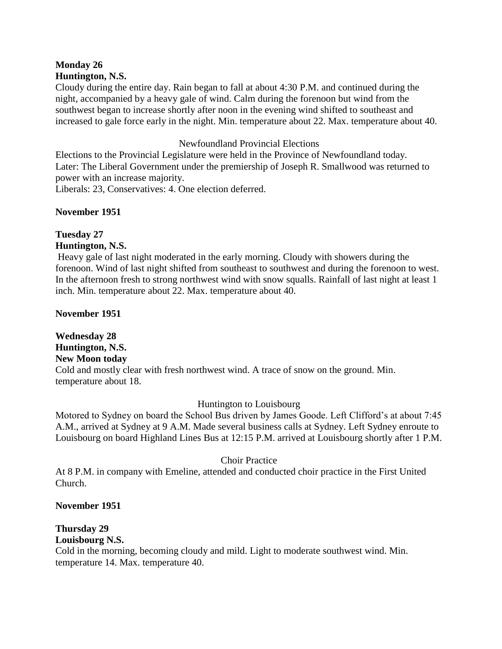## **Monday 26 Huntington, N.S.**

Cloudy during the entire day. Rain began to fall at about 4:30 P.M. and continued during the night, accompanied by a heavy gale of wind. Calm during the forenoon but wind from the southwest began to increase shortly after noon in the evening wind shifted to southeast and increased to gale force early in the night. Min. temperature about 22. Max. temperature about 40.

## Newfoundland Provincial Elections

Elections to the Provincial Legislature were held in the Province of Newfoundland today. Later: The Liberal Government under the premiership of Joseph R. Smallwood was returned to power with an increase majority.

Liberals: 23, Conservatives: 4. One election deferred.

## **November 1951**

#### **Tuesday 27 Huntington, N.S.**

Heavy gale of last night moderated in the early morning. Cloudy with showers during the forenoon. Wind of last night shifted from southeast to southwest and during the forenoon to west. In the afternoon fresh to strong northwest wind with snow squalls. Rainfall of last night at least 1 inch. Min. temperature about 22. Max. temperature about 40.

## **November 1951**

**Wednesday 28 Huntington, N.S. New Moon today** Cold and mostly clear with fresh northwest wind. A trace of snow on the ground. Min. temperature about 18.

## Huntington to Louisbourg

Motored to Sydney on board the School Bus driven by James Goode. Left Clifford's at about 7:45 A.M., arrived at Sydney at 9 A.M. Made several business calls at Sydney. Left Sydney enroute to Louisbourg on board Highland Lines Bus at 12:15 P.M. arrived at Louisbourg shortly after 1 P.M.

## Choir Practice

At 8 P.M. in company with Emeline, attended and conducted choir practice in the First United Church.

## **November 1951**

# **Thursday 29**

## **Louisbourg N.S.**

Cold in the morning, becoming cloudy and mild. Light to moderate southwest wind. Min. temperature 14. Max. temperature 40.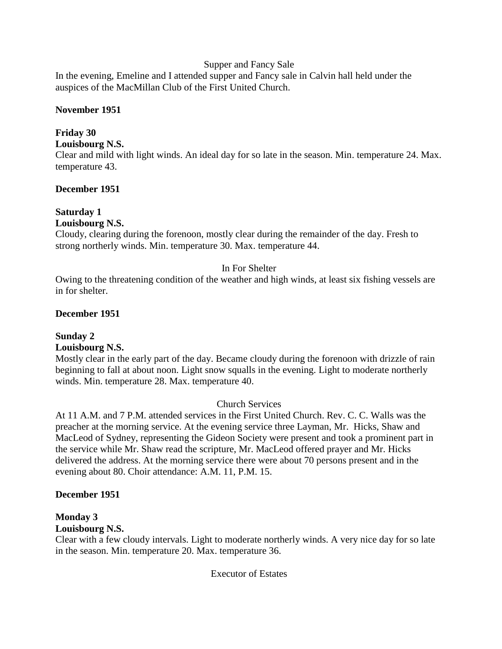### Supper and Fancy Sale

In the evening, Emeline and I attended supper and Fancy sale in Calvin hall held under the auspices of the MacMillan Club of the First United Church.

### **November 1951**

## **Friday 30**

## **Louisbourg N.S.**

Clear and mild with light winds. An ideal day for so late in the season. Min. temperature 24. Max. temperature 43.

## **December 1951**

# **Saturday 1**

# **Louisbourg N.S.**

Cloudy, clearing during the forenoon, mostly clear during the remainder of the day. Fresh to strong northerly winds. Min. temperature 30. Max. temperature 44.

## In For Shelter

Owing to the threatening condition of the weather and high winds, at least six fishing vessels are in for shelter.

### **December 1951**

## **Sunday 2**

## **Louisbourg N.S.**

Mostly clear in the early part of the day. Became cloudy during the forenoon with drizzle of rain beginning to fall at about noon. Light snow squalls in the evening. Light to moderate northerly winds. Min. temperature 28. Max. temperature 40.

## Church Services

At 11 A.M. and 7 P.M. attended services in the First United Church. Rev. C. C. Walls was the preacher at the morning service. At the evening service three Layman, Mr. Hicks, Shaw and MacLeod of Sydney, representing the Gideon Society were present and took a prominent part in the service while Mr. Shaw read the scripture, Mr. MacLeod offered prayer and Mr. Hicks delivered the address. At the morning service there were about 70 persons present and in the evening about 80. Choir attendance: A.M. 11, P.M. 15.

#### **December 1951**

## **Monday 3**

## **Louisbourg N.S.**

Clear with a few cloudy intervals. Light to moderate northerly winds. A very nice day for so late in the season. Min. temperature 20. Max. temperature 36.

Executor of Estates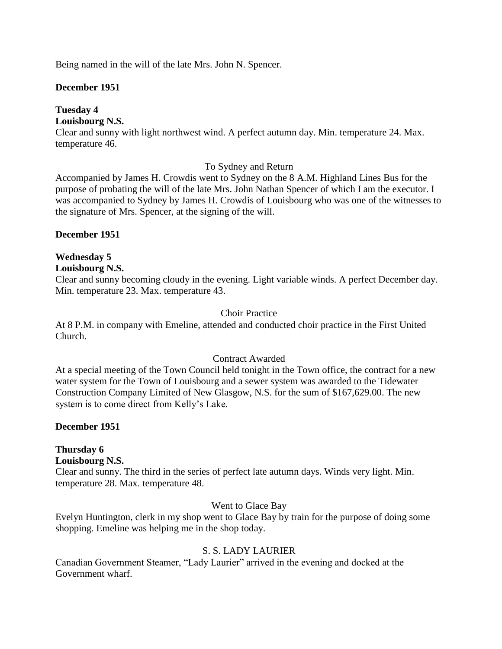Being named in the will of the late Mrs. John N. Spencer.

## **December 1951**

## **Tuesday 4**

## **Louisbourg N.S.**

Clear and sunny with light northwest wind. A perfect autumn day. Min. temperature 24. Max. temperature 46.

## To Sydney and Return

Accompanied by James H. Crowdis went to Sydney on the 8 A.M. Highland Lines Bus for the purpose of probating the will of the late Mrs. John Nathan Spencer of which I am the executor. I was accompanied to Sydney by James H. Crowdis of Louisbourg who was one of the witnesses to the signature of Mrs. Spencer, at the signing of the will.

### **December 1951**

## **Wednesday 5**

## **Louisbourg N.S.**

Clear and sunny becoming cloudy in the evening. Light variable winds. A perfect December day. Min. temperature 23. Max. temperature 43.

### Choir Practice

At 8 P.M. in company with Emeline, attended and conducted choir practice in the First United Church.

## Contract Awarded

At a special meeting of the Town Council held tonight in the Town office, the contract for a new water system for the Town of Louisbourg and a sewer system was awarded to the Tidewater Construction Company Limited of New Glasgow, N.S. for the sum of \$167,629.00. The new system is to come direct from Kelly's Lake.

## **December 1951**

## **Thursday 6**

#### **Louisbourg N.S.**

Clear and sunny. The third in the series of perfect late autumn days. Winds very light. Min. temperature 28. Max. temperature 48.

#### Went to Glace Bay

Evelyn Huntington, clerk in my shop went to Glace Bay by train for the purpose of doing some shopping. Emeline was helping me in the shop today.

## S. S. LADY LAURIER

Canadian Government Steamer, "Lady Laurier" arrived in the evening and docked at the Government wharf.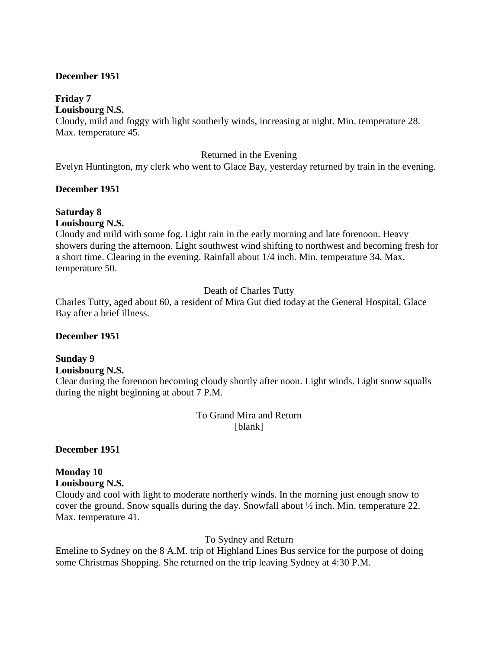#### **December 1951**

## **Friday 7**

**Louisbourg N.S.**

Cloudy, mild and foggy with light southerly winds, increasing at night. Min. temperature 28. Max. temperature 45.

#### Returned in the Evening

Evelyn Huntington, my clerk who went to Glace Bay, yesterday returned by train in the evening.

## **December 1951**

#### **Saturday 8 Louisbourg N.S.**

Cloudy and mild with some fog. Light rain in the early morning and late forenoon. Heavy showers during the afternoon. Light southwest wind shifting to northwest and becoming fresh for a short time. Clearing in the evening. Rainfall about 1/4 inch. Min. temperature 34. Max. temperature 50.

## Death of Charles Tutty

Charles Tutty, aged about 60, a resident of Mira Gut died today at the General Hospital, Glace Bay after a brief illness.

#### **December 1951**

## **Sunday 9**

**Louisbourg N.S.**

Clear during the forenoon becoming cloudy shortly after noon. Light winds. Light snow squalls during the night beginning at about 7 P.M.

### To Grand Mira and Return [blank]

**December 1951**

## **Monday 10**

#### **Louisbourg N.S.**

Cloudy and cool with light to moderate northerly winds. In the morning just enough snow to cover the ground. Snow squalls during the day. Snowfall about ½ inch. Min. temperature 22. Max. temperature 41.

#### To Sydney and Return

Emeline to Sydney on the 8 A.M. trip of Highland Lines Bus service for the purpose of doing some Christmas Shopping. She returned on the trip leaving Sydney at 4:30 P.M.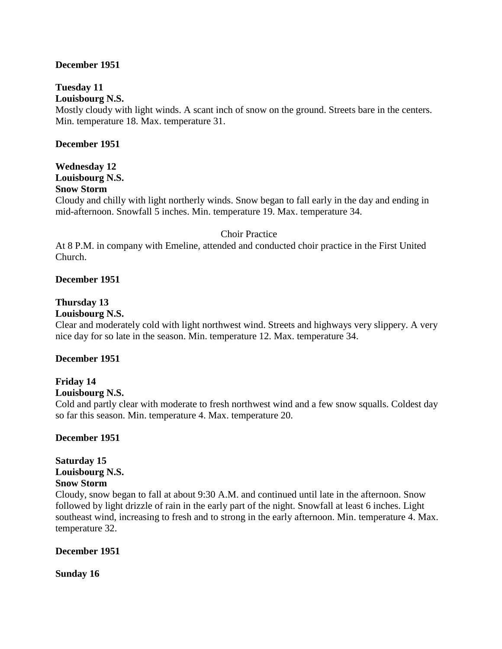#### **December 1951**

# **Tuesday 11**

**Louisbourg N.S.**

Mostly cloudy with light winds. A scant inch of snow on the ground. Streets bare in the centers. Min. temperature 18. Max. temperature 31.

## **December 1951**

**Wednesday 12 Louisbourg N.S. Snow Storm**

Cloudy and chilly with light northerly winds. Snow began to fall early in the day and ending in mid-afternoon. Snowfall 5 inches. Min. temperature 19. Max. temperature 34.

#### Choir Practice

At 8 P.M. in company with Emeline, attended and conducted choir practice in the First United Church.

### **December 1951**

## **Thursday 13**

### **Louisbourg N.S.**

Clear and moderately cold with light northwest wind. Streets and highways very slippery. A very nice day for so late in the season. Min. temperature 12. Max. temperature 34.

#### **December 1951**

# **Friday 14**

## **Louisbourg N.S.**

Cold and partly clear with moderate to fresh northwest wind and a few snow squalls. Coldest day so far this season. Min. temperature 4. Max. temperature 20.

## **December 1951**

# **Saturday 15 Louisbourg N.S.**

## **Snow Storm**

Cloudy, snow began to fall at about 9:30 A.M. and continued until late in the afternoon. Snow followed by light drizzle of rain in the early part of the night. Snowfall at least 6 inches. Light southeast wind, increasing to fresh and to strong in the early afternoon. Min. temperature 4. Max. temperature 32.

#### **December 1951**

**Sunday 16**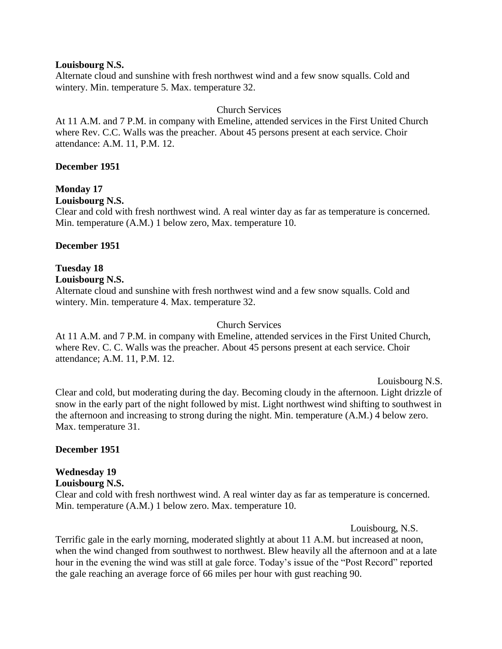#### **Louisbourg N.S.**

Alternate cloud and sunshine with fresh northwest wind and a few snow squalls. Cold and wintery. Min. temperature 5. Max. temperature 32.

### Church Services

At 11 A.M. and 7 P.M. in company with Emeline, attended services in the First United Church where Rev. C.C. Walls was the preacher. About 45 persons present at each service. Choir attendance: A.M. 11, P.M. 12.

#### **December 1951**

## **Monday 17**

**Louisbourg N.S.**

Clear and cold with fresh northwest wind. A real winter day as far as temperature is concerned. Min. temperature (A.M.) 1 below zero, Max. temperature 10.

#### **December 1951**

# **Tuesday 18**

#### **Louisbourg N.S.**

Alternate cloud and sunshine with fresh northwest wind and a few snow squalls. Cold and wintery. Min. temperature 4. Max. temperature 32.

#### Church Services

At 11 A.M. and 7 P.M. in company with Emeline, attended services in the First United Church, where Rev. C. C. Walls was the preacher. About 45 persons present at each service. Choir attendance; A.M. 11, P.M. 12.

Louisbourg N.S. Clear and cold, but moderating during the day. Becoming cloudy in the afternoon. Light drizzle of snow in the early part of the night followed by mist. Light northwest wind shifting to southwest in the afternoon and increasing to strong during the night. Min. temperature (A.M.) 4 below zero. Max. temperature 31.

#### **December 1951**

## **Wednesday 19**

#### **Louisbourg N.S.**

Clear and cold with fresh northwest wind. A real winter day as far as temperature is concerned. Min. temperature (A.M.) 1 below zero. Max. temperature 10.

Louisbourg, N.S.

Terrific gale in the early morning, moderated slightly at about 11 A.M. but increased at noon, when the wind changed from southwest to northwest. Blew heavily all the afternoon and at a late hour in the evening the wind was still at gale force. Today's issue of the "Post Record" reported the gale reaching an average force of 66 miles per hour with gust reaching 90.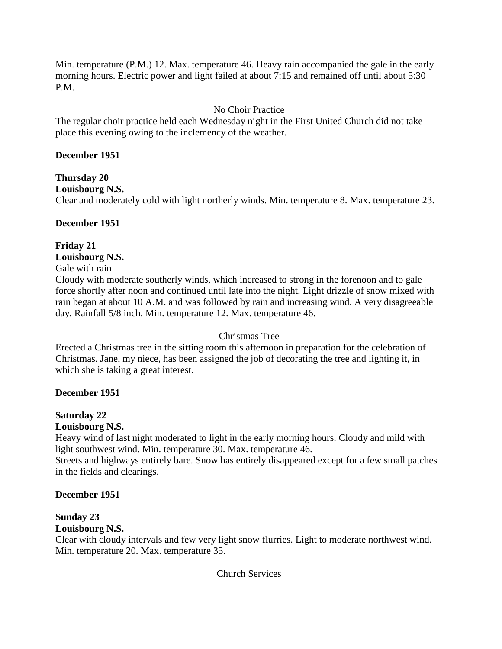Min. temperature (P.M.) 12. Max. temperature 46. Heavy rain accompanied the gale in the early morning hours. Electric power and light failed at about 7:15 and remained off until about 5:30 P.M.

## No Choir Practice

The regular choir practice held each Wednesday night in the First United Church did not take place this evening owing to the inclemency of the weather.

## **December 1951**

#### **Thursday 20 Louisbourg N.S.**

Clear and moderately cold with light northerly winds. Min. temperature 8. Max. temperature 23.

## **December 1951**

# **Friday 21**

## **Louisbourg N.S.**

Gale with rain

Cloudy with moderate southerly winds, which increased to strong in the forenoon and to gale force shortly after noon and continued until late into the night. Light drizzle of snow mixed with rain began at about 10 A.M. and was followed by rain and increasing wind. A very disagreeable day. Rainfall 5/8 inch. Min. temperature 12. Max. temperature 46.

## Christmas Tree

Erected a Christmas tree in the sitting room this afternoon in preparation for the celebration of Christmas. Jane, my niece, has been assigned the job of decorating the tree and lighting it, in which she is taking a great interest.

## **December 1951**

## **Saturday 22**

## **Louisbourg N.S.**

Heavy wind of last night moderated to light in the early morning hours. Cloudy and mild with light southwest wind. Min. temperature 30. Max. temperature 46.

Streets and highways entirely bare. Snow has entirely disappeared except for a few small patches in the fields and clearings.

## **December 1951**

## **Sunday 23**

## **Louisbourg N.S.**

Clear with cloudy intervals and few very light snow flurries. Light to moderate northwest wind. Min. temperature 20. Max. temperature 35.

Church Services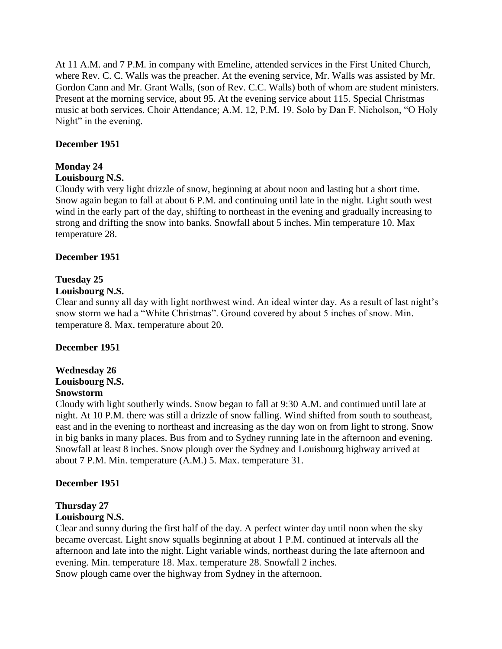At 11 A.M. and 7 P.M. in company with Emeline, attended services in the First United Church, where Rev. C. C. Walls was the preacher. At the evening service, Mr. Walls was assisted by Mr. Gordon Cann and Mr. Grant Walls, (son of Rev. C.C. Walls) both of whom are student ministers. Present at the morning service, about 95. At the evening service about 115. Special Christmas music at both services. Choir Attendance; A.M. 12, P.M. 19. Solo by Dan F. Nicholson, "O Holy Night" in the evening.

## **December 1951**

## **Monday 24**

### **Louisbourg N.S.**

Cloudy with very light drizzle of snow, beginning at about noon and lasting but a short time. Snow again began to fall at about 6 P.M. and continuing until late in the night. Light south west wind in the early part of the day, shifting to northeast in the evening and gradually increasing to strong and drifting the snow into banks. Snowfall about 5 inches. Min temperature 10. Max temperature 28.

### **December 1951**

## **Tuesday 25**

### **Louisbourg N.S.**

Clear and sunny all day with light northwest wind. An ideal winter day. As a result of last night's snow storm we had a "White Christmas". Ground covered by about 5 inches of snow. Min. temperature 8. Max. temperature about 20.

## **December 1951**

#### **Wednesday 26 Louisbourg N.S. Snowstorm**

Cloudy with light southerly winds. Snow began to fall at 9:30 A.M. and continued until late at night. At 10 P.M. there was still a drizzle of snow falling. Wind shifted from south to southeast, east and in the evening to northeast and increasing as the day won on from light to strong. Snow in big banks in many places. Bus from and to Sydney running late in the afternoon and evening. Snowfall at least 8 inches. Snow plough over the Sydney and Louisbourg highway arrived at about 7 P.M. Min. temperature (A.M.) 5. Max. temperature 31.

#### **December 1951**

## **Thursday 27**

## **Louisbourg N.S.**

Clear and sunny during the first half of the day. A perfect winter day until noon when the sky became overcast. Light snow squalls beginning at about 1 P.M. continued at intervals all the afternoon and late into the night. Light variable winds, northeast during the late afternoon and evening. Min. temperature 18. Max. temperature 28. Snowfall 2 inches.

Snow plough came over the highway from Sydney in the afternoon.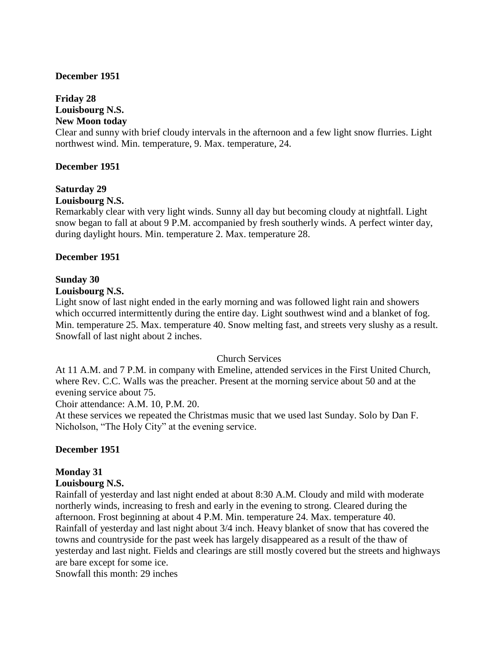#### **December 1951**

# **Friday 28**

# **Louisbourg N.S.**

## **New Moon today**

Clear and sunny with brief cloudy intervals in the afternoon and a few light snow flurries. Light northwest wind. Min. temperature, 9. Max. temperature, 24.

### **December 1951**

# **Saturday 29**

# **Louisbourg N.S.**

Remarkably clear with very light winds. Sunny all day but becoming cloudy at nightfall. Light snow began to fall at about 9 P.M. accompanied by fresh southerly winds. A perfect winter day, during daylight hours. Min. temperature 2. Max. temperature 28.

### **December 1951**

# **Sunday 30**

### **Louisbourg N.S.**

Light snow of last night ended in the early morning and was followed light rain and showers which occurred intermittently during the entire day. Light southwest wind and a blanket of fog. Min. temperature 25. Max. temperature 40. Snow melting fast, and streets very slushy as a result. Snowfall of last night about 2 inches.

## Church Services

At 11 A.M. and 7 P.M. in company with Emeline, attended services in the First United Church, where Rev. C.C. Walls was the preacher. Present at the morning service about 50 and at the evening service about 75.

Choir attendance: A.M. 10, P.M. 20.

At these services we repeated the Christmas music that we used last Sunday. Solo by Dan F. Nicholson, "The Holy City" at the evening service.

## **December 1951**

## **Monday 31**

#### **Louisbourg N.S.**

Rainfall of yesterday and last night ended at about 8:30 A.M. Cloudy and mild with moderate northerly winds, increasing to fresh and early in the evening to strong. Cleared during the afternoon. Frost beginning at about 4 P.M. Min. temperature 24. Max. temperature 40. Rainfall of yesterday and last night about 3/4 inch. Heavy blanket of snow that has covered the towns and countryside for the past week has largely disappeared as a result of the thaw of yesterday and last night. Fields and clearings are still mostly covered but the streets and highways are bare except for some ice.

Snowfall this month: 29 inches